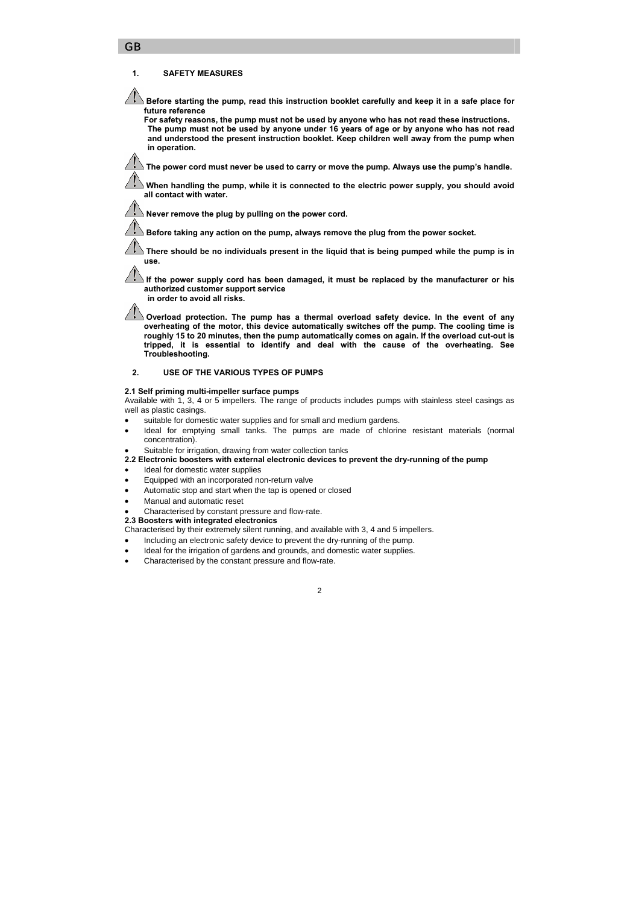#### **1. SAFETY MEASURES**

GB

 $\blacktriangle$  Before starting the pump, read this instruction booklet carefully and keep it in a safe place for **future reference** 

**For safety reasons, the pump must not be used by anyone who has not read these instructions. The pump must not be used by anyone under 16 years of age or by anyone who has not read and understood the present instruction booklet. Keep children well away from the pump when in operation.** 

 $\Delta$  The power cord must never be used to carry or move the pump. Alwavs use the pump's handle.

 **When handling the pump, while it is connected to the electric power supply, you should avoid all contact with water.**

 **Never remove the plug by pulling on the power cord.**

 $\sqrt{\frac{1}{2}}$  Before taking any action on the pump, always remove the plug from the power socket.

 **There should be no individuals present in the liquid that is being pumped while the pump is in use.** 

 **If the power supply cord has been damaged, it must be replaced by the manufacturer or his authorized customer support service** 

**in order to avoid all risks.** 

**I** Overload protection. The pump has a thermal overload safety device. In the event of any **overheating of the motor, this device automatically switches off the pump. The cooling time is roughly 15 to 20 minutes, then the pump automatically comes on again. If the overload cut-out is tripped, it is essential to identify and deal with the cause of the overheating. See Troubleshooting.** 

### **2. USE OF THE VARIOUS TYPES OF PUMPS**

#### **2.1 Self priming multi-impeller surface pumps**

Available with 1, 3, 4 or 5 impellers. The range of products includes pumps with stainless steel casings as well as plastic casings.

- suitable for domestic water supplies and for small and medium gardens.
- Ideal for emptying small tanks. The pumps are made of chlorine resistant materials (normal concentration).

Suitable for irrigation, drawing from water collection tanks

**2.2 Electronic boosters with external electronic devices to prevent the dry-running of the pump** 

- Ideal for domestic water supplies
- Equipped with an incorporated non-return valve
- Automatic stop and start when the tap is opened or closed
- Manual and automatic reset
- Characterised by constant pressure and flow-rate.
- **2.3 Boosters with integrated electronics**

Characterised by their extremely silent running, and available with 3, 4 and 5 impellers.

- Including an electronic safety device to prevent the dry-running of the pump.
- Ideal for the irrigation of gardens and grounds, and domestic water supplies.
- Characterised by the constant pressure and flow-rate.

#### $\overline{2}$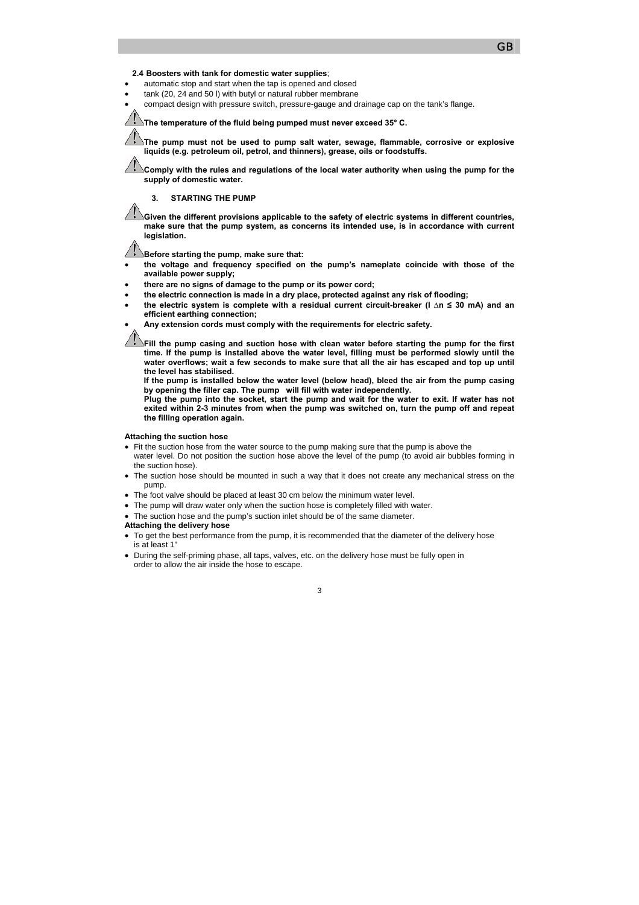#### **GB**

#### **2.4 Boosters with tank for domestic water supplies**;

- automatic stop and start when the tap is opened and closed
- tank (20, 24 and 50 l) with butyl or natural rubber membrane
- compact design with pressure switch, pressure-gauge and drainage cap on the tank's flange.

**The temperature of the fluid being pumped must never exceed 35° C.** 

**The pump must not be used to pump salt water, sewage, flammable, corrosive or explosive liquids (e.g. petroleum oil, petrol, and thinners), grease, oils or foodstuffs.** 

**Comply with the rules and regulations of the local water authority when using the pump for the supply of domestic water.** 

**3. STARTING THE PUMP** 

**Given the different provisions applicable to the safety of electric systems in different countries, make sure that the pump system, as concerns its intended use, is in accordance with current legislation.** 

**Before starting the pump, make sure that:** 

- **the voltage and frequency specified on the pump's nameplate coincide with those of the available power supply;**
- **there are no signs of damage to the pump or its power cord;**
- **the electric connection is made in a dry place, protected against any risk of flooding;**
- **the electric system is complete with a residual current circuit-breaker (I ∆n ≤ 30 mA) and an efficient earthing connection;**

• **Any extension cords must comply with the requirements for electric safety.** 

Fill the pump casing and suction hose with clean water before starting the pump for the first **time. If the pump is installed above the water level, filling must be performed slowly until the water overflows; wait a few seconds to make sure that all the air has escaped and top up until the level has stabilised.** 

**If the pump is installed below the water level (below head), bleed the air from the pump casing by opening the filler cap. The pump will fill with water independently.** 

**Plug the pump into the socket, start the pump and wait for the water to exit. If water has not exited within 2-3 minutes from when the pump was switched on, turn the pump off and repeat the filling operation again.** 

#### **Attaching the suction hose**

• Fit the suction hose from the water source to the pump making sure that the pump is above the

- water level. Do not position the suction hose above the level of the pump (to avoid air bubbles forming in the suction hose).
- The suction hose should be mounted in such a way that it does not create any mechanical stress on the pump.
- The foot valve should be placed at least 30 cm below the minimum water level.
- The pump will draw water only when the suction hose is completely filled with water.
- The suction hose and the pump's suction inlet should be of the same diameter.
- **Attaching the delivery hose**
- To get the best performance from the pump, it is recommended that the diameter of the delivery hose is at least 1"
- During the self-priming phase, all taps, valves, etc. on the delivery hose must be fully open in order to allow the air inside the hose to escape.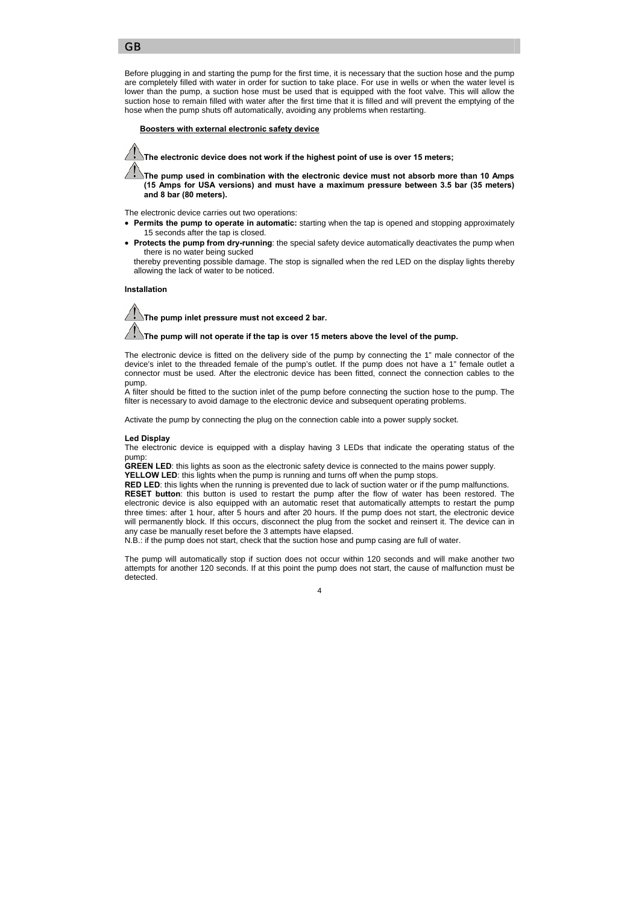Before plugging in and starting the pump for the first time, it is necessary that the suction hose and the pump are completely filled with water in order for suction to take place. For use in wells or when the water level is lower than the pump, a suction hose must be used that is equipped with the foot valve. This will allow the suction hose to remain filled with water after the first time that it is filled and will prevent the emptying of the hose when the pump shuts off automatically, avoiding any problems when restarting.

#### **w** Boosters with external electronic safety device

**The electronic device does not work if the highest point of use is over 15 meters;** 

**The pump used in combination with the electronic device must not absorb more than 10 Amps (15 Amps for USA versions) and must have a maximum pressure between 3.5 bar (35 meters) and 8 bar (80 meters).** 

The electronic device carries out two operations:

- **Permits the pump to operate in automatic:** starting when the tap is opened and stopping approximately 15 seconds after the tap is closed.
- **Protects the pump from dry-running**: the special safety device automatically deactivates the pump when there is no water being sucked

thereby preventing possible damage. The stop is signalled when the red LED on the display lights thereby allowing the lack of water to be noticed.

 **Installation** 

**The pump inlet pressure must not exceed 2 bar.** 

**The pump will not operate if the tap is over 15 meters above the level of the pump.** 

The electronic device is fitted on the delivery side of the pump by connecting the 1" male connector of the device's inlet to the threaded female of the pump's outlet. If the pump does not have a 1" female outlet a connector must be used. After the electronic device has been fitted, connect the connection cables to the pump.

A filter should be fitted to the suction inlet of the pump before connecting the suction hose to the pump. The filter is necessary to avoid damage to the electronic device and subsequent operating problems.

Activate the pump by connecting the plug on the connection cable into a power supply socket.

## **Led Display**

The electronic device is equipped with a display having 3 LEDs that indicate the operating status of the pump:

**GREEN LED**: this lights as soon as the electronic safety device is connected to the mains power supply.

**YELLOW LED**: this lights when the pump is running and turns off when the pump stops.

**RED LED**: this lights when the running is prevented due to lack of suction water or if the pump malfunctions. **RESET button**: this button is used to restart the pump after the flow of water has been restored. The electronic device is also equipped with an automatic reset that automatically attempts to restart the pump three times: after 1 hour, after 5 hours and after 20 hours. If the pump does not start, the electronic device will permanently block. If this occurs, disconnect the plug from the socket and reinsert it. The device can in any case be manually reset before the 3 attempts have elapsed.

N.B.: if the pump does not start, check that the suction hose and pump casing are full of water.

The pump will automatically stop if suction does not occur within 120 seconds and will make another two attempts for another 120 seconds. If at this point the pump does not start, the cause of malfunction must be detected.

#### $\lambda$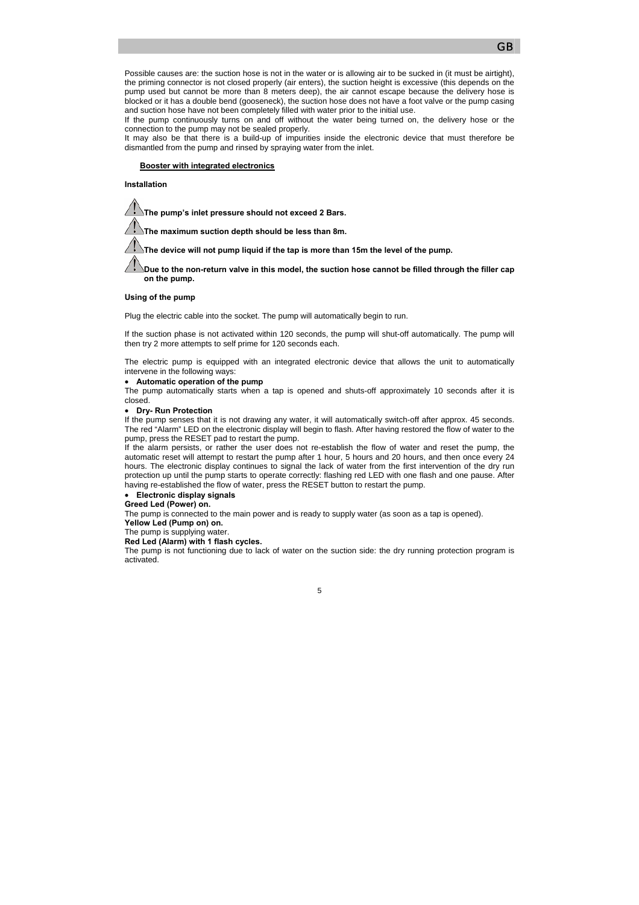Possible causes are: the suction hose is not in the water or is allowing air to be sucked in (it must be airtight), the priming connector is not closed properly (air enters), the suction height is excessive (this depends on the pump used but cannot be more than 8 meters deep), the air cannot escape because the delivery hose is blocked or it has a double bend (gooseneck), the suction hose does not have a foot valve or the pump casing and suction hose have not been completely filled with water prior to the initial use.

If the pump continuously turns on and off without the water being turned on, the delivery hose or the connection to the pump may not be sealed properly.

It may also be that there is a build-up of impurities inside the electronic device that must therefore be dismantled from the pump and rinsed by spraying water from the inlet.

#### f **Booster with integrated electronics**

**Installation** 

**The pump's inlet pressure should not exceed 2 Bars.** 

**The maximum suction depth should be less than 8m.** 

The device will not pump liquid if the tap is more than 15m the level of the pump.

**Due to the non-return valve in this model, the suction hose cannot be filled through the filler cap on the pump.** 

#### **Using of the pump**

Plug the electric cable into the socket. The pump will automatically begin to run.

If the suction phase is not activated within 120 seconds, the pump will shut-off automatically. The pump will then try 2 more attempts to self prime for 120 seconds each.

The electric pump is equipped with an integrated electronic device that allows the unit to automatically intervene in the following ways:

## • **Automatic operation of the pump**

The pump automatically starts when a tap is opened and shuts-off approximately 10 seconds after it is closed.

### • **Dry- Run Protection**

If the pump senses that it is not drawing any water, it will automatically switch-off after approx. 45 seconds. The red "Alarm" LED on the electronic display will begin to flash. After having restored the flow of water to the pump, press the RESET pad to restart the pump.

If the alarm persists, or rather the user does not re-establish the flow of water and reset the pump, the automatic reset will attempt to restart the pump after 1 hour, 5 hours and 20 hours, and then once every 24 hours. The electronic display continues to signal the lack of water from the first intervention of the dry run protection up until the pump starts to operate correctly: flashing red LED with one flash and one pause. After having re-established the flow of water, press the RESET button to restart the pump.

### • **Electronic display signals**

### **Greed Led (Power) on.**

The pump is connected to the main power and is ready to supply water (as soon as a tap is opened). **Yellow Led (Pump on) on.** 

The pump is supplying water.

#### **Red Led (Alarm) with 1 flash cycles.**

The pump is not functioning due to lack of water on the suction side: the dry running protection program is activated.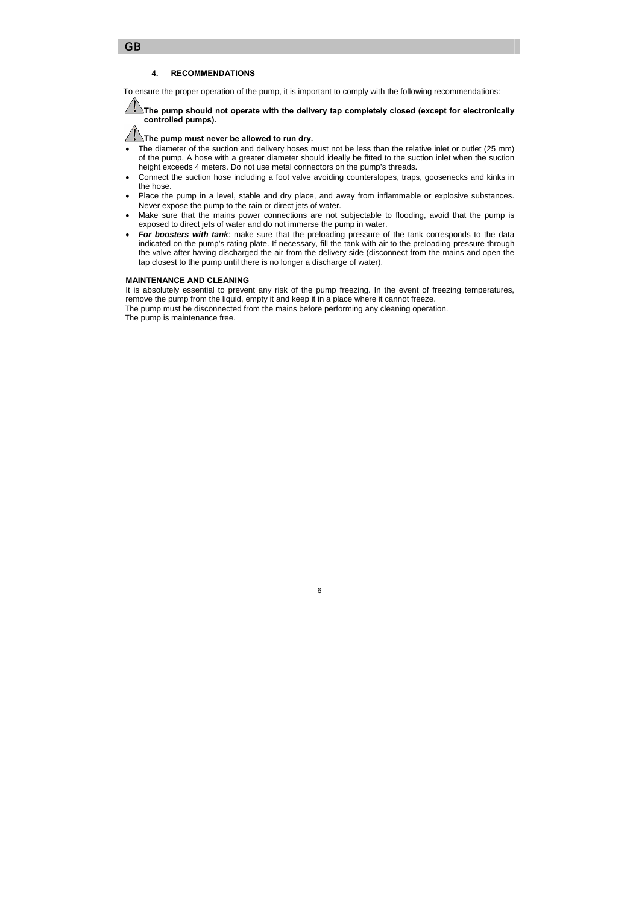### GB

### **4. RECOMMENDATIONS**

To ensure the proper operation of the pump, it is important to comply with the following recommendations:

**The pump should not operate with the delivery tap completely closed (except for electronically controlled pumps).** 

# **The pump must never be allowed to run dry.**

- The diameter of the suction and delivery hoses must not be less than the relative inlet or outlet (25 mm) of the pump. A hose with a greater diameter should ideally be fitted to the suction inlet when the suction height exceeds 4 meters. Do not use metal connectors on the pump's threads.
- Connect the suction hose including a foot valve avoiding counterslopes, traps, goosenecks and kinks in the hose.
- Place the pump in a level, stable and dry place, and away from inflammable or explosive substances. Never expose the pump to the rain or direct jets of water.
- Make sure that the mains power connections are not subjectable to flooding, avoid that the pump is exposed to direct jets of water and do not immerse the pump in water.
- *For boosters with tank*: make sure that the preloading pressure of the tank corresponds to the data indicated on the pump's rating plate. If necessary, fill the tank with air to the preloading pressure through the valve after having discharged the air from the delivery side (disconnect from the mains and open the tap closest to the pump until there is no longer a discharge of water).

### **MAINTENANCE AND CLEANING**

It is absolutely essential to prevent any risk of the pump freezing. In the event of freezing temperatures, remove the pump from the liquid, empty it and keep it in a place where it cannot freeze.

The pump must be disconnected from the mains before performing any cleaning operation.

The pump is maintenance free.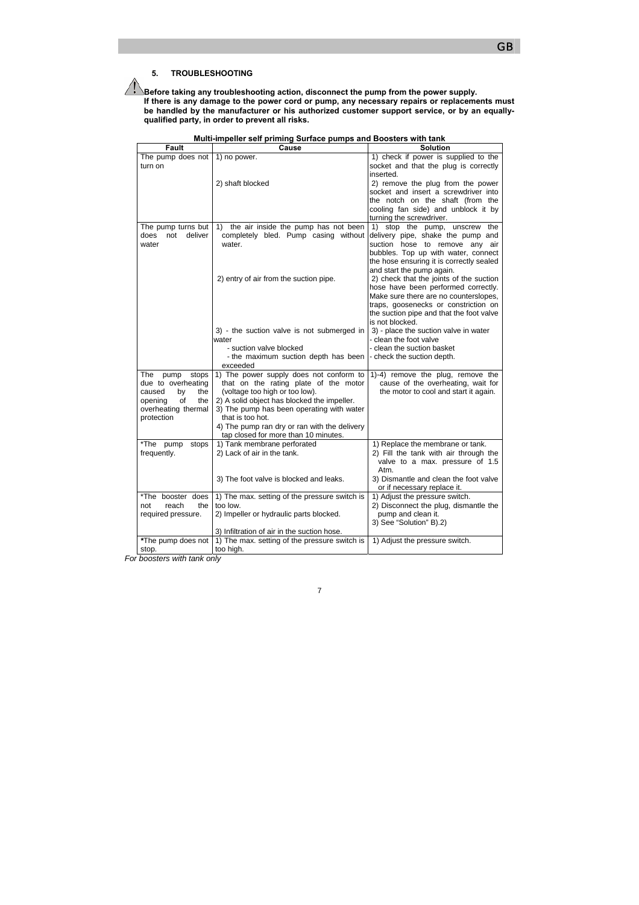**Before taking any troubleshooting action, disconnect the pump from the power supply. If there is any damage to the power cord or pump, any necessary repairs or replacements must be handled by the manufacturer or his authorized customer support service, or by an equallyqualified party, in order to prevent all risks.** 

| Fault                                     | Cause                                                                   | Solution                                                                    |
|-------------------------------------------|-------------------------------------------------------------------------|-----------------------------------------------------------------------------|
| The pump does not $\vert$ 1) no power.    |                                                                         | 1) check if power is supplied to the                                        |
| turn on                                   |                                                                         | socket and that the plug is correctly                                       |
|                                           |                                                                         | inserted.                                                                   |
|                                           | 2) shaft blocked                                                        | 2) remove the plug from the power                                           |
|                                           |                                                                         | socket and insert a screwdriver into                                        |
|                                           |                                                                         | the notch on the shaft (from the                                            |
|                                           |                                                                         | cooling fan side) and unblock it by                                         |
|                                           |                                                                         | turning the screwdriver.                                                    |
| The pump turns but                        | the air inside the pump has not been<br>1)                              | 1) stop the pump, unscrew<br>the                                            |
| does<br>not<br>deliver<br>water           | completely bled. Pump casing without<br>water.                          | delivery pipe, shake the pump and<br>suction hose to remove any air         |
|                                           |                                                                         | bubbles. Top up with water, connect                                         |
|                                           |                                                                         | the hose ensuring it is correctly sealed                                    |
|                                           |                                                                         | and start the pump again.                                                   |
|                                           | 2) entry of air from the suction pipe.                                  | 2) check that the joints of the suction                                     |
|                                           |                                                                         | hose have been performed correctly.                                         |
|                                           |                                                                         | Make sure there are no counterslopes,                                       |
|                                           |                                                                         | traps, goosenecks or constriction on                                        |
|                                           |                                                                         | the suction pipe and that the foot valve                                    |
|                                           |                                                                         | is not blocked.                                                             |
|                                           | 3) - the suction valve is not submerged in                              | 3) - place the suction valve in water                                       |
|                                           | water                                                                   | - clean the foot valve                                                      |
|                                           | - suction valve blocked                                                 | - clean the suction basket                                                  |
|                                           | - the maximum suction depth has been                                    | check the suction depth.                                                    |
|                                           | exceeded                                                                |                                                                             |
| The<br>pump<br>stops                      | 1) The power supply does not conform to                                 | 1)-4) remove the plug, remove the                                           |
| due to overheating<br>caused<br>by<br>the | that on the rating plate of the motor<br>(voltage too high or too low). | cause of the overheating, wait for<br>the motor to cool and start it again. |
| οf<br>opening<br>the                      | 2) A solid object has blocked the impeller.                             |                                                                             |
| overheating thermal                       | 3) The pump has been operating with water                               |                                                                             |
| protection                                | that is too hot.                                                        |                                                                             |
|                                           | 4) The pump ran dry or ran with the delivery                            |                                                                             |
|                                           | tap closed for more than 10 minutes.                                    |                                                                             |
| *The pump<br>stops                        | 1) Tank membrane perforated                                             | 1) Replace the membrane or tank.                                            |
| frequently.                               | 2) Lack of air in the tank.                                             | 2) Fill the tank with air through the                                       |
|                                           |                                                                         | valve to a max. pressure of 1.5                                             |
|                                           |                                                                         | Atm.                                                                        |
|                                           | 3) The foot valve is blocked and leaks.                                 | 3) Dismantle and clean the foot valve                                       |
|                                           |                                                                         | or if necessary replace it.                                                 |
| *The booster does                         | 1) The max. setting of the pressure switch is                           | 1) Adjust the pressure switch.                                              |
| reach<br>the<br>not                       | too low.                                                                | 2) Disconnect the plug, dismantle the                                       |
| required pressure.                        | 2) Impeller or hydraulic parts blocked.                                 | pump and clean it.                                                          |
|                                           |                                                                         | 3) See "Solution" B).2)                                                     |
|                                           | 3) Infiltration of air in the suction hose.                             |                                                                             |
| *The pump does not                        | 1) The max. setting of the pressure switch is                           | 1) Adjust the pressure switch.                                              |
| stop.                                     | too high.                                                               |                                                                             |

7

**Multi-impeller self priming Surface pumps and Boosters with tank**

*For boosters with tank only*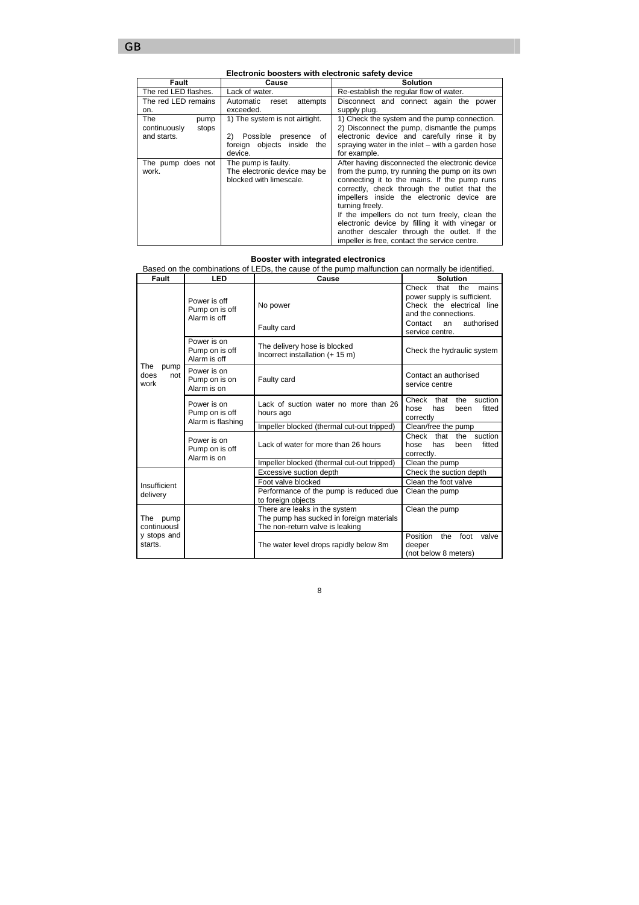| Fault                                  | Cause                            | <b>Solution</b>                                  |  |
|----------------------------------------|----------------------------------|--------------------------------------------------|--|
| The red LED flashes.<br>Lack of water. |                                  | Re-establish the regular flow of water.          |  |
| The red LED remains                    | Automatic<br>attempts<br>reset   | Disconnect and connect again the power           |  |
| on.                                    | exceeded.                        | supply plug.                                     |  |
| The<br>pump                            | 1) The system is not airtight.   | 1) Check the system and the pump connection.     |  |
| continuously<br>stops                  |                                  | 2) Disconnect the pump, dismantle the pumps      |  |
| and starts.                            | Possible<br>2)<br>presence<br>οf | electronic device and carefully rinse it by      |  |
|                                        | foreign objects inside the       | spraying water in the inlet – with a garden hose |  |
|                                        | device.                          | for example.                                     |  |
| The pump does not                      | The pump is faulty.              | After having disconnected the electronic device  |  |
| work.                                  | The electronic device may be     | from the pump, try running the pump on its own   |  |
|                                        | blocked with limescale.          | connecting it to the mains. If the pump runs     |  |
|                                        |                                  | correctly, check through the outlet that the     |  |
|                                        |                                  | impellers inside the electronic device are       |  |
|                                        |                                  | turning freely.                                  |  |
|                                        |                                  | If the impellers do not turn freely, clean the   |  |
|                                        |                                  | electronic device by filling it with vinegar or  |  |
|                                        |                                  | another descaler through the outlet. If the      |  |
|                                        |                                  | impeller is free, contact the service centre.    |  |

**Electronic boosters with electronic safety device** 

#### **Booster with integrated electronics**

Based on the combinations of LEDs, the cause of the pump malfunction can normally be identified.

| Fault                              | LED                                                | Cause                                                                                                        | <b>Solution</b>                                                                                                                                                     |
|------------------------------------|----------------------------------------------------|--------------------------------------------------------------------------------------------------------------|---------------------------------------------------------------------------------------------------------------------------------------------------------------------|
|                                    | Power is off<br>Pump on is off<br>Alarm is off     | No power<br>Faulty card                                                                                      | Check<br>that<br>the<br>mains<br>power supply is sufficient.<br>Check the electrical line<br>and the connections.<br>authorised<br>Contact<br>an<br>service centre. |
|                                    | Power is on<br>Pump on is off<br>Alarm is off      | The delivery hose is blocked<br>Incorrect installation (+ 15 m)                                              | Check the hydraulic system                                                                                                                                          |
| The<br>pump<br>does<br>not<br>work | Power is on<br>Pump on is on<br>Alarm is on        | Faulty card                                                                                                  | Contact an authorised<br>service centre                                                                                                                             |
|                                    | Power is on<br>Pump on is off<br>Alarm is flashing | Lack of suction water no more than 26<br>hours ago                                                           | suction<br>Check<br>that<br>the<br>fitted<br>hose<br>has<br>been<br>correctly                                                                                       |
|                                    |                                                    | Impeller blocked (thermal cut-out tripped)                                                                   | Clean/free the pump                                                                                                                                                 |
|                                    | Power is on<br>Pump on is off<br>Alarm is on       | Lack of water for more than 26 hours                                                                         | the suction<br>Check<br>that<br>has<br>fitted<br>hose<br>been<br>correctly.                                                                                         |
|                                    |                                                    | Impeller blocked (thermal cut-out tripped)                                                                   | Clean the pump                                                                                                                                                      |
|                                    |                                                    | Excessive suction depth                                                                                      | Check the suction depth                                                                                                                                             |
| Insufficient                       |                                                    | Foot valve blocked                                                                                           | Clean the foot valve                                                                                                                                                |
| delivery                           |                                                    | Performance of the pump is reduced due<br>to foreign objects                                                 | Clean the pump                                                                                                                                                      |
| The<br>pump<br>continuousl         |                                                    | There are leaks in the system<br>The pump has sucked in foreign materials<br>The non-return valve is leaking | Clean the pump                                                                                                                                                      |
| y stops and<br>starts.             |                                                    | The water level drops rapidly below 8m                                                                       | Position<br>the<br>foot<br>valve<br>deeper<br>(not below 8 meters)                                                                                                  |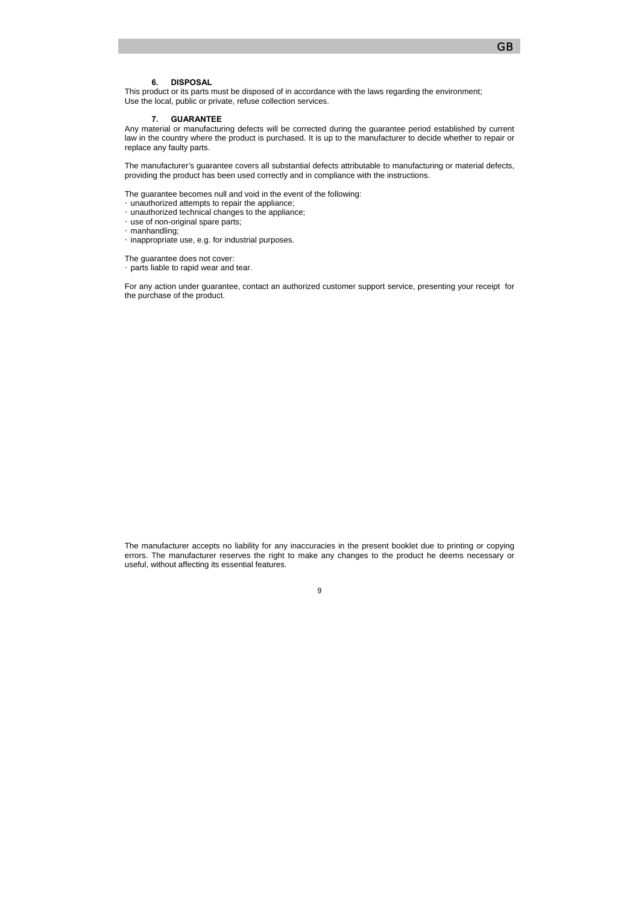### **6. DISPOSAL**

This product or its parts must be disposed of in accordance with the laws regarding the environment; Use the local, public or private, refuse collection services.

#### **7. GUARANTEE**

Any material or manufacturing defects will be corrected during the guarantee period established by current law in the country where the product is purchased. It is up to the manufacturer to decide whether to repair or replace any faulty parts.

The manufacturer's guarantee covers all substantial defects attributable to manufacturing or material defects, providing the product has been used correctly and in compliance with the instructions.

The guarantee becomes null and void in the event of the following: (Eunauthorized attempts to repair the appliance; (Eunauthorized technical changes to the appliance; (Euse of non-original spare parts; *<u>Gmanhandling</u>* Ginappropriate use, e.g. for industrial purposes.

The guarantee does not cover: y parts liable to rapid wear and tear.

For any action under guarantee, contact an authorized customer support service, presenting your receipt for the purchase of the product.

The manufacturer accepts no liability for any inaccuracies in the present booklet due to printing or copying errors. The manufacturer reserves the right to make any changes to the product he deems necessary or useful, without affecting its essential features.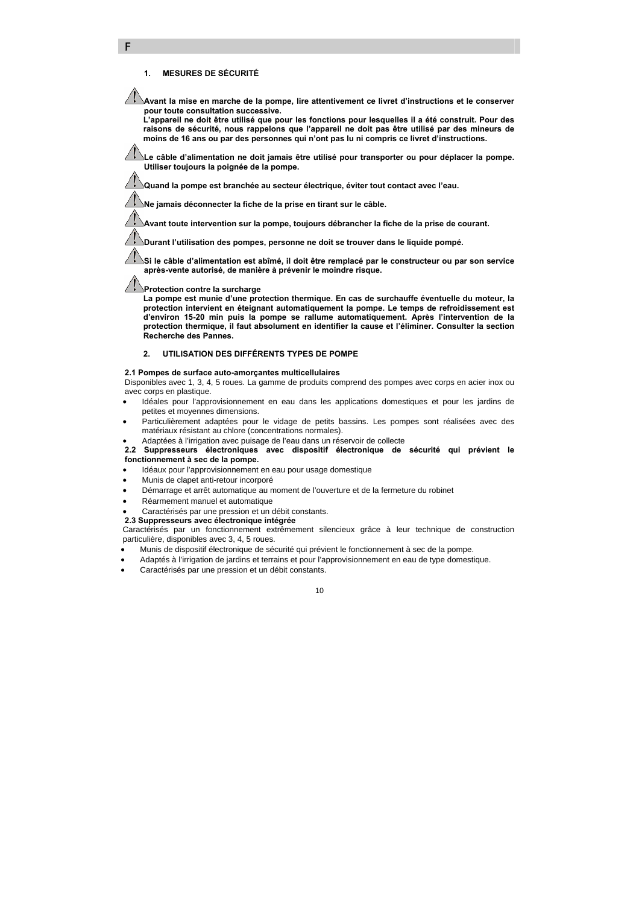### **1. MESURES DE SÉCURITÉ**

F

**Avant la mise en marche de la pompe, lire attentivement ce livret d'instructions et le conserver pour toute consultation successive.** 

**L'appareil ne doit être utilisé que pour les fonctions pour lesquelles il a été construit. Pour des raisons de sécurité, nous rappelons que l'appareil ne doit pas être utilisé par des mineurs de moins de 16 ans ou par des personnes qui n'ont pas lu ni compris ce livret d'instructions.** 

**Le câble d'alimentation ne doit jamais être utilisé pour transporter ou pour déplacer la pompe. Utiliser toujours la poignée de la pompe.** 

**Quand la pompe est branchée au secteur électrique, éviter tout contact avec l'eau.**

**Ne jamais déconnecter la fiche de la prise en tirant sur le câble.**

**Avant toute intervention sur la pompe, toujours débrancher la fiche de la prise de courant.** 

**Durant l'utilisation des pompes, personne ne doit se trouver dans le liquide pompé.** 

**Si le câble d'alimentation est abîmé, il doit être remplacé par le constructeur ou par son service après-vente autorisé, de manière à prévenir le moindre risque.** 

**Protection contre la surcharge** 

**La pompe est munie d'une protection thermique. En cas de surchauffe éventuelle du moteur, la protection intervient en éteignant automatiquement la pompe. Le temps de refroidissement est d'environ 15-20 min puis la pompe se rallume automatiquement. Après l'intervention de la protection thermique, il faut absolument en identifier la cause et l'éliminer. Consulter la section Recherche des Pannes.** 

### **2. UTILISATION DES DIFFÉRENTS TYPES DE POMPE**

#### **2.1 Pompes de surface auto-amorçantes multicellulaires**

Disponibles avec 1, 3, 4, 5 roues. La gamme de produits comprend des pompes avec corps en acier inox ou avec corps en plastique.

- Idéales pour l'approvisionnement en eau dans les applications domestiques et pour les jardins de petites et moyennes dimensions.
- Particulièrement adaptées pour le vidage de petits bassins. Les pompes sont réalisées avec des matériaux résistant au chlore (concentrations normales).
- Adaptées à l'irrigation avec puisage de l'eau dans un réservoir de collecte

**2.2 Suppresseurs électroniques avec dispositif électronique de sécurité qui prévient le fonctionnement à sec de la pompe.**

- Idéaux pour l'approvisionnement en eau pour usage domestique
- Munis de clapet anti-retour incorporé
- Démarrage et arrêt automatique au moment de l'ouverture et de la fermeture du robinet
- Réarmement manuel et automatique
- Caractérisés par une pression et un débit constants.
- **2.3 Suppresseurs avec électronique intégrée**

Caractérisés par un fonctionnement extrêmement silencieux grâce à leur technique de construction particulière, disponibles avec 3, 4, 5 roues.

- Munis de dispositif électronique de sécurité qui prévient le fonctionnement à sec de la pompe.
- Adaptés à l'irrigation de jardins et terrains et pour l'approvisionnement en eau de type domestique.
- Caractérisés par une pression et un débit constants.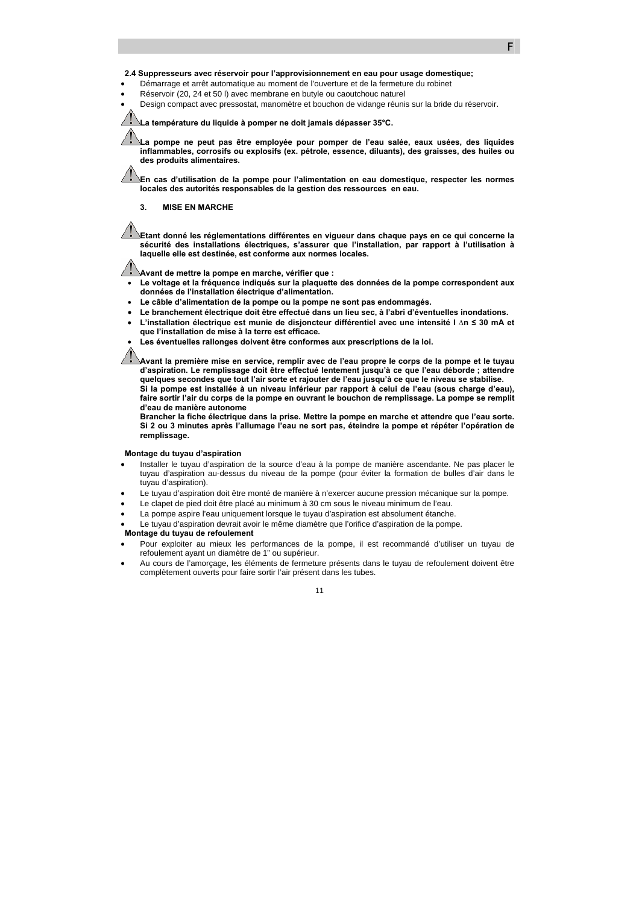### **2.4 Suppresseurs avec réservoir pour l'approvisionnement en eau pour usage domestique;**

- Démarrage et arrêt automatique au moment de l'ouverture et de la fermeture du robinet
- Réservoir (20, 24 et 50 l) avec membrane en butyle ou caoutchouc naturel
- Design compact avec pressostat, manomètre et bouchon de vidange réunis sur la bride du réservoir.

#### **La température du liquide à pomper ne doit jamais dépasser 35°C.**

**La pompe ne peut pas être employée pour pomper de l'eau salée, eaux usées, des liquides inflammables, corrosifs ou explosifs (ex. pétrole, essence, diluants), des graisses, des huiles ou des produits alimentaires.** 

**En cas d'utilisation de la pompe pour l'alimentation en eau domestique, respecter les normes locales des autorités responsables de la gestion des ressources en eau.** 

#### **3. MISE EN MARCHE**

**Etant donné les réglementations différentes en vigueur dans chaque pays en ce qui concerne la sécurité des installations électriques, s'assurer que l'installation, par rapport à l'utilisation à laquelle elle est destinée, est conforme aux normes locales.** 

**Avant de mettre la pompe en marche, vérifier que :** 

- **Le voltage et la fréquence indiqués sur la plaquette des données de la pompe correspondent aux données de l'installation électrique d'alimentation.**
- **Le câble d'alimentation de la pompe ou la pompe ne sont pas endommagés.**
- **Le branchement électrique doit être effectué dans un lieu sec, à l'abri d'éventuelles inondations.**
- **L'installation électrique est munie de disjoncteur différentiel avec une intensité I ∆n ≤ 30 mA et que l'installation de mise à la terre est efficace.**
- **Les éventuelles rallonges doivent être conformes aux prescriptions de la loi.**

**Avant la première mise en service, remplir avec de l'eau propre le corps de la pompe et le tuyau d'aspiration. Le remplissage doit être effectué lentement jusqu'à ce que l'eau déborde ; attendre quelques secondes que tout l'air sorte et rajouter de l'eau jusqu'à ce que le niveau se stabilise. Si la pompe est installée à un niveau inférieur par rapport à celui de l'eau (sous charge d'eau), faire sortir l'air du corps de la pompe en ouvrant le bouchon de remplissage. La pompe se remplit d'eau de manière autonome** 

**Brancher la fiche électrique dans la prise. Mettre la pompe en marche et attendre que l'eau sorte. Si 2 ou 3 minutes après l'allumage l'eau ne sort pas, éteindre la pompe et répéter l'opération de remplissage.** 

#### **Montage du tuyau d'aspiration**

- Installer le tuyau d'aspiration de la source d'eau à la pompe de manière ascendante. Ne pas placer le tuyau d'aspiration au-dessus du niveau de la pompe (pour éviter la formation de bulles d'air dans le tuyau d'aspiration).
- Le tuyau d'aspiration doit être monté de manière à n'exercer aucune pression mécanique sur la pompe.
- Le clapet de pied doit être placé au minimum à 30 cm sous le niveau minimum de l'eau.
- La pompe aspire l'eau uniquement lorsque le tuyau d'aspiration est absolument étanche.
- Le tuyau d'aspiration devrait avoir le même diamètre que l'orifice d'aspiration de la pompe.

### **Montage du tuyau de refoulement**

- Pour exploiter au mieux les performances de la pompe, il est recommandé d'utiliser un tuyau de refoulement ayant un diamètre de 1" ou supérieur.
- Au cours de l'amorçage, les éléments de fermeture présents dans le tuyau de refoulement doivent être complètement ouverts pour faire sortir l'air présent dans les tubes.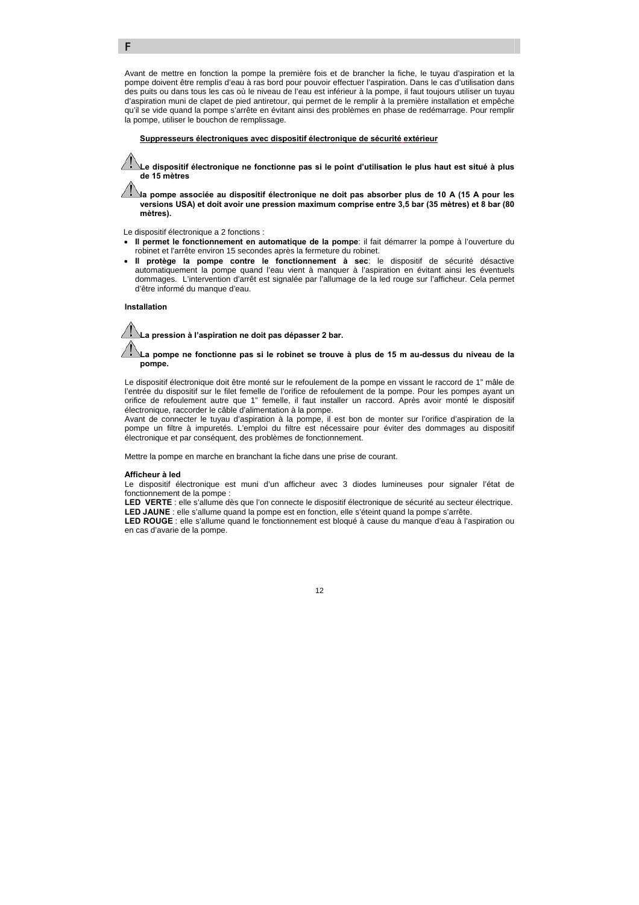Avant de mettre en fonction la pompe la première fois et de brancher la fiche, le tuyau d'aspiration et la pompe doivent être remplis d'eau à ras bord pour pouvoir effectuer l'aspiration. Dans le cas d'utilisation dans des puits ou dans tous les cas où le niveau de l'eau est inférieur à la pompe, il faut toujours utiliser un tuyau d'aspiration muni de clapet de pied antiretour, qui permet de le remplir à la première installation et empêche qu'il se vide quand la pompe s'arrête en évitant ainsi des problèmes en phase de redémarrage. Pour remplir la pompe, utiliser le bouchon de remplissage.

### f **Suppresseurs électroniques avec dispositif électronique de sécurité extérieur**

**Le dispositif électronique ne fonctionne pas si le point d'utilisation le plus haut est situé à plus de 15 mètres** 

**la pompe associée au dispositif électronique ne doit pas absorber plus de 10 A (15 A pour les versions USA) et doit avoir une pression maximum comprise entre 3,5 bar (35 mètres) et 8 bar (80 mètres).** 

Le dispositif électronique a 2 fonctions :

- **Il permet le fonctionnement en automatique de la pompe**: il fait démarrer la pompe à l'ouverture du robinet et l'arrête environ 15 secondes après la fermeture du robinet.
- **Il protège la pompe contre le fonctionnement à sec**: le dispositif de sécurité désactive automatiquement la pompe quand l'eau vient à manquer à l'aspiration en évitant ainsi les éventuels dommages. L'intervention d'arrêt est signalée par l'allumage de la led rouge sur l'afficheur. Cela permet d'être informé du manque d'eau.

#### **Installation**

F



**La pompe ne fonctionne pas si le robinet se trouve à plus de 15 m au-dessus du niveau de la pompe.** 

Le dispositif électronique doit être monté sur le refoulement de la pompe en vissant le raccord de 1" mâle de l'entrée du dispositif sur le filet femelle de l'orifice de refoulement de la pompe. Pour les pompes ayant un orifice de refoulement autre que 1" femelle, il faut installer un raccord. Après avoir monté le dispositif électronique, raccorder le câble d'alimentation à la pompe.

Avant de connecter le tuyau d'aspiration à la pompe, il est bon de monter sur l'orifice d'aspiration de la pompe un filtre à impuretés. L'emploi du filtre est nécessaire pour éviter des dommages au dispositif électronique et par conséquent, des problèmes de fonctionnement.

Mettre la pompe en marche en branchant la fiche dans une prise de courant.

#### **Afficheur à led**

Le dispositif électronique est muni d'un afficheur avec 3 diodes lumineuses pour signaler l'état de fonctionnement de la pompe :

LED VERTE : elle s'allume dès que l'on connecte le dispositif électronique de sécurité au secteur électrique. **LED JAUNE** : elle s'allume quand la pompe est en fonction, elle s'éteint quand la pompe s'arrête.

LED ROUGE : elle s'allume quand le fonctionnement est bloqué à cause du manque d'eau à l'aspiration ou en cas d'avarie de la pompe.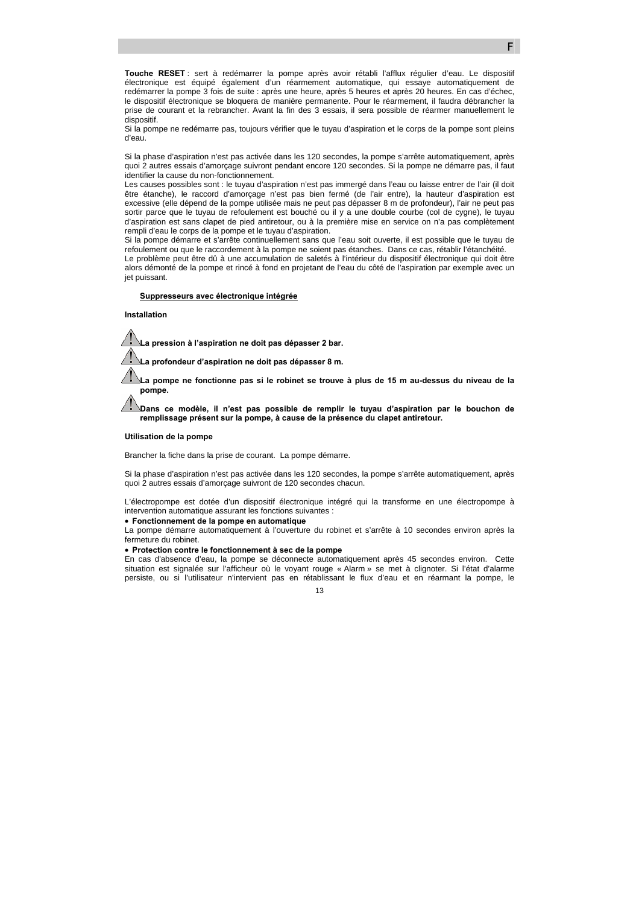**Touche RESET** : sert à redémarrer la pompe après avoir rétabli l'afflux régulier d'eau. Le dispositif électronique est équipé également d'un réarmement automatique, qui essaye automatiquement de redémarrer la pompe 3 fois de suite : après une heure, après 5 heures et après 20 heures. En cas d'échec, le dispositif électronique se bloquera de manière permanente. Pour le réarmement, il faudra débrancher la prise de courant et la rebrancher. Avant la fin des 3 essais, il sera possible de réarmer manuellement le dispositif.

Si la pompe ne redémarre pas, toujours vérifier que le tuyau d'aspiration et le corps de la pompe sont pleins d'eau.

Si la phase d'aspiration n'est pas activée dans les 120 secondes, la pompe s'arrête automatiquement, après quoi 2 autres essais d'amorçage suivront pendant encore 120 secondes. Si la pompe ne démarre pas, il faut identifier la cause du non-fonctionnement.

Les causes possibles sont : le tuyau d'aspiration n'est pas immergé dans l'eau ou laisse entrer de l'air (il doit être étanche), le raccord d'amorçage n'est pas bien fermé (de l'air entre), la hauteur d'aspiration est excessive (elle dépend de la pompe utilisée mais ne peut pas dépasser 8 m de profondeur), l'air ne peut pas sortir parce que le tuyau de refoulement est bouché ou il y a une double courbe (col de cygne), le tuyau d'aspiration est sans clapet de pied antiretour, ou à la première mise en service on n'a pas complètement rempli d'eau le corps de la pompe et le tuyau d'aspiration.

Si la pompe démarre et s'arrête continuellement sans que l'eau soit ouverte, il est possible que le tuyau de refoulement ou que le raccordement à la pompe ne soient pas étanches. Dans ce cas, rétablir l'étanchéité.

Le problème peut être dû à une accumulation de saletés à l'intérieur du dispositif électronique qui doit être alors démonté de la pompe et rincé à fond en projetant de l'eau du côté de l'aspiration par exemple avec un jet puissant.

#### f **Suppresseurs avec électronique intégrée**

#### **Installation**

**La pression à l'aspiration ne doit pas dépasser 2 bar.** 

**La profondeur d'aspiration ne doit pas dépasser 8 m.** 

**La pompe ne fonctionne pas si le robinet se trouve à plus de 15 m au-dessus du niveau de la pompe.** 

**Dans ce modèle, il n'est pas possible de remplir le tuyau d'aspiration par le bouchon de remplissage présent sur la pompe, à cause de la présence du clapet antiretour.** 

#### **Utilisation de la pompe**

Brancher la fiche dans la prise de courant. La pompe démarre.

Si la phase d'aspiration n'est pas activée dans les 120 secondes, la pompe s'arrête automatiquement, après quoi 2 autres essais d'amorçage suivront de 120 secondes chacun.

L'électropompe est dotée d'un dispositif électronique intégré qui la transforme en une électropompe à intervention automatique assurant les fonctions suivantes :

### • **Fonctionnement de la pompe en automatique**

La pompe démarre automatiquement à l'ouverture du robinet et s'arrête à 10 secondes environ après la fermeture du robinet.

#### • **Protection contre le fonctionnement à sec de la pompe**

En cas d'absence d'eau, la pompe se déconnecte automatiquement après 45 secondes environ. Cette situation est signalée sur l'afficheur où le voyant rouge « Alarm » se met à clignoter. Si l'état d'alarme persiste, ou si l'utilisateur n'intervient pas en rétablissant le flux d'eau et en réarmant la pompe, le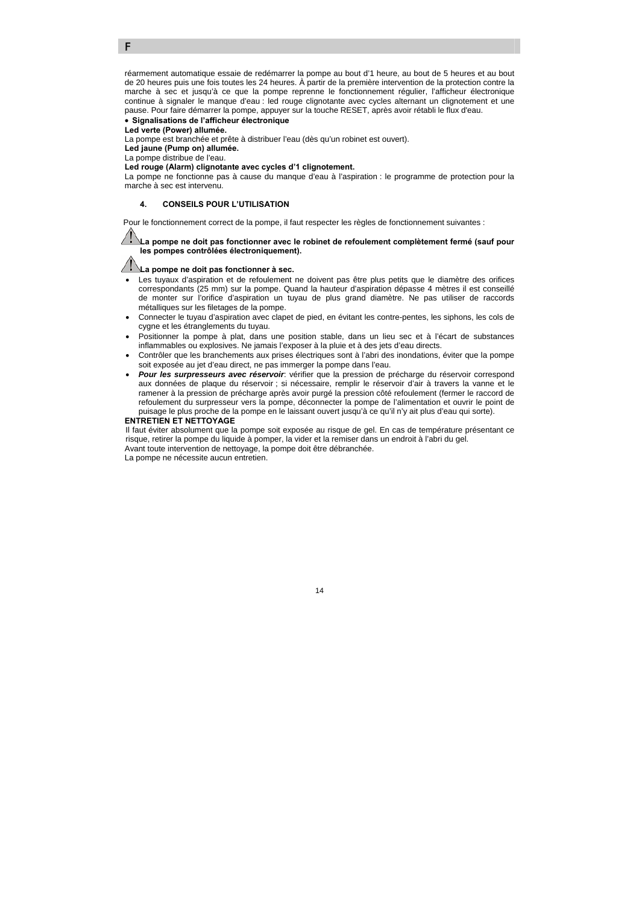réarmement automatique essaie de redémarrer la pompe au bout d'1 heure, au bout de 5 heures et au bout de 20 heures puis une fois toutes les 24 heures. À partir de la première intervention de la protection contre la marche à sec et jusqu'à ce que la pompe reprenne le fonctionnement régulier, l'afficheur électronique continue à signaler le manque d'eau : led rouge clignotante avec cycles alternant un clignotement et une pause. Pour faire démarrer la pompe, appuyer sur la touche RESET, après avoir rétabli le flux d'eau. • **Signalisations de l'afficheur électronique** 

**Led verte (Power) allumée.** 

La pompe est branchée et prête à distribuer l'eau (dès qu'un robinet est ouvert).

**Led jaune (Pump on) allumée.** 

La pompe distribue de l'eau.

F

### **Led rouge (Alarm) clignotante avec cycles d'1 clignotement.**

La pompe ne fonctionne pas à cause du manque d'eau à l'aspiration : le programme de protection pour la marche à sec est intervenu.

### **4. CONSEILS POUR L'UTILISATION**

Pour le fonctionnement correct de la pompe, il faut respecter les règles de fonctionnement suivantes :

#### **La pompe ne doit pas fonctionner avec le robinet de refoulement complètement fermé (sauf pour les pompes contrôlées électroniquement).**

# **La pompe ne doit pas fonctionner à sec.**

- Les tuyaux d'aspiration et de refoulement ne doivent pas être plus petits que le diamètre des orifices correspondants (25 mm) sur la pompe. Quand la hauteur d'aspiration dépasse 4 mètres il est conseillé de monter sur l'orifice d'aspiration un tuyau de plus grand diamètre. Ne pas utiliser de raccords métalliques sur les filetages de la pompe.
- Connecter le tuyau d'aspiration avec clapet de pied, en évitant les contre-pentes, les siphons, les cols de cygne et les étranglements du tuyau.
- Positionner la pompe à plat, dans une position stable, dans un lieu sec et à l'écart de substances inflammables ou explosives. Ne jamais l'exposer à la pluie et à des jets d'eau directs.
- Contrôler que les branchements aux prises électriques sont à l'abri des inondations, éviter que la pompe soit exposée au jet d'eau direct, ne pas immerger la pompe dans l'eau.
- *Pour les surpresseurs avec réservoir*: vérifier que la pression de précharge du réservoir correspond aux données de plaque du réservoir ; si nécessaire, remplir le réservoir d'air à travers la vanne et le ramener à la pression de précharge après avoir purgé la pression côté refoulement (fermer le raccord de refoulement du surpresseur vers la pompe, déconnecter la pompe de l'alimentation et ouvrir le point de puisage le plus proche de la pompe en le laissant ouvert jusqu'à ce qu'il n'y ait plus d'eau qui sorte).

### **ENTRETIEN ET NETTOYAGE**

Il faut éviter absolument que la pompe soit exposée au risque de gel. En cas de température présentant ce risque, retirer la pompe du liquide à pomper, la vider et la remiser dans un endroit à l'abri du gel. Avant toute intervention de nettoyage, la pompe doit être débranchée.

La pompe ne nécessite aucun entretien.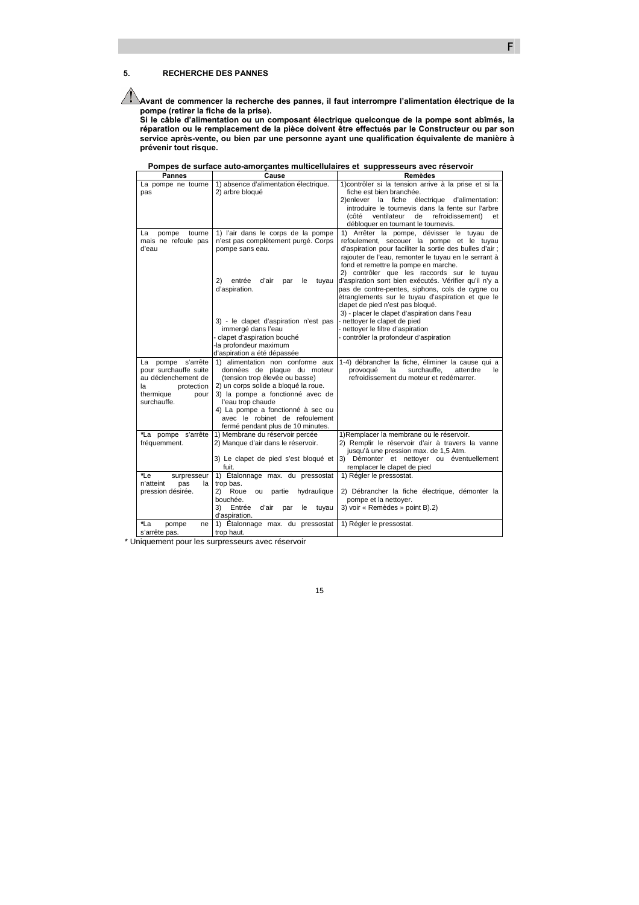### **5. RECHERCHE DES PANNES**

**Avant de commencer la recherche des pannes, il faut interrompre l'alimentation électrique de la pompe (retirer la fiche de la prise).** 

F

 $\overline{\phantom{a}}$ 

**Si le câble d'alimentation ou un composant électrique quelconque de la pompe sont abîmés, la réparation ou le remplacement de la pièce doivent être effectués par le Constructeur ou par son service après-vente, ou bien par une personne ayant une qualification équivalente de manière à prévenir tout risque.** 

|  | Pompes de surface auto-amorçantes multicellulaires et suppresseurs avec réservoir |  |  |
|--|-----------------------------------------------------------------------------------|--|--|
|  |                                                                                   |  |  |

| <b>Pannes</b>          | Cause                                        | <b>Remèdes</b>                                           |
|------------------------|----------------------------------------------|----------------------------------------------------------|
| La pompe ne tourne     | 1) absence d'alimentation électrique.        | 1) contrôler si la tension arrive à la prise et si la    |
| pas                    | 2) arbre bloqué                              | fiche est bien branchée.                                 |
|                        |                                              | 2) enlever la fiche électrique d'alimentation:           |
|                        |                                              | introduire le tournevis dans la fente sur l'arbre        |
|                        |                                              | (côté ventilateur<br>de<br>refroidissement)<br>et        |
|                        |                                              | débloquer en tournant le tournevis.                      |
| pompe<br>tourne<br>La  | 1) l'air dans le corps de la pompe           | 1) Arrêter la pompe, dévisser le tuyau de                |
| mais ne refoule pas    | n'est pas complètement purgé. Corps          | refoulement, secouer la pompe et le tuyau                |
| d'eau                  | pompe sans eau.                              | d'aspiration pour faciliter la sortie des bulles d'air ; |
|                        |                                              | rajouter de l'eau, remonter le tuyau en le serrant à     |
|                        |                                              | fond et remettre la pompe en marche.                     |
|                        |                                              | 2) contrôler que les raccords sur le tuyau               |
|                        | entrée<br>d'air<br>(2)<br>le<br>tuyau<br>par | d'aspiration sont bien exécutés. Vérifier qu'il n'y a    |
|                        | d'aspiration.                                | pas de contre-pentes, siphons, cols de cygne ou          |
|                        |                                              | étranglements sur le tuyau d'aspiration et que le        |
|                        |                                              | clapet de pied n'est pas bloqué.                         |
|                        |                                              | 3) - placer le clapet d'aspiration dans l'eau            |
|                        | 3) - le clapet d'aspiration n'est pas        | - nettoyer le clapet de pied                             |
|                        | immergé dans l'eau                           | - nettoyer le filtre d'aspiration                        |
|                        | - clapet d'aspiration bouché                 | - contrôler la profondeur d'aspiration                   |
|                        | -la profondeur maximum                       |                                                          |
|                        | d'aspiration a été dépassée                  |                                                          |
| La pompe s'arrête      | 1) alimentation non conforme aux             | 1-4) débrancher la fiche, éliminer la cause qui a        |
| pour surchauffe suite  | données de plaque du moteur                  | provoqué<br>surchauffe.<br>attendre<br>la<br>le.         |
| au déclenchement de    | (tension trop élevée ou basse)               | refroidissement du moteur et redémarrer.                 |
| protection<br>la       | 2) un corps solide a bloqué la roue.         |                                                          |
| thermique<br>pour      | 3) la pompe a fonctionné avec de             |                                                          |
| surchauffe.            | l'eau trop chaude                            |                                                          |
|                        | 4) La pompe a fonctionné à sec ou            |                                                          |
|                        | avec le robinet de refoulement               |                                                          |
|                        | fermé pendant plus de 10 minutes.            |                                                          |
| *La pompe s'arrête     | 1) Membrane du réservoir percée              | 1) Remplacer la membrane ou le réservoir.                |
| fréquemment.           | 2) Manque d'air dans le réservoir.           | 2) Remplir le réservoir d'air à travers la vanne         |
|                        |                                              | jusqu'à une pression max. de 1,5 Atm.                    |
|                        | 3) Le clapet de pied s'est bloqué et         | 3) Démonter et nettoyer ou éventuellement                |
|                        | fuit.                                        | remplacer le clapet de pied                              |
| *Le<br>surpresseur     | 1) Étalonnage max. du pressostat             | 1) Régler le pressostat.                                 |
| n'atteint<br>pas<br>la | trop bas.                                    |                                                          |
| pression désirée.      | 2) Roue<br>partie hydraulique<br>ou          | 2) Débrancher la fiche électrique, démonter la           |
|                        | bouchée.                                     | pompe et la nettoyer.                                    |
|                        | 3)<br>Entrée<br>d'air<br>par<br>le<br>tuyau  | 3) voir « Remèdes » point B).2)                          |
|                        | d'aspiration.                                |                                                          |
| *La<br>pompe<br>ne     | 1) Étalonnage max. du pressostat             | 1) Régler le pressostat.                                 |
| s'arrête pas.          | trop haut.                                   |                                                          |

\* Uniquement pour les surpresseurs avec réservoir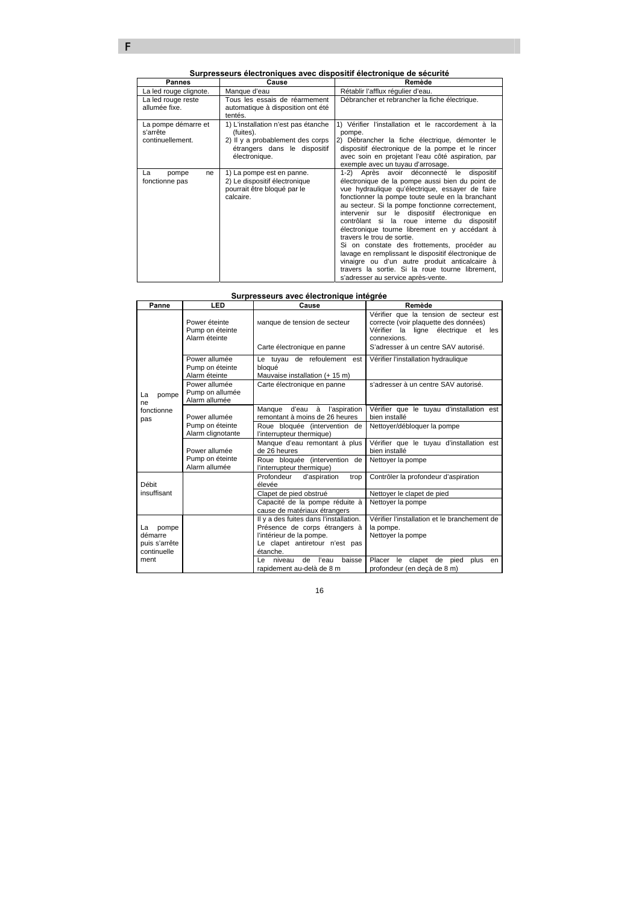| Pannes                                              | Cause                                                                                                                                 | Remède                                                                                                                                                                                                                                                                                                                                                                                                                                                                                                                                                                                                                                                                                         |
|-----------------------------------------------------|---------------------------------------------------------------------------------------------------------------------------------------|------------------------------------------------------------------------------------------------------------------------------------------------------------------------------------------------------------------------------------------------------------------------------------------------------------------------------------------------------------------------------------------------------------------------------------------------------------------------------------------------------------------------------------------------------------------------------------------------------------------------------------------------------------------------------------------------|
| La led rouge clignote.                              | Manque d'eau                                                                                                                          | Rétablir l'afflux régulier d'eau.                                                                                                                                                                                                                                                                                                                                                                                                                                                                                                                                                                                                                                                              |
| La led rouge reste<br>allumée fixe.                 | Tous les essais de réarmement<br>automatique à disposition ont été<br>tentés.                                                         | Débrancher et rebrancher la fiche électrique.                                                                                                                                                                                                                                                                                                                                                                                                                                                                                                                                                                                                                                                  |
| La pompe démarre et<br>s'arrête<br>continuellement. | 1) L'installation n'est pas étanche<br>(fuites).<br>2) Il y a probablement des corps<br>étrangers dans le dispositif<br>électronique. | Vérifier l'installation et le raccordement à la<br>pompe.<br>2) Débrancher la fiche électrique, démonter le<br>dispositif électronique de la pompe et le rincer<br>avec soin en projetant l'eau côté aspiration, par<br>exemple avec un tuyau d'arrosage.                                                                                                                                                                                                                                                                                                                                                                                                                                      |
| La<br>pompe<br>ne<br>fonctionne pas                 | 1) La pompe est en panne.<br>2) Le dispositif électronique<br>pourrait être bloqué par le<br>calcaire.                                | Après avoir déconnecté<br>1-2)<br>le<br>dispositif<br>électronique de la pompe aussi bien du point de<br>vue hydraulique qu'électrique, essayer de faire<br>fonctionner la pompe toute seule en la branchant<br>au secteur. Si la pompe fonctionne correctement,<br>intervenir sur le dispositif électronique en<br>contrôlant si la roue interne du dispositif<br>électronique tourne librement en y accédant à<br>travers le trou de sortie.<br>Si on constate des frottements, procéder au<br>lavage en remplissant le dispositif électronique de<br>vinaigre ou d'un autre produit anticalcaire à<br>travers la sortie. Si la roue tourne librement,<br>s'adresser au service après-vente. |

### **Surpresseurs avec électronique intégrée**

| Panne                                                  | LED                                               | Cause                                                                                                                                             | Remède                                                                                                                                                                           |
|--------------------------------------------------------|---------------------------------------------------|---------------------------------------------------------------------------------------------------------------------------------------------------|----------------------------------------------------------------------------------------------------------------------------------------------------------------------------------|
|                                                        | Power éteinte<br>Pump on éteinte<br>Alarm éteinte | Manque de tension de secteur<br>Carte électronique en panne                                                                                       | Vérifier que la tension de secteur est<br>correcte (voir plaquette des données)<br>Vérifier la ligne électrique<br>et les<br>connexions.<br>S'adresser à un centre SAV autorisé. |
|                                                        | Power allumée<br>Pump on éteinte<br>Alarm éteinte | Le tuyau de refoulement est<br>bloqué<br>Mauvaise installation (+ 15 m)                                                                           | Vérifier l'installation hydraulique                                                                                                                                              |
| pompe<br>La<br>ne                                      | Power allumée<br>Pump on allumée<br>Alarm allumée | Carte électronique en panne                                                                                                                       | s'adresser à un centre SAV autorisé.                                                                                                                                             |
| fonctionne<br>pas                                      | Power allumée                                     | Manque d'eau à l'aspiration<br>remontant à moins de 26 heures                                                                                     | Vérifier que le tuyau d'installation est<br>bien installé                                                                                                                        |
|                                                        | Pump on éteinte<br>Alarm clignotante              | Roue bloquée (intervention de<br>l'interrupteur thermique)                                                                                        | Nettoyer/débloquer la pompe                                                                                                                                                      |
|                                                        | Power allumée                                     | Manque d'eau remontant à plus<br>de 26 heures                                                                                                     | Vérifier que le tuyau d'installation est<br>bien installé                                                                                                                        |
|                                                        | Pump on éteinte<br>Alarm allumée                  | Roue bloquée (intervention de<br>l'interrupteur thermique)                                                                                        | Nettoyer la pompe                                                                                                                                                                |
| Débit                                                  |                                                   | Profondeur<br>d'aspiration<br>trop<br>élevée                                                                                                      | Contrôler la profondeur d'aspiration                                                                                                                                             |
| insuffisant                                            |                                                   | Clapet de pied obstrué                                                                                                                            | Nettoyer le clapet de pied                                                                                                                                                       |
|                                                        |                                                   | Capacité de la pompe réduite à<br>cause de matériaux étrangers                                                                                    | Nettoyer la pompe                                                                                                                                                                |
| La<br>pompe<br>démarre<br>puis s'arrête<br>continuelle |                                                   | Il y a des fuites dans l'installation.<br>Présence de corps étrangers à<br>l'intérieur de la pompe.<br>Le clapet antiretour n'est pas<br>étanche. | Vérifier l'installation et le branchement de<br>la pompe.<br>Nettoyer la pompe                                                                                                   |
| ment                                                   |                                                   | baisse<br>l'eau<br>l e<br>niveau<br>de<br>rapidement au-delà de 8 m                                                                               | Placer<br>le<br>clapet de<br>pied<br>plus<br>en<br>profondeur (en decà de 8 m)                                                                                                   |

F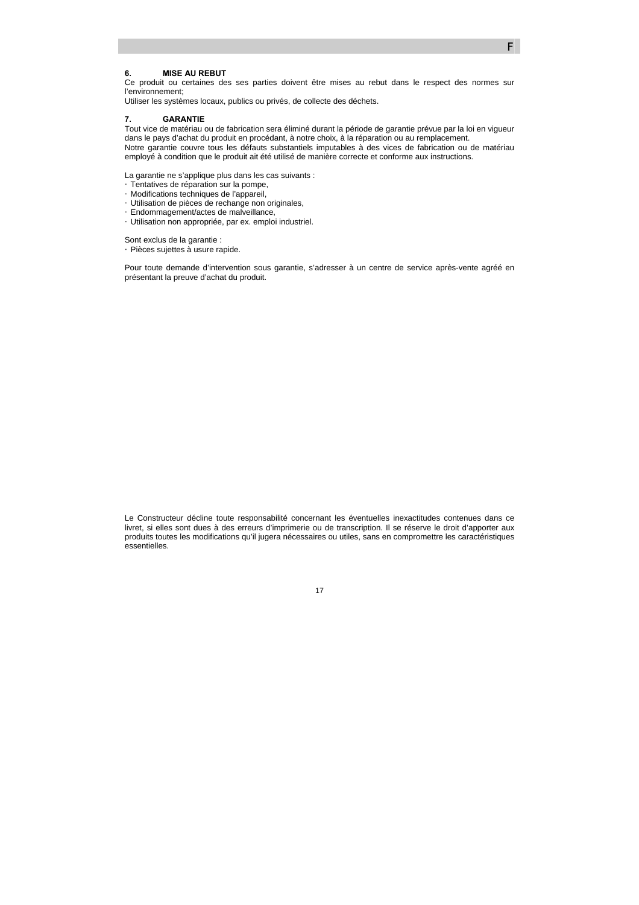### **6. MISE AU REBUT**

Ce produit ou certaines des ses parties doivent être mises au rebut dans le respect des normes sur l'environnement;

F

Utiliser les systèmes locaux, publics ou privés, de collecte des déchets.

#### **7. GARANTIE**

Tout vice de matériau ou de fabrication sera éliminé durant la période de garantie prévue par la loi en vigueur dans le pays d'achat du produit en procédant, à notre choix, à la réparation ou au remplacement. Notre garantie couvre tous les défauts substantiels imputables à des vices de fabrication ou de matériau employé à condition que le produit ait été utilisé de manière correcte et conforme aux instructions.

La garantie ne s'applique plus dans les cas suivants : ETentatives de réparation sur la pompe, y Modifications techniques de l'appareil, y Utilisation de pièces de rechange non originales, y Endommagement/actes de malveillance, **EUtilisation non appropriée, par ex. emploi industriel.** 

Sont exclus de la garantie : y Pièces sujettes à usure rapide.

Pour toute demande d'intervention sous garantie, s'adresser à un centre de service après-vente agréé en présentant la preuve d'achat du produit.

Le Constructeur décline toute responsabilité concernant les éventuelles inexactitudes contenues dans ce livret, si elles sont dues à des erreurs d'imprimerie ou de transcription. Il se réserve le droit d'apporter aux produits toutes les modifications qu'il jugera nécessaires ou utiles, sans en compromettre les caractéristiques essentielles.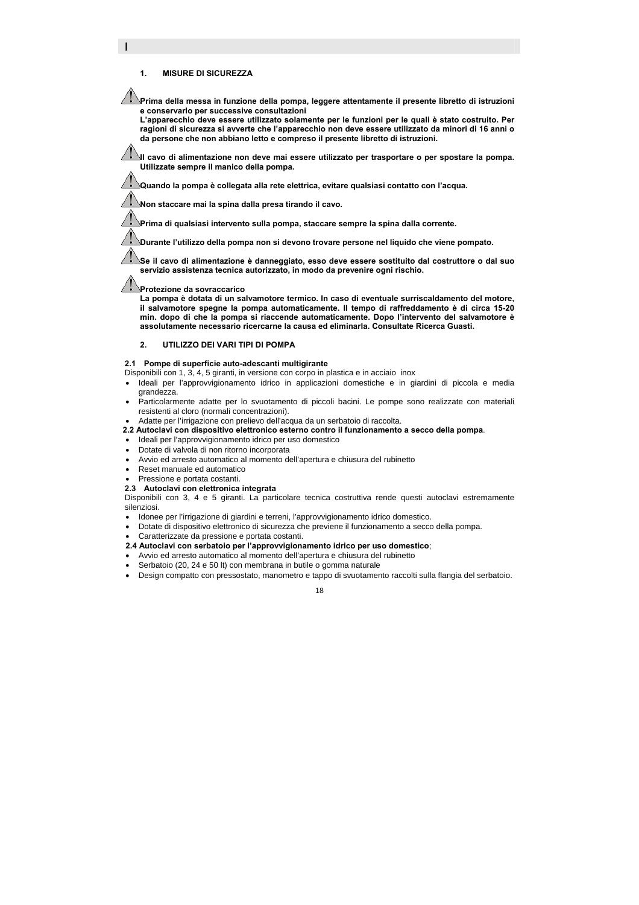### **1. MISURE DI SICUREZZA**

I

**Prima della messa in funzione della pompa, leggere attentamente il presente libretto di istruzioni e conservarlo per successive consultazioni** 

**L'apparecchio deve essere utilizzato solamente per le funzioni per le quali è stato costruito. Per ragioni di sicurezza si avverte che l'apparecchio non deve essere utilizzato da minori di 16 anni o da persone che non abbiano letto e compreso il presente libretto di istruzioni.** 

**Il cavo di alimentazione non deve mai essere utilizzato per trasportare o per spostare la pompa. Utilizzate sempre il manico della pompa.** 

**Quando la pompa è collegata alla rete elettrica, evitare qualsiasi contatto con l'acqua.** 

**Non staccare mai la spina dalla presa tirando il cavo.** 

**Prima di qualsiasi intervento sulla pompa, staccare sempre la spina dalla corrente.** 

**Durante l'utilizzo della pompa non si devono trovare persone nel liquido che viene pompato.** 

**Se il cavo di alimentazione è danneggiato, esso deve essere sostituito dal costruttore o dal suo servizio assistenza tecnica autorizzato, in modo da prevenire ogni rischio.** 

### **Protezione da sovraccarico**

**La pompa è dotata di un salvamotore termico. In caso di eventuale surriscaldamento del motore, il salvamotore spegne la pompa automaticamente. Il tempo di raffreddamento è di circa 15-20 min. dopo di che la pompa si riaccende automaticamente. Dopo l'intervento del salvamotore è assolutamente necessario ricercarne la causa ed eliminarla. Consultate Ricerca Guasti.** 

### **2. UTILIZZO DEI VARI TIPI DI POMPA**

#### **2.1 Pompe di superficie auto-adescanti multigirante**

Disponibili con 1, 3, 4, 5 giranti, in versione con corpo in plastica e in acciaio inox

- Ideali per l'approvvigionamento idrico in applicazioni domestiche e in giardini di piccola e media grandezza.
- Particolarmente adatte per lo svuotamento di piccoli bacini. Le pompe sono realizzate con materiali resistenti al cloro (normali concentrazioni).
- Adatte per l'irrigazione con prelievo dell'acqua da un serbatoio di raccolta.
- **2.2 Autoclavi con dispositivo elettronico esterno contro il funzionamento a secco della pompa**.
- Ideali per l'approvvigionamento idrico per uso domestico
- Dotate di valvola di non ritorno incorporata
- Avvio ed arresto automatico al momento dell'apertura e chiusura del rubinetto
- Reset manuale ed automatico
- Pressione e portata costanti.
- **2.3 Autoclavi con elettronica integrata**

Disponibili con 3, 4 e 5 giranti. La particolare tecnica costruttiva rende questi autoclavi estremamente silenziosi.

- Idonee per l'irrigazione di giardini e terreni, l'approvvigionamento idrico domestico.
- Dotate di dispositivo elettronico di sicurezza che previene il funzionamento a secco della pompa.
- Caratterizzate da pressione e portata costanti.
- **2.4 Autoclavi con serbatoio per l'approvvigionamento idrico per uso domestico**;
- Avvio ed arresto automatico al momento dell'apertura e chiusura del rubinetto
- Serbatoio (20, 24 e 50 lt) con membrana in butile o gomma naturale
- Design compatto con pressostato, manometro e tappo di svuotamento raccolti sulla flangia del serbatoio.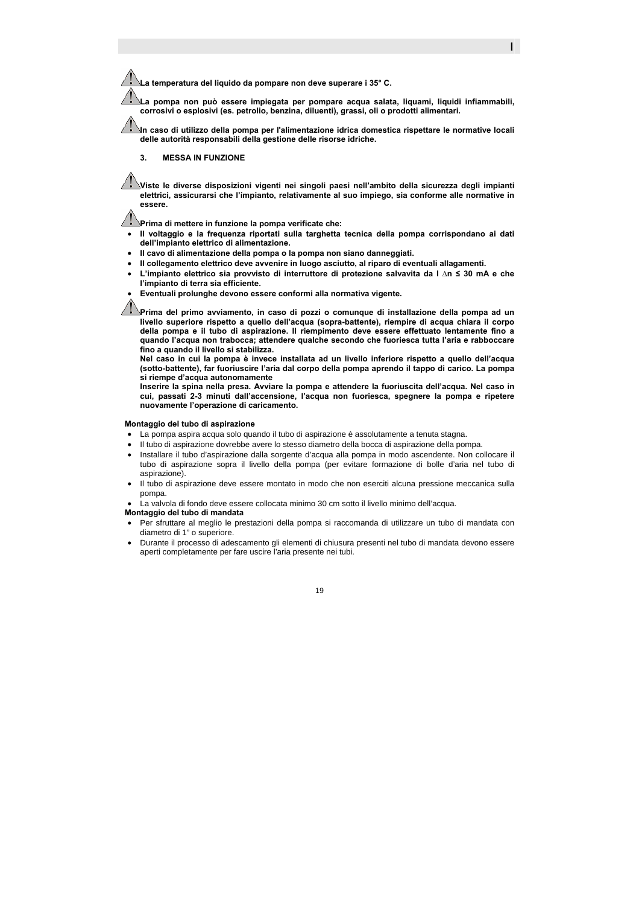**La temperatura del liquido da pompare non deve superare i 35° C.** 

**La pompa non può essere impiegata per pompare acqua salata, liquami, liquidi infiammabili, corrosivi o esplosivi (es. petrolio, benzina, diluenti), grassi, oli o prodotti alimentari.** 

I

**In caso di utilizzo della pompa per l'alimentazione idrica domestica rispettare le normative locali delle autorità responsabili della gestione delle risorse idriche.** 

### **3. MESSA IN FUNZIONE**

**Viste le diverse disposizioni vigenti nei singoli paesi nell'ambito della sicurezza degli impianti elettrici, assicurarsi che l'impianto, relativamente al suo impiego, sia conforme alle normative in essere.** 

**Prima di mettere in funzione la pompa verificate che:** 

- **Il voltaggio e la frequenza riportati sulla targhetta tecnica della pompa corrispondano ai dati dell'impianto elettrico di alimentazione.**
- **Il cavo di alimentazione della pompa o la pompa non siano danneggiati.**
- **Il collegamento elettrico deve avvenire in luogo asciutto, al riparo di eventuali allagamenti.**
- **L'impianto elettrico sia provvisto di interruttore di protezione salvavita da I ∆n ≤ 30 mA e che l'impianto di terra sia efficiente.**
- **Eventuali prolunghe devono essere conformi alla normativa vigente.**

**Prima del primo avviamento, in caso di pozzi o comunque di installazione della pompa ad un livello superiore rispetto a quello dell'acqua (sopra-battente), riempire di acqua chiara il corpo della pompa e il tubo di aspirazione. Il riempimento deve essere effettuato lentamente fino a quando l'acqua non trabocca; attendere qualche secondo che fuoriesca tutta l'aria e rabboccare fino a quando il livello si stabilizza.** 

**Nel caso in cui la pompa è invece installata ad un livello inferiore rispetto a quello dell'acqua (sotto-battente), far fuoriuscire l'aria dal corpo della pompa aprendo il tappo di carico. La pompa si riempe d'acqua autonomamente** 

**Inserire la spina nella presa. Avviare la pompa e attendere la fuoriuscita dell'acqua. Nel caso in cui, passati 2-3 minuti dall'accensione, l'acqua non fuoriesca, spegnere la pompa e ripetere nuovamente l'operazione di caricamento.** 

### **Montaggio del tubo di aspirazione**

- La pompa aspira acqua solo quando il tubo di aspirazione è assolutamente a tenuta stagna.
- Il tubo di aspirazione dovrebbe avere lo stesso diametro della bocca di aspirazione della pompa.
- Installare il tubo d'aspirazione dalla sorgente d'acqua alla pompa in modo ascendente. Non collocare il tubo di aspirazione sopra il livello della pompa (per evitare formazione di bolle d'aria nel tubo di aspirazione).
- Il tubo di aspirazione deve essere montato in modo che non eserciti alcuna pressione meccanica sulla pompa.
- La valvola di fondo deve essere collocata minimo 30 cm sotto il livello minimo dell'acqua.

### **Montaggio del tubo di mandata**

- Per sfruttare al meglio le prestazioni della pompa si raccomanda di utilizzare un tubo di mandata con diametro di 1" o superiore.
- Durante il processo di adescamento gli elementi di chiusura presenti nel tubo di mandata devono essere aperti completamente per fare uscire l'aria presente nei tubi.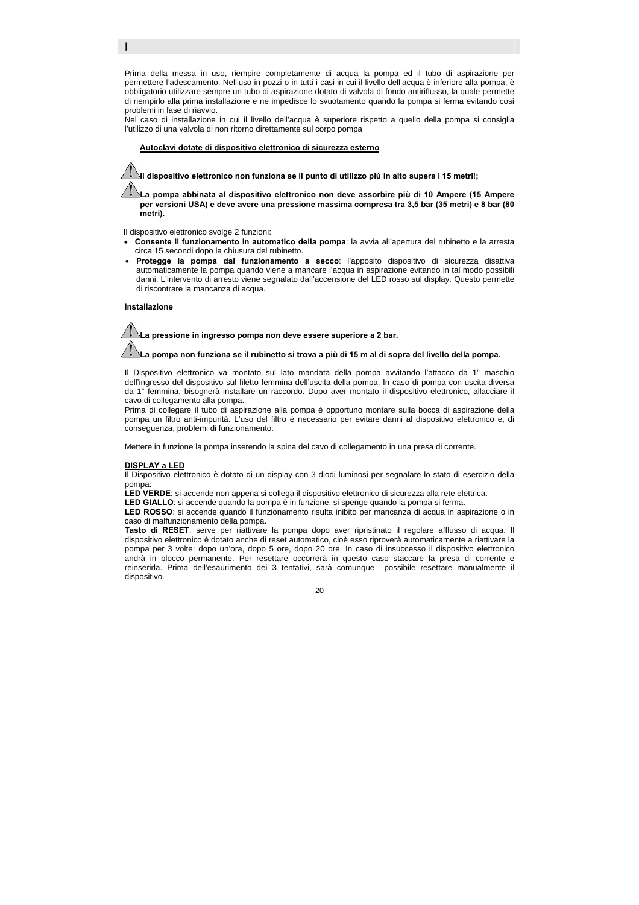Prima della messa in uso, riempire completamente di acqua la pompa ed il tubo di aspirazione per permettere l'adescamento. Nell'uso in pozzi o in tutti i casi in cui il livello dell'acqua è inferiore alla pompa, è obbligatorio utilizzare sempre un tubo di aspirazione dotato di valvola di fondo antiriflusso, la quale permette di riempirlo alla prima installazione e ne impedisce lo svuotamento quando la pompa si ferma evitando così problemi in fase di riavvio.

Nel caso di installazione in cui il livello dell'acqua è superiore rispetto a quello della pompa si consiglia l'utilizzo di una valvola di non ritorno direttamente sul corpo pompa

### f **Autoclavi dotate di dispositivo elettronico di sicurezza esterno**

**Il dispositivo elettronico non funziona se il punto di utilizzo più in alto supera i 15 metri!;** 

**La pompa abbinata al dispositivo elettronico non deve assorbire più di 10 Ampere (15 Ampere per versioni USA) e deve avere una pressione massima compresa tra 3,5 bar (35 metri) e 8 bar (80 metri).** 

Il dispositivo elettronico svolge 2 funzioni:

- **Consente il funzionamento in automatico della pompa**: la avvia all'apertura del rubinetto e la arresta circa 15 secondi dopo la chiusura del rubinetto.
- **Protegge la pompa dal funzionamento a secco**: l'apposito dispositivo di sicurezza disattiva automaticamente la pompa quando viene a mancare l'acqua in aspirazione evitando in tal modo possibili danni. L'intervento di arresto viene segnalato dall'accensione del LED rosso sul display. Questo permette di riscontrare la mancanza di acqua.

#### **Installazione**

I

**La pressione in ingresso pompa non deve essere superiore a 2 bar. La pompa non funziona se il rubinetto si trova a più di 15 m al di sopra del livello della pompa.** 

Il Dispositivo elettronico va montato sul lato mandata della pompa avvitando l'attacco da 1" maschio dell'ingresso del dispositivo sul filetto femmina dell'uscita della pompa. In caso di pompa con uscita diversa da 1" femmina, bisognerà installare un raccordo. Dopo aver montato il dispositivo elettronico, allacciare il cavo di collegamento alla pompa.

Prima di collegare il tubo di aspirazione alla pompa è opportuno montare sulla bocca di aspirazione della pompa un filtro anti-impurità. L'uso del filtro è necessario per evitare danni al dispositivo elettronico e, di conseguenza, problemi di funzionamento.

Mettere in funzione la pompa inserendo la spina del cavo di collegamento in una presa di corrente.

#### **DISPLAY a LED**

Il Dispositivo elettronico è dotato di un display con 3 diodi luminosi per segnalare lo stato di esercizio della pompa:

LED VERDE: si accende non appena si collega il dispositivo elettronico di sicurezza alla rete elettrica.

**LED GIALLO**: si accende quando la pompa è in funzione, si spenge quando la pompa si ferma.

**LED ROSSO**: si accende quando il funzionamento risulta inibito per mancanza di acqua in aspirazione o in caso di malfunzionamento della pompa.

**Tasto di RESET**: serve per riattivare la pompa dopo aver ripristinato il regolare afflusso di acqua. Il dispositivo elettronico è dotato anche di reset automatico, cioè esso riproverà automaticamente a riattivare la pompa per 3 volte: dopo un'ora, dopo 5 ore, dopo 20 ore. In caso di insuccesso il dispositivo elettronico andrà in blocco permanente. Per resettare occorrerà in questo caso staccare la presa di corrente e reinserirla. Prima dell'esaurimento dei 3 tentativi, sarà comunque possibile resettare manualmente il dispositivo.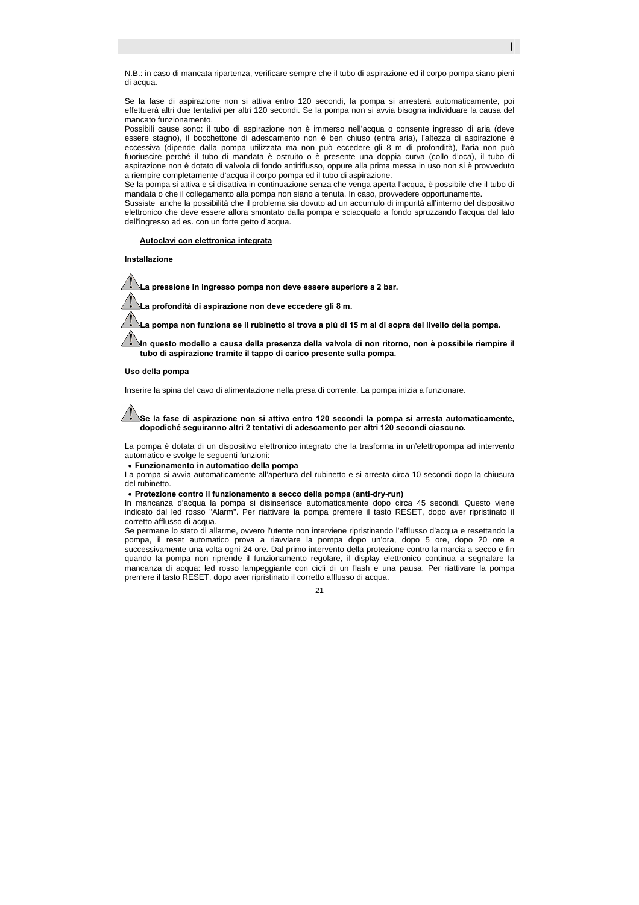N.B.: in caso di mancata ripartenza, verificare sempre che il tubo di aspirazione ed il corpo pompa siano pieni di acqua.

Se la fase di aspirazione non si attiva entro 120 secondi, la pompa si arresterà automaticamente, poi effettuerà altri due tentativi per altri 120 secondi. Se la pompa non si avvia bisogna individuare la causa del mancato funzionamento.

Possibili cause sono: il tubo di aspirazione non è immerso nell'acqua o consente ingresso di aria (deve essere stagno), il bocchettone di adescamento non è ben chiuso (entra aria), l'altezza di aspirazione è eccessiva (dipende dalla pompa utilizzata ma non può eccedere gli 8 m di profondità), l'aria non può fuoriuscire perché il tubo di mandata è ostruito o è presente una doppia curva (collo d'oca), il tubo di aspirazione non è dotato di valvola di fondo antiriflusso, oppure alla prima messa in uso non si è provveduto a riempire completamente d'acqua il corpo pompa ed il tubo di aspirazione.

Se la pompa si attiva e si disattiva in continuazione senza che venga aperta l'acqua, è possibile che il tubo di mandata o che il collegamento alla pompa non siano a tenuta. In caso, provvedere opportunamente.

Sussiste anche la possibilità che il problema sia dovuto ad un accumulo di impurità all'interno del dispositivo elettronico che deve essere allora smontato dalla pompa e sciacquato a fondo spruzzando l'acqua dal lato dell'ingresso ad es. con un forte getto d'acqua.

# f **Autoclavi con elettronica integrata**

**Installazione** 

**La pressione in ingresso pompa non deve essere superiore a 2 bar.** 

**La profondità di aspirazione non deve eccedere gli 8 m.** 

**La pompa non funziona se il rubinetto si trova a più di 15 m al di sopra del livello della pompa.** 

**In questo modello a causa della presenza della valvola di non ritorno, non è possibile riempire il tubo di aspirazione tramite il tappo di carico presente sulla pompa.** 

#### **Uso della pompa**

Inserire la spina del cavo di alimentazione nella presa di corrente. La pompa inizia a funzionare.

**Se la fase di aspirazione non si attiva entro 120 secondi la pompa si arresta automaticamente, dopodiché seguiranno altri 2 tentativi di adescamento per altri 120 secondi ciascuno.** 

La pompa è dotata di un dispositivo elettronico integrato che la trasforma in un'elettropompa ad intervento automatico e svolge le seguenti funzioni:

• **Funzionamento in automatico della pompa** 

La pompa si avvia automaticamente all'apertura del rubinetto e si arresta circa 10 secondi dopo la chiusura del rubinetto.

#### • **Protezione contro il funzionamento a secco della pompa (anti-dry-run)**

In mancanza d'acqua la pompa si disinserisce automaticamente dopo circa 45 secondi. Questo viene indicato dal led rosso "Alarm". Per riattivare la pompa premere il tasto RESET, dopo aver ripristinato il corretto afflusso di acqua.

Se permane lo stato di allarme, ovvero l'utente non interviene ripristinando l'afflusso d'acqua e resettando la pompa, il reset automatico prova a riavviare la pompa dopo un'ora, dopo 5 ore, dopo 20 ore e successivamente una volta ogni 24 ore. Dal primo intervento della protezione contro la marcia a secco e fin quando la pompa non riprende il funzionamento regolare, il display elettronico continua a segnalare la mancanza di acqua: led rosso lampeggiante con cicli di un flash e una pausa. Per riattivare la pompa premere il tasto RESET, dopo aver ripristinato il corretto afflusso di acqua.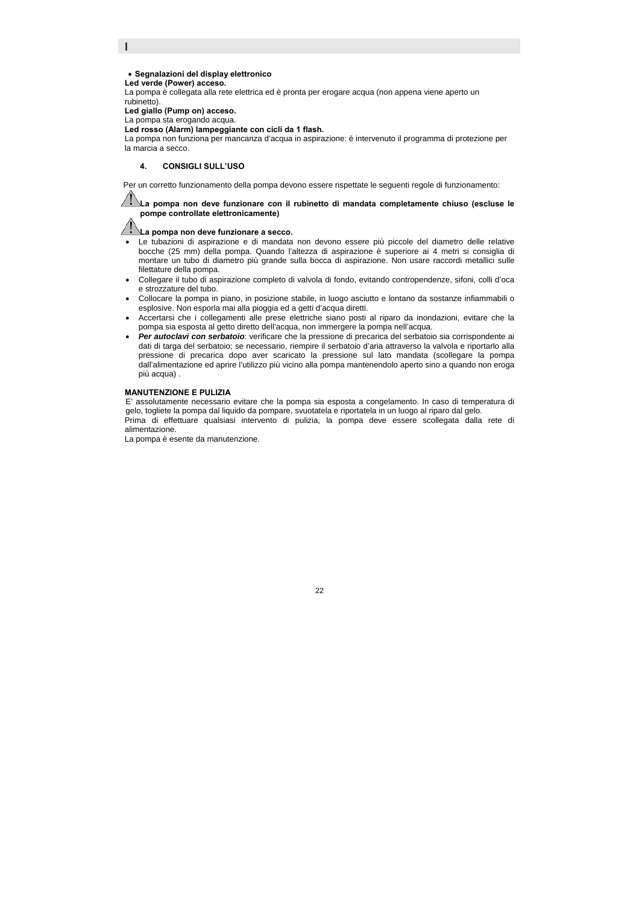# I

### • **Segnalazioni del display elettronico**

**Led verde (Power) acceso.** 

La pompa è collegata alla rete elettrica ed è pronta per erogare acqua (non appena viene aperto un rubinetto).

**Led giallo (Pump on) acceso.** 

La pompa sta erogando acqua.

**Led rosso (Alarm) lampeggiante con cicli da 1 flash.** 

La pompa non funziona per mancanza d'acqua in aspirazione: è intervenuto il programma di protezione per la marcia a secco.

### **4. CONSIGLI SULL'USO**

Per un corretto funzionamento della pompa devono essere rispettate le seguenti regole di funzionamento:

**La pompa non deve funzionare con il rubinetto di mandata completamente chiuso (escluse le pompe controllate elettronicamente)** 

**La pompa non deve funzionare a secco.** 

- Le tubazioni di aspirazione e di mandata non devono essere più piccole del diametro delle relative bocche (25 mm) della pompa. Quando l'altezza di aspirazione è superiore ai 4 metri si consiglia di montare un tubo di diametro più grande sulla bocca di aspirazione. Non usare raccordi metallici sulle filettature della pompa.
- Collegare il tubo di aspirazione completo di valvola di fondo, evitando contropendenze, sifoni, colli d'oca e strozzature del tubo.
- Collocare la pompa in piano, in posizione stabile, in luogo asciutto e lontano da sostanze infiammabili o esplosive. Non esporla mai alla pioggia ed a getti d'acqua diretti.
- Accertarsi che i collegamenti alle prese elettriche siano posti al riparo da inondazioni, evitare che la pompa sia esposta al getto diretto dell'acqua, non immergere la pompa nell'acqua.
- *Per autoclavi con serbatoio*: verificare che la pressione di precarica del serbatoio sia corrispondente ai dati di targa del serbatoio; se necessario, riempire il serbatoio d'aria attraverso la valvola e riportarlo alla pressione di precarica dopo aver scaricato la pressione sul lato mandata (scollegare la pompa dall'alimentazione ed aprire l'utilizzo più vicino alla pompa mantenendolo aperto sino a quando non eroga più acqua) .

#### **MANUTENZIONE E PULIZIA**

E' assolutamente necessario evitare che la pompa sia esposta a congelamento. In caso di temperatura di gelo, togliete la pompa dal liquido da pompare, svuotatela e riportatela in un luogo al riparo dal gelo.

Prima di effettuare qualsiasi intervento di pulizia, la pompa deve essere scollegata dalla rete di alimentazione.

La pompa è esente da manutenzione.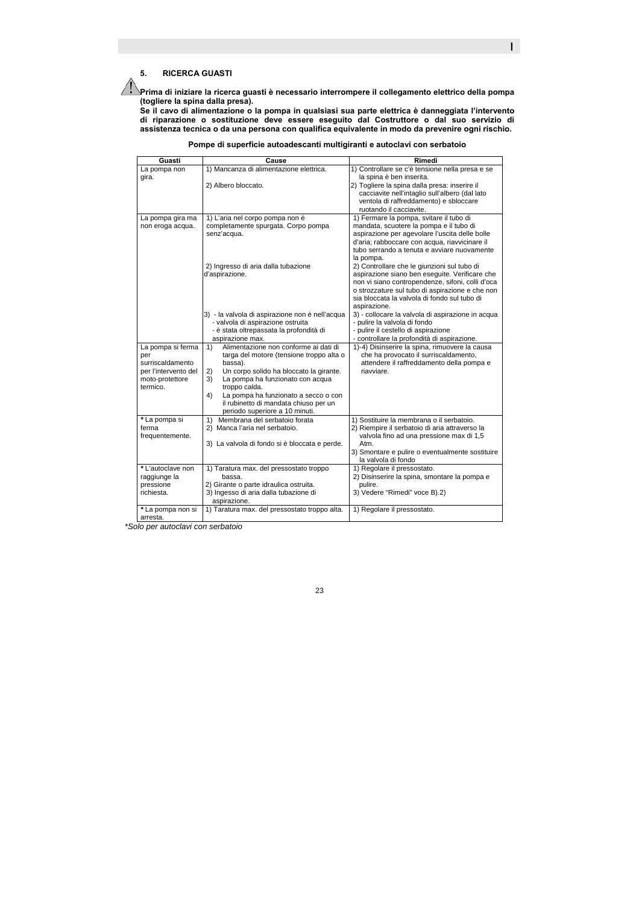# **5. RICERCA GUASTI**

**Prima di iniziare la ricerca guasti è necessario interrompere il collegamento elettrico della pompa (togliere la spina dalla presa).** 

**Se il cavo di alimentazione o la pompa in qualsiasi sua parte elettrica è danneggiata l'intervento di riparazione o sostituzione deve essere eseguito dal Costruttore o dal suo servizio di assistenza tecnica o da una persona con qualifica equivalente in modo da prevenire ogni rischio.** 

| 1) Controllare se c'è tensione nella presa e se<br>1) Mancanza di alimentazione elettrica.<br>La pompa non<br>la spina è ben inserita.<br>gira.<br>2) Togliere la spina dalla presa: inserire il<br>2) Albero bloccato.<br>cacciavite nell'intaglio sull'albero (dal lato<br>ventola di raffreddamento) e sbloccare<br>ruotando il cacciavite.<br>1) Fermare la pompa, svitare il tubo di<br>1) L'aria nel corpo pompa non è<br>La pompa gira ma<br>completamente spurgata. Corpo pompa<br>mandata, scuotere la pompa e il tubo di<br>non eroga acqua.<br>senz'acqua.<br>aspirazione per agevolare l'uscita delle bolle<br>d'aria; rabboccare con acqua, riavvicinare il<br>tubo serrando a tenuta e avviare nuovamente<br>la pompa.<br>2) Controllare che le giunzioni sul tubo di<br>2) Ingresso di aria dalla tubazione<br>aspirazione siano ben esequite. Verificare che<br>d'aspirazione.<br>non vi siano contropendenze, sifoni, colli d'oca<br>o strozzature sul tubo di aspirazione e che non<br>sia bloccata la valvola di fondo sul tubo di<br>aspirazione.<br>3) - la valvola di aspirazione non è nell'acqua<br>3) - collocare la valvola di aspirazione in acqua<br>- valvola di aspirazione ostruita<br>- pulire la valvola di fondo<br>- è stata oltrepassata la profondità di<br>- pulire il cestello di aspirazione<br>aspirazione max.<br>- controllare la profondità di aspirazione.<br>Alimentazione non conforme ai dati di<br>La pompa si ferma<br>1)-4) Disinserire la spina, rimuovere la causa<br>1)<br>che ha provocato il surriscaldamento,<br>targa del motore (tensione troppo alta o<br>per<br>surriscaldamento<br>bassa).<br>attendere il raffreddamento della pompa e<br>per l'intervento del<br>Un corpo solido ha bloccato la girante.<br>riavviare.<br>2)<br>La pompa ha funzionato con acqua<br>moto-protettore<br>3)<br>termico.<br>troppo calda.<br>4)<br>La pompa ha funzionato a secco o con<br>il rubinetto di mandata chiuso per un<br>periodo superiore a 10 minuti.<br>Membrana del serbatoio forata<br>*La pompa si<br>1) Sostituire la membrana o il serbatoio.<br>1)<br>ferma<br>2) Manca l'aria nel serbatoio.<br>2) Riempire il serbatoio di aria attraverso la<br>valvola fino ad una pressione max di 1,5<br>frequentemente.<br>3) La valvola di fondo si è bloccata e perde.<br>Atm.<br>3) Smontare e pulire o eventualmente sostituire<br>la valvola di fondo<br>1) Regolare il pressostato.<br>*L'autoclave non<br>1) Taratura max. del pressostato troppo<br>2) Disinserire la spina, smontare la pompa e<br>raggiunge la<br>bassa.<br>pressione<br>2) Girante o parte idraulica ostruita.<br>pulire.<br>3) Ingesso di aria dalla tubazione di<br>richiesta.<br>3) Vedere "Rimedi" voce B).2)<br>aspirazione.<br>1) Regolare il pressostato.<br>1) Taratura max. del pressostato troppo alta.<br>*La pompa non si | Guasti   | Cause | Rimedi |
|--------------------------------------------------------------------------------------------------------------------------------------------------------------------------------------------------------------------------------------------------------------------------------------------------------------------------------------------------------------------------------------------------------------------------------------------------------------------------------------------------------------------------------------------------------------------------------------------------------------------------------------------------------------------------------------------------------------------------------------------------------------------------------------------------------------------------------------------------------------------------------------------------------------------------------------------------------------------------------------------------------------------------------------------------------------------------------------------------------------------------------------------------------------------------------------------------------------------------------------------------------------------------------------------------------------------------------------------------------------------------------------------------------------------------------------------------------------------------------------------------------------------------------------------------------------------------------------------------------------------------------------------------------------------------------------------------------------------------------------------------------------------------------------------------------------------------------------------------------------------------------------------------------------------------------------------------------------------------------------------------------------------------------------------------------------------------------------------------------------------------------------------------------------------------------------------------------------------------------------------------------------------------------------------------------------------------------------------------------------------------------------------------------------------------------------------------------------------------------------------------------------------------------------------------------------------------------------------------------------------------------------------------------------------------------------------------------------------------------------------------------------------------------------------------------------------------------------------------------------------------|----------|-------|--------|
|                                                                                                                                                                                                                                                                                                                                                                                                                                                                                                                                                                                                                                                                                                                                                                                                                                                                                                                                                                                                                                                                                                                                                                                                                                                                                                                                                                                                                                                                                                                                                                                                                                                                                                                                                                                                                                                                                                                                                                                                                                                                                                                                                                                                                                                                                                                                                                                                                                                                                                                                                                                                                                                                                                                                                                                                                                                                          |          |       |        |
|                                                                                                                                                                                                                                                                                                                                                                                                                                                                                                                                                                                                                                                                                                                                                                                                                                                                                                                                                                                                                                                                                                                                                                                                                                                                                                                                                                                                                                                                                                                                                                                                                                                                                                                                                                                                                                                                                                                                                                                                                                                                                                                                                                                                                                                                                                                                                                                                                                                                                                                                                                                                                                                                                                                                                                                                                                                                          |          |       |        |
|                                                                                                                                                                                                                                                                                                                                                                                                                                                                                                                                                                                                                                                                                                                                                                                                                                                                                                                                                                                                                                                                                                                                                                                                                                                                                                                                                                                                                                                                                                                                                                                                                                                                                                                                                                                                                                                                                                                                                                                                                                                                                                                                                                                                                                                                                                                                                                                                                                                                                                                                                                                                                                                                                                                                                                                                                                                                          |          |       |        |
|                                                                                                                                                                                                                                                                                                                                                                                                                                                                                                                                                                                                                                                                                                                                                                                                                                                                                                                                                                                                                                                                                                                                                                                                                                                                                                                                                                                                                                                                                                                                                                                                                                                                                                                                                                                                                                                                                                                                                                                                                                                                                                                                                                                                                                                                                                                                                                                                                                                                                                                                                                                                                                                                                                                                                                                                                                                                          |          |       |        |
|                                                                                                                                                                                                                                                                                                                                                                                                                                                                                                                                                                                                                                                                                                                                                                                                                                                                                                                                                                                                                                                                                                                                                                                                                                                                                                                                                                                                                                                                                                                                                                                                                                                                                                                                                                                                                                                                                                                                                                                                                                                                                                                                                                                                                                                                                                                                                                                                                                                                                                                                                                                                                                                                                                                                                                                                                                                                          |          |       |        |
|                                                                                                                                                                                                                                                                                                                                                                                                                                                                                                                                                                                                                                                                                                                                                                                                                                                                                                                                                                                                                                                                                                                                                                                                                                                                                                                                                                                                                                                                                                                                                                                                                                                                                                                                                                                                                                                                                                                                                                                                                                                                                                                                                                                                                                                                                                                                                                                                                                                                                                                                                                                                                                                                                                                                                                                                                                                                          |          |       |        |
|                                                                                                                                                                                                                                                                                                                                                                                                                                                                                                                                                                                                                                                                                                                                                                                                                                                                                                                                                                                                                                                                                                                                                                                                                                                                                                                                                                                                                                                                                                                                                                                                                                                                                                                                                                                                                                                                                                                                                                                                                                                                                                                                                                                                                                                                                                                                                                                                                                                                                                                                                                                                                                                                                                                                                                                                                                                                          |          |       |        |
|                                                                                                                                                                                                                                                                                                                                                                                                                                                                                                                                                                                                                                                                                                                                                                                                                                                                                                                                                                                                                                                                                                                                                                                                                                                                                                                                                                                                                                                                                                                                                                                                                                                                                                                                                                                                                                                                                                                                                                                                                                                                                                                                                                                                                                                                                                                                                                                                                                                                                                                                                                                                                                                                                                                                                                                                                                                                          |          |       |        |
|                                                                                                                                                                                                                                                                                                                                                                                                                                                                                                                                                                                                                                                                                                                                                                                                                                                                                                                                                                                                                                                                                                                                                                                                                                                                                                                                                                                                                                                                                                                                                                                                                                                                                                                                                                                                                                                                                                                                                                                                                                                                                                                                                                                                                                                                                                                                                                                                                                                                                                                                                                                                                                                                                                                                                                                                                                                                          |          |       |        |
|                                                                                                                                                                                                                                                                                                                                                                                                                                                                                                                                                                                                                                                                                                                                                                                                                                                                                                                                                                                                                                                                                                                                                                                                                                                                                                                                                                                                                                                                                                                                                                                                                                                                                                                                                                                                                                                                                                                                                                                                                                                                                                                                                                                                                                                                                                                                                                                                                                                                                                                                                                                                                                                                                                                                                                                                                                                                          |          |       |        |
|                                                                                                                                                                                                                                                                                                                                                                                                                                                                                                                                                                                                                                                                                                                                                                                                                                                                                                                                                                                                                                                                                                                                                                                                                                                                                                                                                                                                                                                                                                                                                                                                                                                                                                                                                                                                                                                                                                                                                                                                                                                                                                                                                                                                                                                                                                                                                                                                                                                                                                                                                                                                                                                                                                                                                                                                                                                                          |          |       |        |
|                                                                                                                                                                                                                                                                                                                                                                                                                                                                                                                                                                                                                                                                                                                                                                                                                                                                                                                                                                                                                                                                                                                                                                                                                                                                                                                                                                                                                                                                                                                                                                                                                                                                                                                                                                                                                                                                                                                                                                                                                                                                                                                                                                                                                                                                                                                                                                                                                                                                                                                                                                                                                                                                                                                                                                                                                                                                          |          |       |        |
|                                                                                                                                                                                                                                                                                                                                                                                                                                                                                                                                                                                                                                                                                                                                                                                                                                                                                                                                                                                                                                                                                                                                                                                                                                                                                                                                                                                                                                                                                                                                                                                                                                                                                                                                                                                                                                                                                                                                                                                                                                                                                                                                                                                                                                                                                                                                                                                                                                                                                                                                                                                                                                                                                                                                                                                                                                                                          |          |       |        |
|                                                                                                                                                                                                                                                                                                                                                                                                                                                                                                                                                                                                                                                                                                                                                                                                                                                                                                                                                                                                                                                                                                                                                                                                                                                                                                                                                                                                                                                                                                                                                                                                                                                                                                                                                                                                                                                                                                                                                                                                                                                                                                                                                                                                                                                                                                                                                                                                                                                                                                                                                                                                                                                                                                                                                                                                                                                                          |          |       |        |
|                                                                                                                                                                                                                                                                                                                                                                                                                                                                                                                                                                                                                                                                                                                                                                                                                                                                                                                                                                                                                                                                                                                                                                                                                                                                                                                                                                                                                                                                                                                                                                                                                                                                                                                                                                                                                                                                                                                                                                                                                                                                                                                                                                                                                                                                                                                                                                                                                                                                                                                                                                                                                                                                                                                                                                                                                                                                          |          |       |        |
|                                                                                                                                                                                                                                                                                                                                                                                                                                                                                                                                                                                                                                                                                                                                                                                                                                                                                                                                                                                                                                                                                                                                                                                                                                                                                                                                                                                                                                                                                                                                                                                                                                                                                                                                                                                                                                                                                                                                                                                                                                                                                                                                                                                                                                                                                                                                                                                                                                                                                                                                                                                                                                                                                                                                                                                                                                                                          |          |       |        |
|                                                                                                                                                                                                                                                                                                                                                                                                                                                                                                                                                                                                                                                                                                                                                                                                                                                                                                                                                                                                                                                                                                                                                                                                                                                                                                                                                                                                                                                                                                                                                                                                                                                                                                                                                                                                                                                                                                                                                                                                                                                                                                                                                                                                                                                                                                                                                                                                                                                                                                                                                                                                                                                                                                                                                                                                                                                                          |          |       |        |
|                                                                                                                                                                                                                                                                                                                                                                                                                                                                                                                                                                                                                                                                                                                                                                                                                                                                                                                                                                                                                                                                                                                                                                                                                                                                                                                                                                                                                                                                                                                                                                                                                                                                                                                                                                                                                                                                                                                                                                                                                                                                                                                                                                                                                                                                                                                                                                                                                                                                                                                                                                                                                                                                                                                                                                                                                                                                          |          |       |        |
|                                                                                                                                                                                                                                                                                                                                                                                                                                                                                                                                                                                                                                                                                                                                                                                                                                                                                                                                                                                                                                                                                                                                                                                                                                                                                                                                                                                                                                                                                                                                                                                                                                                                                                                                                                                                                                                                                                                                                                                                                                                                                                                                                                                                                                                                                                                                                                                                                                                                                                                                                                                                                                                                                                                                                                                                                                                                          |          |       |        |
|                                                                                                                                                                                                                                                                                                                                                                                                                                                                                                                                                                                                                                                                                                                                                                                                                                                                                                                                                                                                                                                                                                                                                                                                                                                                                                                                                                                                                                                                                                                                                                                                                                                                                                                                                                                                                                                                                                                                                                                                                                                                                                                                                                                                                                                                                                                                                                                                                                                                                                                                                                                                                                                                                                                                                                                                                                                                          |          |       |        |
|                                                                                                                                                                                                                                                                                                                                                                                                                                                                                                                                                                                                                                                                                                                                                                                                                                                                                                                                                                                                                                                                                                                                                                                                                                                                                                                                                                                                                                                                                                                                                                                                                                                                                                                                                                                                                                                                                                                                                                                                                                                                                                                                                                                                                                                                                                                                                                                                                                                                                                                                                                                                                                                                                                                                                                                                                                                                          |          |       |        |
|                                                                                                                                                                                                                                                                                                                                                                                                                                                                                                                                                                                                                                                                                                                                                                                                                                                                                                                                                                                                                                                                                                                                                                                                                                                                                                                                                                                                                                                                                                                                                                                                                                                                                                                                                                                                                                                                                                                                                                                                                                                                                                                                                                                                                                                                                                                                                                                                                                                                                                                                                                                                                                                                                                                                                                                                                                                                          |          |       |        |
|                                                                                                                                                                                                                                                                                                                                                                                                                                                                                                                                                                                                                                                                                                                                                                                                                                                                                                                                                                                                                                                                                                                                                                                                                                                                                                                                                                                                                                                                                                                                                                                                                                                                                                                                                                                                                                                                                                                                                                                                                                                                                                                                                                                                                                                                                                                                                                                                                                                                                                                                                                                                                                                                                                                                                                                                                                                                          |          |       |        |
|                                                                                                                                                                                                                                                                                                                                                                                                                                                                                                                                                                                                                                                                                                                                                                                                                                                                                                                                                                                                                                                                                                                                                                                                                                                                                                                                                                                                                                                                                                                                                                                                                                                                                                                                                                                                                                                                                                                                                                                                                                                                                                                                                                                                                                                                                                                                                                                                                                                                                                                                                                                                                                                                                                                                                                                                                                                                          |          |       |        |
|                                                                                                                                                                                                                                                                                                                                                                                                                                                                                                                                                                                                                                                                                                                                                                                                                                                                                                                                                                                                                                                                                                                                                                                                                                                                                                                                                                                                                                                                                                                                                                                                                                                                                                                                                                                                                                                                                                                                                                                                                                                                                                                                                                                                                                                                                                                                                                                                                                                                                                                                                                                                                                                                                                                                                                                                                                                                          |          |       |        |
|                                                                                                                                                                                                                                                                                                                                                                                                                                                                                                                                                                                                                                                                                                                                                                                                                                                                                                                                                                                                                                                                                                                                                                                                                                                                                                                                                                                                                                                                                                                                                                                                                                                                                                                                                                                                                                                                                                                                                                                                                                                                                                                                                                                                                                                                                                                                                                                                                                                                                                                                                                                                                                                                                                                                                                                                                                                                          |          |       |        |
|                                                                                                                                                                                                                                                                                                                                                                                                                                                                                                                                                                                                                                                                                                                                                                                                                                                                                                                                                                                                                                                                                                                                                                                                                                                                                                                                                                                                                                                                                                                                                                                                                                                                                                                                                                                                                                                                                                                                                                                                                                                                                                                                                                                                                                                                                                                                                                                                                                                                                                                                                                                                                                                                                                                                                                                                                                                                          |          |       |        |
|                                                                                                                                                                                                                                                                                                                                                                                                                                                                                                                                                                                                                                                                                                                                                                                                                                                                                                                                                                                                                                                                                                                                                                                                                                                                                                                                                                                                                                                                                                                                                                                                                                                                                                                                                                                                                                                                                                                                                                                                                                                                                                                                                                                                                                                                                                                                                                                                                                                                                                                                                                                                                                                                                                                                                                                                                                                                          |          |       |        |
|                                                                                                                                                                                                                                                                                                                                                                                                                                                                                                                                                                                                                                                                                                                                                                                                                                                                                                                                                                                                                                                                                                                                                                                                                                                                                                                                                                                                                                                                                                                                                                                                                                                                                                                                                                                                                                                                                                                                                                                                                                                                                                                                                                                                                                                                                                                                                                                                                                                                                                                                                                                                                                                                                                                                                                                                                                                                          |          |       |        |
|                                                                                                                                                                                                                                                                                                                                                                                                                                                                                                                                                                                                                                                                                                                                                                                                                                                                                                                                                                                                                                                                                                                                                                                                                                                                                                                                                                                                                                                                                                                                                                                                                                                                                                                                                                                                                                                                                                                                                                                                                                                                                                                                                                                                                                                                                                                                                                                                                                                                                                                                                                                                                                                                                                                                                                                                                                                                          |          |       |        |
|                                                                                                                                                                                                                                                                                                                                                                                                                                                                                                                                                                                                                                                                                                                                                                                                                                                                                                                                                                                                                                                                                                                                                                                                                                                                                                                                                                                                                                                                                                                                                                                                                                                                                                                                                                                                                                                                                                                                                                                                                                                                                                                                                                                                                                                                                                                                                                                                                                                                                                                                                                                                                                                                                                                                                                                                                                                                          |          |       |        |
|                                                                                                                                                                                                                                                                                                                                                                                                                                                                                                                                                                                                                                                                                                                                                                                                                                                                                                                                                                                                                                                                                                                                                                                                                                                                                                                                                                                                                                                                                                                                                                                                                                                                                                                                                                                                                                                                                                                                                                                                                                                                                                                                                                                                                                                                                                                                                                                                                                                                                                                                                                                                                                                                                                                                                                                                                                                                          |          |       |        |
|                                                                                                                                                                                                                                                                                                                                                                                                                                                                                                                                                                                                                                                                                                                                                                                                                                                                                                                                                                                                                                                                                                                                                                                                                                                                                                                                                                                                                                                                                                                                                                                                                                                                                                                                                                                                                                                                                                                                                                                                                                                                                                                                                                                                                                                                                                                                                                                                                                                                                                                                                                                                                                                                                                                                                                                                                                                                          |          |       |        |
|                                                                                                                                                                                                                                                                                                                                                                                                                                                                                                                                                                                                                                                                                                                                                                                                                                                                                                                                                                                                                                                                                                                                                                                                                                                                                                                                                                                                                                                                                                                                                                                                                                                                                                                                                                                                                                                                                                                                                                                                                                                                                                                                                                                                                                                                                                                                                                                                                                                                                                                                                                                                                                                                                                                                                                                                                                                                          |          |       |        |
|                                                                                                                                                                                                                                                                                                                                                                                                                                                                                                                                                                                                                                                                                                                                                                                                                                                                                                                                                                                                                                                                                                                                                                                                                                                                                                                                                                                                                                                                                                                                                                                                                                                                                                                                                                                                                                                                                                                                                                                                                                                                                                                                                                                                                                                                                                                                                                                                                                                                                                                                                                                                                                                                                                                                                                                                                                                                          |          |       |        |
|                                                                                                                                                                                                                                                                                                                                                                                                                                                                                                                                                                                                                                                                                                                                                                                                                                                                                                                                                                                                                                                                                                                                                                                                                                                                                                                                                                                                                                                                                                                                                                                                                                                                                                                                                                                                                                                                                                                                                                                                                                                                                                                                                                                                                                                                                                                                                                                                                                                                                                                                                                                                                                                                                                                                                                                                                                                                          |          |       |        |
|                                                                                                                                                                                                                                                                                                                                                                                                                                                                                                                                                                                                                                                                                                                                                                                                                                                                                                                                                                                                                                                                                                                                                                                                                                                                                                                                                                                                                                                                                                                                                                                                                                                                                                                                                                                                                                                                                                                                                                                                                                                                                                                                                                                                                                                                                                                                                                                                                                                                                                                                                                                                                                                                                                                                                                                                                                                                          |          |       |        |
|                                                                                                                                                                                                                                                                                                                                                                                                                                                                                                                                                                                                                                                                                                                                                                                                                                                                                                                                                                                                                                                                                                                                                                                                                                                                                                                                                                                                                                                                                                                                                                                                                                                                                                                                                                                                                                                                                                                                                                                                                                                                                                                                                                                                                                                                                                                                                                                                                                                                                                                                                                                                                                                                                                                                                                                                                                                                          |          |       |        |
|                                                                                                                                                                                                                                                                                                                                                                                                                                                                                                                                                                                                                                                                                                                                                                                                                                                                                                                                                                                                                                                                                                                                                                                                                                                                                                                                                                                                                                                                                                                                                                                                                                                                                                                                                                                                                                                                                                                                                                                                                                                                                                                                                                                                                                                                                                                                                                                                                                                                                                                                                                                                                                                                                                                                                                                                                                                                          |          |       |        |
|                                                                                                                                                                                                                                                                                                                                                                                                                                                                                                                                                                                                                                                                                                                                                                                                                                                                                                                                                                                                                                                                                                                                                                                                                                                                                                                                                                                                                                                                                                                                                                                                                                                                                                                                                                                                                                                                                                                                                                                                                                                                                                                                                                                                                                                                                                                                                                                                                                                                                                                                                                                                                                                                                                                                                                                                                                                                          |          |       |        |
|                                                                                                                                                                                                                                                                                                                                                                                                                                                                                                                                                                                                                                                                                                                                                                                                                                                                                                                                                                                                                                                                                                                                                                                                                                                                                                                                                                                                                                                                                                                                                                                                                                                                                                                                                                                                                                                                                                                                                                                                                                                                                                                                                                                                                                                                                                                                                                                                                                                                                                                                                                                                                                                                                                                                                                                                                                                                          |          |       |        |
|                                                                                                                                                                                                                                                                                                                                                                                                                                                                                                                                                                                                                                                                                                                                                                                                                                                                                                                                                                                                                                                                                                                                                                                                                                                                                                                                                                                                                                                                                                                                                                                                                                                                                                                                                                                                                                                                                                                                                                                                                                                                                                                                                                                                                                                                                                                                                                                                                                                                                                                                                                                                                                                                                                                                                                                                                                                                          |          |       |        |
|                                                                                                                                                                                                                                                                                                                                                                                                                                                                                                                                                                                                                                                                                                                                                                                                                                                                                                                                                                                                                                                                                                                                                                                                                                                                                                                                                                                                                                                                                                                                                                                                                                                                                                                                                                                                                                                                                                                                                                                                                                                                                                                                                                                                                                                                                                                                                                                                                                                                                                                                                                                                                                                                                                                                                                                                                                                                          | arresta. |       |        |

### **Pompe di superficie autoadescanti multigiranti e autoclavi con serbatoio**

*\*Solo per autoclavi con serbatoio*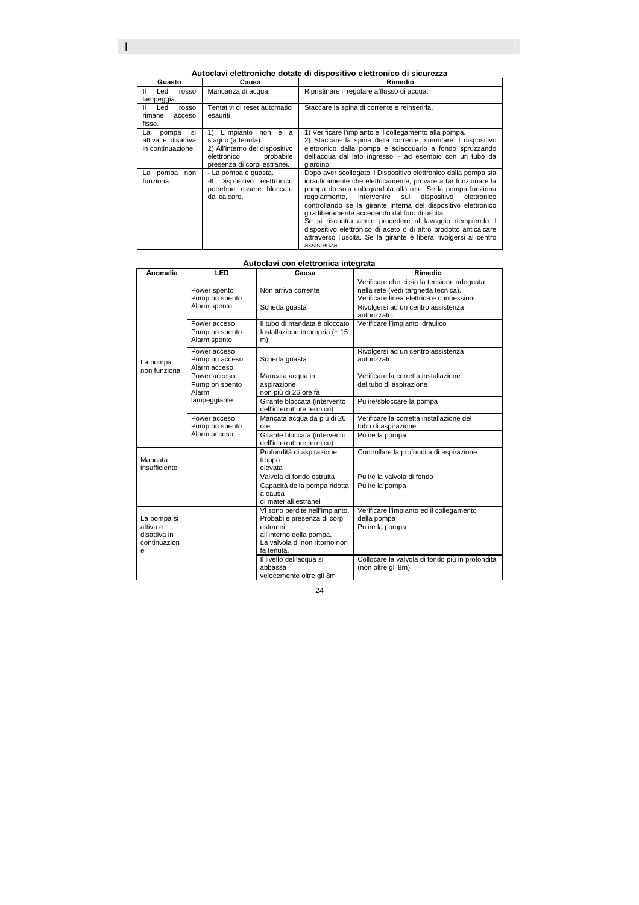I

| Guasto                                                       | Causa                                                                                                                                       | Rimedio                                                                                                                                                                                                                                                                                                                                                                                                                                                                                                                                                                                            |
|--------------------------------------------------------------|---------------------------------------------------------------------------------------------------------------------------------------------|----------------------------------------------------------------------------------------------------------------------------------------------------------------------------------------------------------------------------------------------------------------------------------------------------------------------------------------------------------------------------------------------------------------------------------------------------------------------------------------------------------------------------------------------------------------------------------------------------|
| Led<br>Ш<br>rosso<br>lampeggia.                              | Mancanza di acqua.                                                                                                                          | Ripristinare il regolare afflusso di acqua.                                                                                                                                                                                                                                                                                                                                                                                                                                                                                                                                                        |
| II Led<br>rosso<br>rimane<br>acceso<br>fisso.                | Tentativi di reset automatici<br>esauriti.                                                                                                  | Staccare la spina di corrente e reinserirla.                                                                                                                                                                                                                                                                                                                                                                                                                                                                                                                                                       |
| si<br>La<br>pompa<br>attiva e disattiva<br>in continuazione. | L'impianto non è a<br>1)<br>stagno (a tenuta).<br>2) All'interno del dispositivo<br>elettronico<br>probabile<br>presenza di corpi estranei. | 1) Verificare l'impianto e il collegamento alla pompa.<br>2) Staccare la spina della corrente, smontare il dispositivo<br>elettronico dalla pompa e sciacquarlo a fondo spruzzando<br>dell'acqua dal lato ingresso - ad esempio con un tubo da<br>giardino.                                                                                                                                                                                                                                                                                                                                        |
| La pompa<br>non<br>funziona.                                 | - La pompa è quasta.<br>-Il Dispositivo elettronico<br>potrebbe essere bloccato<br>dal calcare.                                             | Dopo aver scollegato il Dispositivo elettronico dalla pompa sia<br>idraulicamente che elettricamente, provare a far funzionare la<br>pompa da sola collegandola alla rete. Se la pompa funziona<br>regolarmente, intervenire sul dispositivo elettronico<br>controllando se la girante interna del dispositivo elettronico<br>gira liberamente accedendo dal foro di uscita.<br>Se si riscontra attrito procedere al lavaggio riempiendo il<br>dispositivo elettronico di aceto o di altro prodotto anticalcare<br>attraverso l'uscita. Se la girante è libera rivolgersi al centro<br>assistenza. |

### **Autoclavi con elettronica integrata**

| Anomalia                                                     | LED                                            | ratoolavi ooli cicta ollica ilitograta<br>Causa                                                                                                      | Rimedio                                                                                                                                                                               |
|--------------------------------------------------------------|------------------------------------------------|------------------------------------------------------------------------------------------------------------------------------------------------------|---------------------------------------------------------------------------------------------------------------------------------------------------------------------------------------|
|                                                              | Power spento<br>Pump on spento<br>Alarm spento | Non arriva corrente<br>Scheda guasta                                                                                                                 | Verificare che ci sia la tensione adequata<br>nella rete (vedi targhetta tecnica).<br>Verificare linea elettrica e connessioni.<br>Rivolgersi ad un centro assistenza<br>autorizzato. |
|                                                              | Power acceso<br>Pump on spento<br>Alarm spento | Il tubo di mandata è bloccato<br>Installazione impropria (+ 15<br>m)                                                                                 | Verificare l'impianto idraulico                                                                                                                                                       |
| La pompa<br>non funziona                                     | Power acceso<br>Pump on acceso<br>Alarm acceso | Scheda quasta                                                                                                                                        | Rivolgersi ad un centro assistenza<br>autorizzato                                                                                                                                     |
|                                                              | Power acceso<br>Pump on spento<br>Alarm        | Mancata acqua in<br>aspirazione<br>non più di 26 ore fà                                                                                              | Verificare la corretta installazione<br>del tubo di aspirazione                                                                                                                       |
|                                                              | lampeggiante                                   | Girante bloccata (intervento<br>dell'interruttore termico)                                                                                           | Pulire/sbloccare la pompa                                                                                                                                                             |
|                                                              | Power acceso<br>Pump on spento                 | Mancata acqua da più di 26<br>ore                                                                                                                    | Verificare la corretta installazione del<br>tubo di aspirazione.                                                                                                                      |
|                                                              | Alarm acceso                                   | Girante bloccata (intervento<br>dell'interruttore termico)                                                                                           | Pulire la pompa                                                                                                                                                                       |
| Mandata<br>insufficiente                                     |                                                | Profondità di aspirazione<br>troppo<br>elevata                                                                                                       | Controllare la profondità di aspirazione                                                                                                                                              |
|                                                              |                                                | Valvola di fondo ostruita                                                                                                                            | Pulire la valvola di fondo                                                                                                                                                            |
|                                                              |                                                | Capacità della pompa ridotta<br>a causa<br>di materiali estranei                                                                                     | Pulire la pompa                                                                                                                                                                       |
| La pompa si<br>attiva e<br>disattiva in<br>continuazion<br>e |                                                | Vi sono perdite nell'impianto.<br>Probabile presenza di corpi<br>estranei<br>all'interno della pompa.<br>La valvola di non ritorno non<br>fa tenuta. | Verificare l'impianto ed il collegamento<br>della pompa<br>Pulire la pompa                                                                                                            |
|                                                              |                                                | Il livello dell'acqua si<br>abbassa<br>velocemente oltre gli 8m                                                                                      | Collocare la valvola di fondo più in profondità<br>(non oltre gli 8m)                                                                                                                 |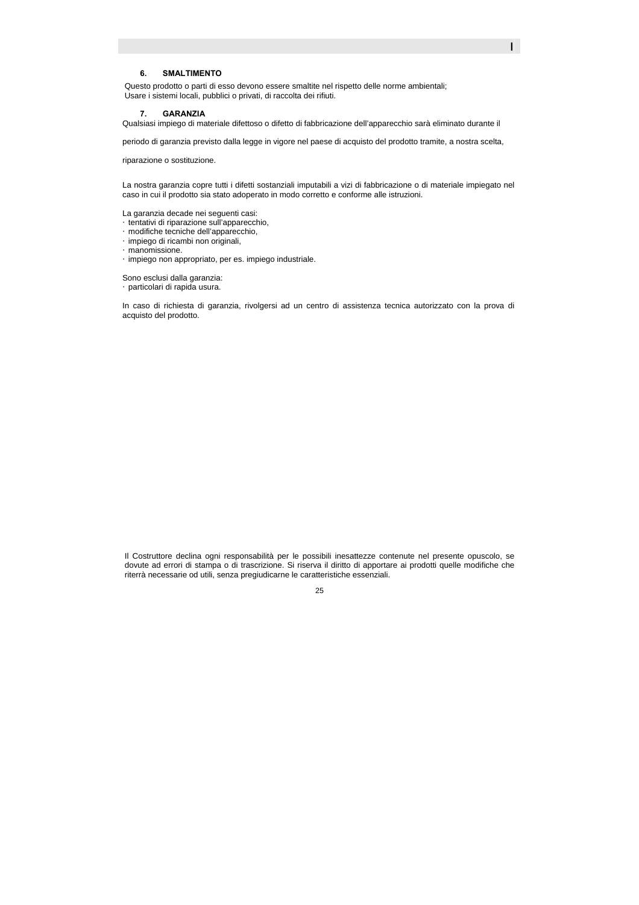### **6. SMALTIMENTO**

Questo prodotto o parti di esso devono essere smaltite nel rispetto delle norme ambientali; Usare i sistemi locali, pubblici o privati, di raccolta dei rifiuti.

#### **7. GARANZIA**

Qualsiasi impiego di materiale difettoso o difetto di fabbricazione dell'apparecchio sarà eliminato durante il

I

periodo di garanzia previsto dalla legge in vigore nel paese di acquisto del prodotto tramite, a nostra scelta,

riparazione o sostituzione.

La nostra garanzia copre tutti i difetti sostanziali imputabili a vizi di fabbricazione o di materiale impiegato nel caso in cui il prodotto sia stato adoperato in modo corretto e conforme alle istruzioni.

La garanzia decade nei seguenti casi: **Etentativi di riparazione sull'apparecchio,** Gmodifiche tecniche dell'apparecchio, y impiego di ricambi non originali, Gmanomissione. Gimpiego non appropriato, per es. impiego industriale.

Sono esclusi dalla garanzia: Gparticolari di rapida usura.

In caso di richiesta di garanzia, rivolgersi ad un centro di assistenza tecnica autorizzato con la prova di acquisto del prodotto.

Il Costruttore declina ogni responsabilità per le possibili inesattezze contenute nel presente opuscolo, se dovute ad errori di stampa o di trascrizione. Si riserva il diritto di apportare ai prodotti quelle modifiche che riterrà necessarie od utili, senza pregiudicarne le caratteristiche essenziali.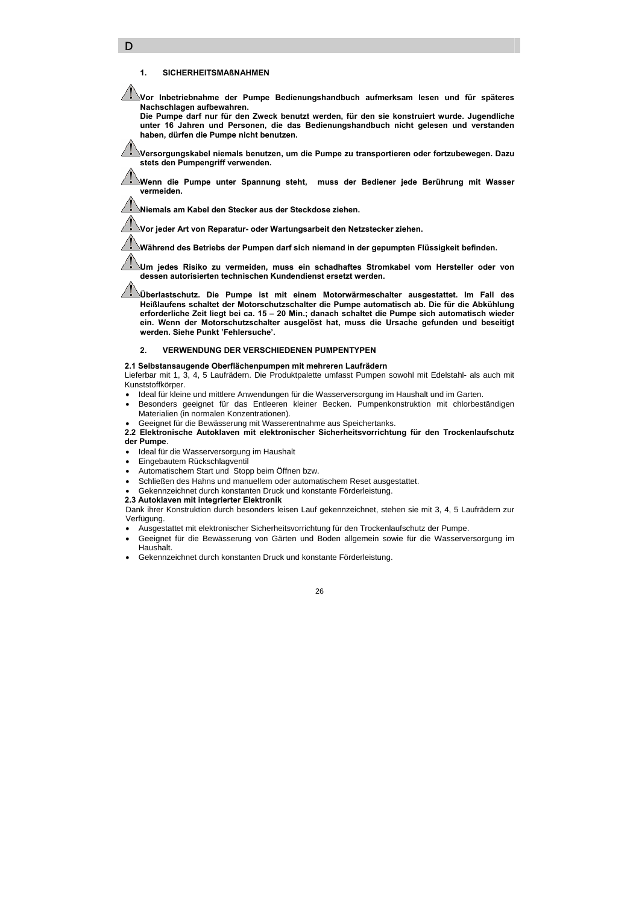#### **1. SICHERHEITSMAßNAHMEN**

D

**Vor Inbetriebnahme der Pumpe Bedienungshandbuch aufmerksam lesen und für späteres Nachschlagen aufbewahren.** 

**Die Pumpe darf nur für den Zweck benutzt werden, für den sie konstruiert wurde. Jugendliche unter 16 Jahren und Personen, die das Bedienungshandbuch nicht gelesen und verstanden haben, dürfen die Pumpe nicht benutzen.** 

**Versorgungskabel niemals benutzen, um die Pumpe zu transportieren oder fortzubewegen. Dazu stets den Pumpengriff verwenden.** 

**Wenn die Pumpe unter Spannung steht, muss der Bediener jede Berührung mit Wasser vermeiden.** 

**Niemals am Kabel den Stecker aus der Steckdose ziehen.** 

**Vor jeder Art von Reparatur- oder Wartungsarbeit den Netzstecker ziehen.** 

**Während des Betriebs der Pumpen darf sich niemand in der gepumpten Flüssigkeit befinden.** 

**Um jedes Risiko zu vermeiden, muss ein schadhaftes Stromkabel vom Hersteller oder von dessen autorisierten technischen Kundendienst ersetzt werden.** 

**Überlastschutz. Die Pumpe ist mit einem Motorwärmeschalter ausgestattet. Im Fall des Heißlaufens schaltet der Motorschutzschalter die Pumpe automatisch ab. Die für die Abkühlung erforderliche Zeit liegt bei ca. 15 – 20 Min.; danach schaltet die Pumpe sich automatisch wieder ein. Wenn der Motorschutzschalter ausgelöst hat, muss die Ursache gefunden und beseitigt werden. Siehe Punkt 'Fehlersuche'.** 

### **2. VERWENDUNG DER VERSCHIEDENEN PUMPENTYPEN**

**2.1 Selbstansaugende Oberflächenpumpen mit mehreren Laufrädern**

Lieferbar mit 1, 3, 4, 5 Laufrädern. Die Produktpalette umfasst Pumpen sowohl mit Edelstahl- als auch mit Kunststoffkörper.

- Ideal für kleine und mittlere Anwendungen für die Wasserversorgung im Haushalt und im Garten.
- Besonders geeignet für das Entleeren kleiner Becken. Pumpenkonstruktion mit chlorbeständigen Materialien (in normalen Konzentrationen).
- Geeignet für die Bewässerung mit Wasserentnahme aus Speichertanks.
- **2.2 Elektronische Autoklaven mit elektronischer Sicherheitsvorrichtung für den Trockenlaufschutz der Pumpe**.
- Ideal für die Wasserversorgung im Haushalt
- Eingebautem Rückschlagventil
- Automatischem Start und Stopp beim Öffnen bzw.
- Schließen des Hahns und manuellem oder automatischem Reset ausgestattet.
- Gekennzeichnet durch konstanten Druck und konstante Förderleistung.
- **2.3 Autoklaven mit integrierter Elektronik**

Dank ihrer Konstruktion durch besonders leisen Lauf gekennzeichnet, stehen sie mit 3, 4, 5 Laufrädern zur Verfügung.

- Ausgestattet mit elektronischer Sicherheitsvorrichtung für den Trockenlaufschutz der Pumpe.
- Geeignet für die Bewässerung von Gärten und Boden allgemein sowie für die Wasserversorgung im Haushalt.
- Gekennzeichnet durch konstanten Druck und konstante Förderleistung.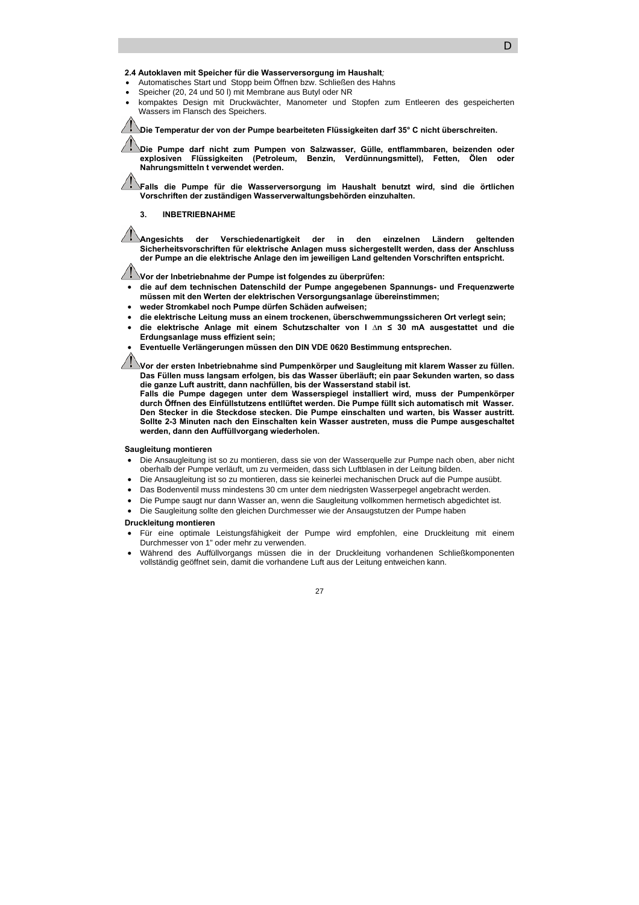### **2.4 Autoklaven mit Speicher für die Wasserversorgung im Haushalt***;*

- Automatisches Start und Stopp beim Öffnen bzw. Schließen des Hahns
- Speicher (20, 24 und 50 l) mit Membrane aus Butyl oder NR
- kompaktes Design mit Druckwächter, Manometer und Stopfen zum Entleeren des gespeicherten Wassers im Flansch des Speichers.

**Die Temperatur der von der Pumpe bearbeiteten Flüssigkeiten darf 35° C nicht überschreiten.** 

**Die Pumpe darf nicht zum Pumpen von Salzwasser, Gülle, entflammbaren, beizenden oder explosiven Flüssigkeiten (Petroleum, Benzin, Verdünnungsmittel), Fetten, Ölen oder Nahrungsmitteln t verwendet werden.** 

**Falls die Pumpe für die Wasserversorgung im Haushalt benutzt wird, sind die örtlichen Vorschriften der zuständigen Wasserverwaltungsbehörden einzuhalten.** 

#### **3. INBETRIEBNAHME**

**Angesichts der Verschiedenartigkeit der in den einzelnen Ländern geltenden Sicherheitsvorschriften für elektrische Anlagen muss sichergestellt werden, dass der Anschluss der Pumpe an die elektrische Anlage den im jeweiligen Land geltenden Vorschriften entspricht.** 

**Vor der Inbetriebnahme der Pumpe ist folgendes zu überprüfen:** 

- **die auf dem technischen Datenschild der Pumpe angegebenen Spannungs- und Frequenzwerte müssen mit den Werten der elektrischen Versorgungsanlage übereinstimmen;**
- **weder Stromkabel noch Pumpe dürfen Schäden aufweisen;**
- **die elektrische Leitung muss an einem trockenen, überschwemmungssicheren Ort verlegt sein;**
- **die elektrische Anlage mit einem Schutzschalter von I ∆n ≤ 30 mA ausgestattet und die Erdungsanlage muss effizient sein;**
- **Eventuelle Verlängerungen müssen den DIN VDE 0620 Bestimmung entsprechen.**

**Vor der ersten Inbetriebnahme sind Pumpenkörper und Saugleitung mit klarem Wasser zu füllen. Das Füllen muss langsam erfolgen, bis das Wasser überläuft; ein paar Sekunden warten, so dass die ganze Luft austritt, dann nachfüllen, bis der Wasserstand stabil ist.** 

**Falls die Pumpe dagegen unter dem Wasserspiegel installiert wird, muss der Pumpenkörper durch Öffnen des Einfüllstutzens entllüftet werden. Die Pumpe füllt sich automatisch mit Wasser. Den Stecker in die Steckdose stecken. Die Pumpe einschalten und warten, bis Wasser austritt. Sollte 2-3 Minuten nach den Einschalten kein Wasser austreten, muss die Pumpe ausgeschaltet werden, dann den Auffüllvorgang wiederholen.** 

#### **Saugleitung montieren**

- Die Ansaugleitung ist so zu montieren, dass sie von der Wasserquelle zur Pumpe nach oben, aber nicht oberhalb der Pumpe verläuft, um zu vermeiden, dass sich Luftblasen in der Leitung bilden.
- Die Ansaugleitung ist so zu montieren, dass sie keinerlei mechanischen Druck auf die Pumpe ausübt.
- Das Bodenventil muss mindestens 30 cm unter dem niedrigsten Wasserpegel angebracht werden.
- Die Pumpe saugt nur dann Wasser an, wenn die Saugleitung vollkommen hermetisch abgedichtet ist.
- Die Saugleitung sollte den gleichen Durchmesser wie der Ansaugstutzen der Pumpe haben

#### **Druckleitung montieren**

- Für eine optimale Leistungsfähigkeit der Pumpe wird empfohlen, eine Druckleitung mit einem Durchmesser von 1" oder mehr zu verwenden.
- Während des Auffüllvorgangs müssen die in der Druckleitung vorhandenen Schließkomponenten vollständig geöffnet sein, damit die vorhandene Luft aus der Leitung entweichen kann.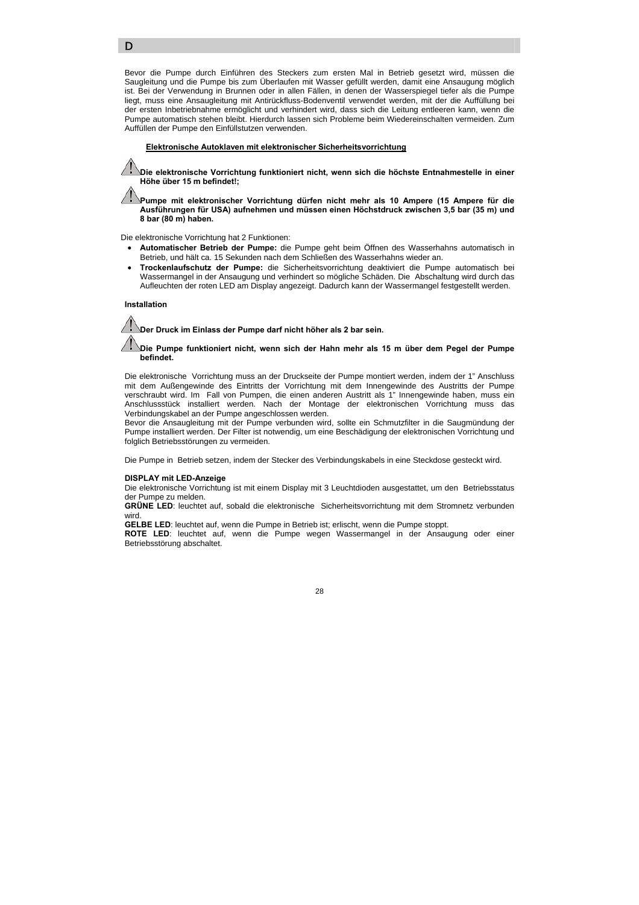Bevor die Pumpe durch Einführen des Steckers zum ersten Mal in Betrieb gesetzt wird, müssen die Saugleitung und die Pumpe bis zum Überlaufen mit Wasser gefüllt werden, damit eine Ansaugung möglich ist. Bei der Verwendung in Brunnen oder in allen Fällen, in denen der Wasserspiegel tiefer als die Pumpe liegt, muss eine Ansaugleitung mit Antirückfluss-Bodenventil verwendet werden, mit der die Auffüllung bei der ersten Inbetriebnahme ermöglicht und verhindert wird, dass sich die Leitung entleeren kann, wenn die Pumpe automatisch stehen bleibt. Hierdurch lassen sich Probleme beim Wiedereinschalten vermeiden. Zum Auffüllen der Pumpe den Einfüllstutzen verwenden.

#### f **Elektronische Autoklaven mit elektronischer Sicherheitsvorrichtung**

**Die elektronische Vorrichtung funktioniert nicht, wenn sich die höchste Entnahmestelle in einer Höhe über 15 m befindet!;** 

**Pumpe mit elektronischer Vorrichtung dürfen nicht mehr als 10 Ampere (15 Ampere für die Ausführungen für USA) aufnehmen und müssen einen Höchstdruck zwischen 3,5 bar (35 m) und 8 bar (80 m) haben.** 

Die elektronische Vorrichtung hat 2 Funktionen:

- **Automatischer Betrieb der Pumpe:** die Pumpe geht beim Öffnen des Wasserhahns automatisch in Betrieb, und hält ca. 15 Sekunden nach dem Schließen des Wasserhahns wieder an.
- **Trockenlaufschutz der Pumpe:** die Sicherheitsvorrichtung deaktiviert die Pumpe automatisch bei Wassermangel in der Ansaugung und verhindert so mögliche Schäden. Die Abschaltung wird durch das Aufleuchten der roten LED am Display angezeigt. Dadurch kann der Wassermangel festgestellt werden.

#### **Installation**

D

**Der Druck im Einlass der Pumpe darf nicht höher als 2 bar sein.** 

**Die Pumpe funktioniert nicht, wenn sich der Hahn mehr als 15 m über dem Pegel der Pumpe befindet.** 

Die elektronische Vorrichtung muss an der Druckseite der Pumpe montiert werden, indem der 1" Anschluss mit dem Außengewinde des Eintritts der Vorrichtung mit dem Innengewinde des Austritts der Pumpe verschraubt wird. Im Fall von Pumpen, die einen anderen Austritt als 1" Innengewinde haben, muss ein Anschlussstück installiert werden. Nach der Montage der elektronischen Vorrichtung muss das Verbindungskabel an der Pumpe angeschlossen werden.

Bevor die Ansaugleitung mit der Pumpe verbunden wird, sollte ein Schmutzfilter in die Saugmündung der Pumpe installiert werden. Der Filter ist notwendig, um eine Beschädigung der elektronischen Vorrichtung und folglich Betriebsstörungen zu vermeiden.

Die Pumpe in Betrieb setzen, indem der Stecker des Verbindungskabels in eine Steckdose gesteckt wird.

#### **DISPLAY mit LED-Anzeige**

Die elektronische Vorrichtung ist mit einem Display mit 3 Leuchtdioden ausgestattet, um den Betriebsstatus der Pumpe zu melden.

**GRÜNE LED**: leuchtet auf, sobald die elektronische Sicherheitsvorrichtung mit dem Stromnetz verbunden wird.

**GELBE LED**: leuchtet auf, wenn die Pumpe in Betrieb ist; erlischt, wenn die Pumpe stoppt.

**ROTE LED**: leuchtet auf, wenn die Pumpe wegen Wassermangel in der Ansaugung oder einer Betriebsstörung abschaltet.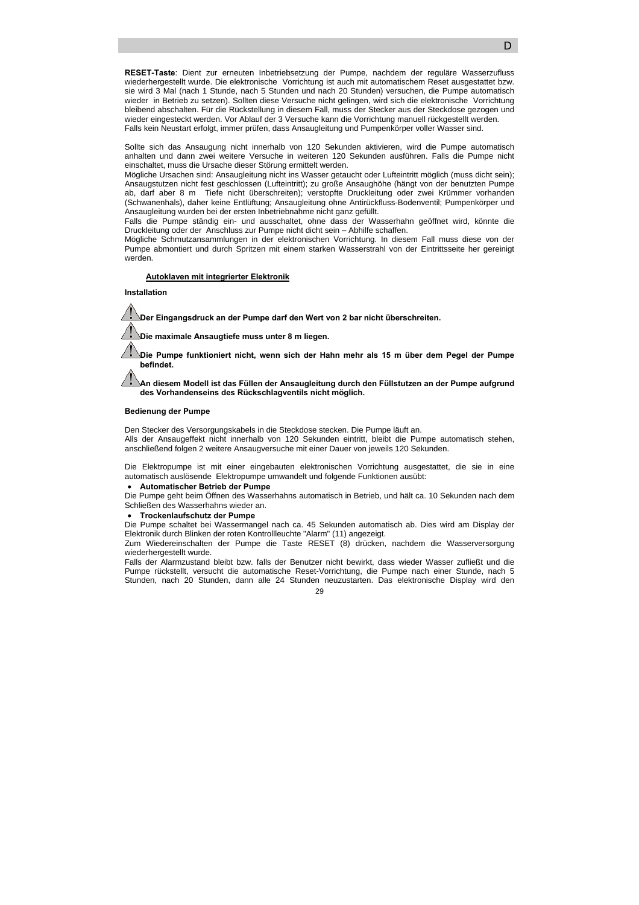**RESET-Taste**: Dient zur erneuten Inbetriebsetzung der Pumpe, nachdem der reguläre Wasserzufluss wiederhergestellt wurde. Die elektronische Vorrichtung ist auch mit automatischem Reset ausgestattet bzw. sie wird 3 Mal (nach 1 Stunde, nach 5 Stunden und nach 20 Stunden) versuchen, die Pumpe automatisch wieder in Betrieb zu setzen). Sollten diese Versuche nicht gelingen, wird sich die elektronische Vorrichtung bleibend abschalten. Für die Rückstellung in diesem Fall, muss der Stecker aus der Steckdose gezogen und wieder eingesteckt werden. Vor Ablauf der 3 Versuche kann die Vorrichtung manuell rückgestellt werden. Falls kein Neustart erfolgt, immer prüfen, dass Ansaugleitung und Pumpenkörper voller Wasser sind.

Sollte sich das Ansaugung nicht innerhalb von 120 Sekunden aktivieren, wird die Pumpe automatisch anhalten und dann zwei weitere Versuche in weiteren 120 Sekunden ausführen. Falls die Pumpe nicht einschaltet, muss die Ursache dieser Störung ermittelt werden.

Mögliche Ursachen sind: Ansaugleitung nicht ins Wasser getaucht oder Lufteintritt möglich (muss dicht sein); Ansaugstutzen nicht fest geschlossen (Lufteintritt); zu große Ansaughöhe (hängt von der benutzten Pumpe ab, darf aber 8 m Tiefe nicht überschreiten); verstopfte Druckleitung oder zwei Krümmer vorhanden (Schwanenhals), daher keine Entlüftung; Ansaugleitung ohne Antirückfluss-Bodenventil; Pumpenkörper und Ansaugleitung wurden bei der ersten Inbetriebnahme nicht ganz gefüllt.

Falls die Pumpe ständig ein- und ausschaltet, ohne dass der Wasserhahn geöffnet wird, könnte die Druckleitung oder der Anschluss zur Pumpe nicht dicht sein – Abhilfe schaffen.

Mögliche Schmutzansammlungen in der elektronischen Vorrichtung. In diesem Fall muss diese von der Pumpe abmontiert und durch Spritzen mit einem starken Wasserstrahl von der Eintrittsseite her gereinigt werden.

### f **Autoklaven mit integrierter Elektronik**

**Installation** 

**Der Eingangsdruck an der Pumpe darf den Wert von 2 bar nicht überschreiten.** 

**Die maximale Ansaugtiefe muss unter 8 m liegen.** 

**Die Pumpe funktioniert nicht, wenn sich der Hahn mehr als 15 m über dem Pegel der Pumpe befindet.** 

**An diesem Modell ist das Füllen der Ansaugleitung durch den Füllstutzen an der Pumpe aufgrund des Vorhandenseins des Rückschlagventils nicht möglich.** 

#### **Bedienung der Pumpe**

Den Stecker des Versorgungskabels in die Steckdose stecken. Die Pumpe läuft an. Alls der Ansaugeffekt nicht innerhalb von 120 Sekunden eintritt, bleibt die Pumpe automatisch stehen, anschließend folgen 2 weitere Ansaugversuche mit einer Dauer von jeweils 120 Sekunden.

Die Elektropumpe ist mit einer eingebauten elektronischen Vorrichtung ausgestattet, die sie in eine automatisch auslösende Elektropumpe umwandelt und folgende Funktionen ausübt:

### • **Automatischer Betrieb der Pumpe**

Die Pumpe geht beim Öffnen des Wasserhahns automatisch in Betrieb, und hält ca. 10 Sekunden nach dem Schließen des Wasserhahns wieder an.

#### • **Trockenlaufschutz der Pumpe**

Die Pumpe schaltet bei Wassermangel nach ca. 45 Sekunden automatisch ab. Dies wird am Display der Elektronik durch Blinken der roten Kontrollleuchte "Alarm" (11) angezeigt.

Zum Wiedereinschalten der Pumpe die Taste RESET (8) drücken, nachdem die Wasserversorgung wiederhergestellt wurde.

Falls der Alarmzustand bleibt bzw. falls der Benutzer nicht bewirkt, dass wieder Wasser zufließt und die Pumpe rückstellt, versucht die automatische Reset-Vorrichtung, die Pumpe nach einer Stunde, nach 5 Stunden, nach 20 Stunden, dann alle 24 Stunden neuzustarten. Das elektronische Display wird den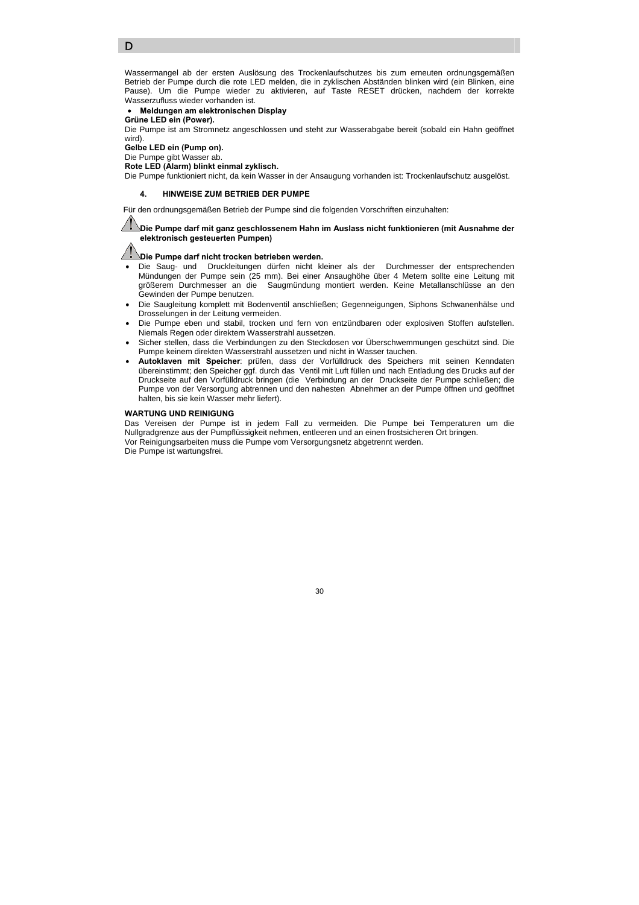D

Wassermangel ab der ersten Auslösung des Trockenlaufschutzes bis zum erneuten ordnungsgemäßen Betrieb der Pumpe durch die rote LED melden, die in zyklischen Abständen blinken wird (ein Blinken, eine Pause). Um die Pumpe wieder zu aktivieren, auf Taste RESET drücken, nachdem der korrekte Wasserzufluss wieder vorhanden ist.

• **Meldungen am elektronischen Display** 

**Grüne LED ein (Power).** 

Die Pumpe ist am Stromnetz angeschlossen und steht zur Wasserabgabe bereit (sobald ein Hahn geöffnet wird).

**Gelbe LED ein (Pump on).**  Die Pumpe gibt Wasser ab.

**Rote LED (Alarm) blinkt einmal zyklisch.** 

Die Pumpe funktioniert nicht, da kein Wasser in der Ansaugung vorhanden ist: Trockenlaufschutz ausgelöst.

#### **4. HINWEISE ZUM BETRIEB DER PUMPE**

Für den ordnungsgemäßen Betrieb der Pumpe sind die folgenden Vorschriften einzuhalten:

### **Die Pumpe darf mit ganz geschlossenem Hahn im Auslass nicht funktionieren (mit Ausnahme der elektronisch gesteuerten Pumpen)**

### *Die Pumpe darf nicht trocken betrieben werden.*

- Die Saug- und Druckleitungen dürfen nicht kleiner als der Durchmesser der entsprechenden Mündungen der Pumpe sein (25 mm). Bei einer Ansaughöhe über 4 Metern sollte eine Leitung mit größerem Durchmesser an die Saugmündung montiert werden. Keine Metallanschlüsse an den Gewinden der Pumpe benutzen.
- Die Saugleitung komplett mit Bodenventil anschließen; Gegenneigungen, Siphons Schwanenhälse und Drosselungen in der Leitung vermeiden.
- Die Pumpe eben und stabil, trocken und fern von entzündbaren oder explosiven Stoffen aufstellen. Niemals Regen oder direktem Wasserstrahl aussetzen.
- Sicher stellen, dass die Verbindungen zu den Steckdosen vor Überschwemmungen geschützt sind. Die Pumpe keinem direkten Wasserstrahl aussetzen und nicht in Wasser tauchen.
- **Autoklaven mit Speicher**: prüfen, dass der Vorfülldruck des Speichers mit seinen Kenndaten übereinstimmt; den Speicher ggf. durch das Ventil mit Luft füllen und nach Entladung des Drucks auf der Druckseite auf den Vorfülldruck bringen (die Verbindung an der Druckseite der Pumpe schließen; die Pumpe von der Versorgung abtrennen und den nahesten Abnehmer an der Pumpe öffnen und geöffnet halten, bis sie kein Wasser mehr liefert).

### **WARTUNG UND REINIGUNG**

Das Vereisen der Pumpe ist in jedem Fall zu vermeiden. Die Pumpe bei Temperaturen um die Nullgradgrenze aus der Pumpflüssigkeit nehmen, entleeren und an einen frostsicheren Ort bringen. Vor Reinigungsarbeiten muss die Pumpe vom Versorgungsnetz abgetrennt werden. Die Pumpe ist wartungsfrei.

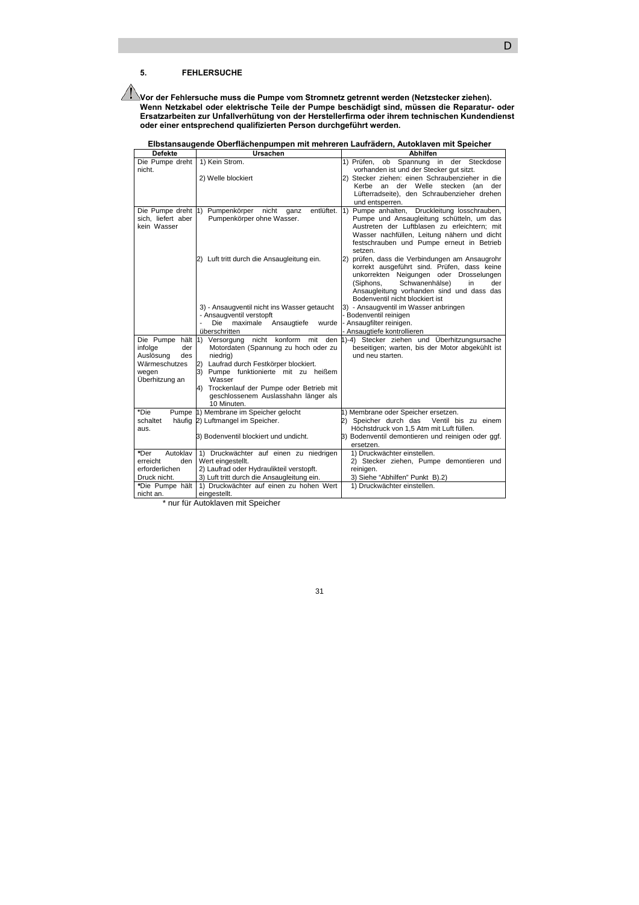### **5. FEHLERSUCHE**

**Vor der Fehlersuche muss die Pumpe vom Stromnetz getrennt werden (Netzstecker ziehen). Wenn Netzkabel oder elektrische Teile der Pumpe beschädigt sind, müssen die Reparatur- oder Ersatzarbeiten zur Unfallverhütung von der Herstellerfirma oder ihrem technischen Kundendienst oder einer entsprechend qualifizierten Person durchgeführt werden.** 

**Elbstansaugende Oberflächenpumpen mit mehreren Laufrädern, Autoklaven mit Speicher** 

\* nur für Autoklaven mit Speicher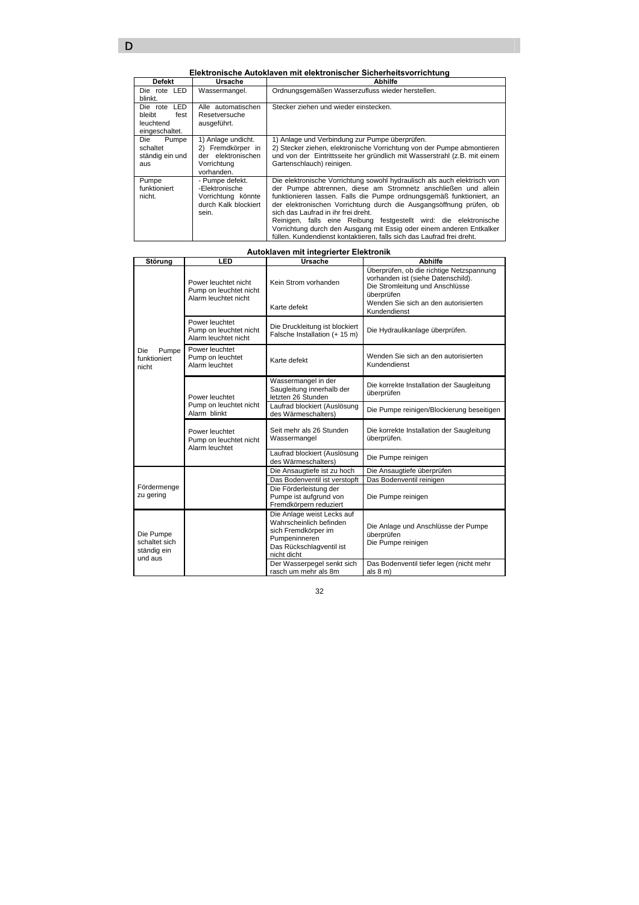### **Elektronische Autoklaven mit elektronischer Sicherheitsvorrichtung**

|                 | EIENI ONISCHE AULONAVEN INIL EIENI ONISCHEL SICHENIERSVOLIICHLUNG |                                                                           |  |
|-----------------|-------------------------------------------------------------------|---------------------------------------------------------------------------|--|
| <b>Defekt</b>   | Ursache                                                           | Abhilfe                                                                   |  |
| Die rote LED    | Wassermangel.                                                     | Ordnungsgemäßen Wasserzufluss wieder herstellen.                          |  |
| blinkt.         |                                                                   |                                                                           |  |
| LED<br>Die rote | Alle automatischen                                                | Stecker ziehen und wieder einstecken.                                     |  |
| bleibt<br>fest  | Resetversuche                                                     |                                                                           |  |
| leuchtend       | ausgeführt.                                                       |                                                                           |  |
| eingeschaltet.  |                                                                   |                                                                           |  |
| Pumpe<br>Die    | 1) Anlage undicht.                                                | 1) Anlage und Verbindung zur Pumpe überprüfen.                            |  |
| schaltet        | 2) Fremdkörper in                                                 | 2) Stecker ziehen, elektronische Vorrichtung von der Pumpe abmontieren    |  |
| ständig ein und | der elektronischen                                                | und von der Eintrittsseite her gründlich mit Wasserstrahl (z.B. mit einem |  |
| aus             | Vorrichtung                                                       | Gartenschlauch) reinigen.                                                 |  |
|                 | vorhanden.                                                        |                                                                           |  |
| Pumpe           | - Pumpe defekt.                                                   | Die elektronische Vorrichtung sowohl hydraulisch als auch elektrisch von  |  |
| funktioniert    | -Elektronische                                                    | der Pumpe abtrennen, diese am Stromnetz anschließen und allein            |  |
| nicht.          | Vorrichtung könnte                                                | funktionieren lassen. Falls die Pumpe ordnungsgemäß funktioniert, an      |  |
|                 | durch Kalk blockiert                                              | der elektronischen Vorrichtung durch die Ausgangsöffnung prüfen, ob       |  |
|                 | sein.                                                             | sich das Laufrad in ihr frei dreht.                                       |  |
|                 |                                                                   | Reinigen, falls eine Reibung festgestellt wird: die elektronische         |  |
|                 |                                                                   | Vorrichtung durch den Ausgang mit Essig oder einem anderen Entkalker      |  |
|                 |                                                                   | füllen. Kundendienst kontaktieren, falls sich das Laufrad frei dreht.     |  |

# **Autoklaven mit integrierter Elektronik**

| Störung                                              | LED                                                                    | Ursache                                                                                                                                                                | <b>Abhilfe</b>                                                                                                                  |
|------------------------------------------------------|------------------------------------------------------------------------|------------------------------------------------------------------------------------------------------------------------------------------------------------------------|---------------------------------------------------------------------------------------------------------------------------------|
| Pumpe<br>Die<br>funktioniert<br>nicht                | Power leuchtet nicht<br>Pump on leuchtet nicht<br>Alarm leuchtet nicht | Kein Strom vorhanden                                                                                                                                                   | Überprüfen, ob die richtige Netzspannung<br>vorhanden ist (siehe Datenschild).<br>Die Stromleitung und Anschlüsse<br>überprüfen |
|                                                      |                                                                        | Karte defekt                                                                                                                                                           | Wenden Sie sich an den autorisierten<br>Kundendienst                                                                            |
|                                                      | Power leuchtet<br>Pump on leuchtet nicht<br>Alarm leuchtet nicht       | Die Druckleitung ist blockiert<br>Falsche Installation (+ 15 m)                                                                                                        | Die Hydraulikanlage überprüfen.                                                                                                 |
|                                                      | Power leuchtet<br>Pump on leuchtet<br>Alarm leuchtet                   | Karte defekt                                                                                                                                                           | Wenden Sie sich an den autorisierten<br>Kundendienst                                                                            |
|                                                      | Power leuchtet                                                         | Wassermangel in der<br>Saugleitung innerhalb der<br>letzten 26 Stunden                                                                                                 | Die korrekte Installation der Saugleitung<br>überprüfen                                                                         |
|                                                      | Pump on leuchtet nicht<br>Alarm blinkt                                 | Laufrad blockiert (Auslösung<br>des Wärmeschalters)                                                                                                                    | Die Pumpe reinigen/Blockierung beseitigen                                                                                       |
|                                                      | Power leuchtet<br>Pump on leuchtet nicht<br>Alarm leuchtet             | Seit mehr als 26 Stunden<br>Wassermangel                                                                                                                               | Die korrekte Installation der Saugleitung<br>überprüfen.                                                                        |
|                                                      |                                                                        | Laufrad blockiert (Auslösung<br>des Wärmeschalters)                                                                                                                    | Die Pumpe reinigen                                                                                                              |
|                                                      |                                                                        | Die Ansaugtiefe ist zu hoch                                                                                                                                            | Die Ansaugtiefe überprüfen                                                                                                      |
|                                                      |                                                                        | Das Bodenventil ist verstopft                                                                                                                                          | Das Bodenventil reinigen                                                                                                        |
| Fördermenge<br>zu gering                             |                                                                        | Die Förderleistung der<br>Pumpe ist aufgrund von<br>Fremdkörpern reduziert                                                                                             | Die Pumpe reinigen                                                                                                              |
| Die Pumpe<br>schaltet sich<br>ständig ein<br>und aus |                                                                        | Die Anlage weist Lecks auf<br>Wahrscheinlich befinden<br>sich Fremdkörper im<br>Pumpeninneren<br>Das Rückschlagventil ist<br>nicht dicht<br>Der Wasserpegel senkt sich | Die Anlage und Anschlüsse der Pumpe<br>überprüfen<br>Die Pumpe reinigen<br>Das Bodenventil tiefer legen (nicht mehr             |
|                                                      |                                                                        | rasch um mehr als 8m                                                                                                                                                   | als $8 \text{ m}$ )                                                                                                             |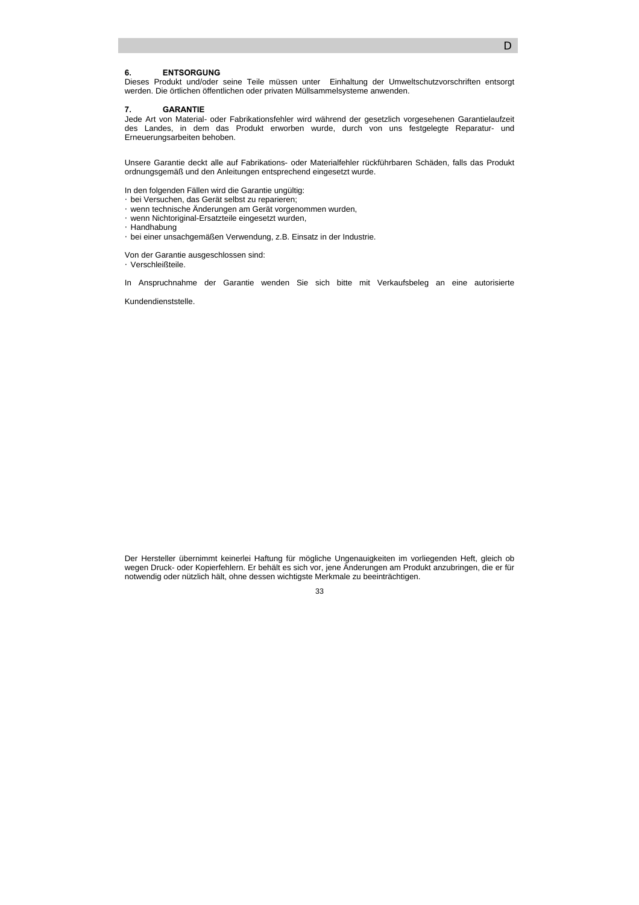### **6. ENTSORGUNG**

Dieses Produkt und/oder seine Teile müssen unter Einhaltung der Umweltschutzvorschriften entsorgt werden. Die örtlichen öffentlichen oder privaten Müllsammelsysteme anwenden.

#### **7. GARANTIE**

Jede Art von Material- oder Fabrikationsfehler wird während der gesetzlich vorgesehenen Garantielaufzeit des Landes, in dem das Produkt erworben wurde, durch von uns festgelegte Reparatur- und Erneuerungsarbeiten behoben.

Unsere Garantie deckt alle auf Fabrikations- oder Materialfehler rückführbaren Schäden, falls das Produkt ordnungsgemäß und den Anleitungen entsprechend eingesetzt wurde.

In den folgenden Fällen wird die Garantie ungültig: y bei Versuchen, das Gerät selbst zu reparieren; y wenn technische Änderungen am Gerät vorgenommen wurden, y wenn Nichtoriginal-Ersatzteile eingesetzt wurden, y Handhabung y bei einer unsachgemäßen Verwendung, z.B. Einsatz in der Industrie.

Von der Garantie ausgeschlossen sind: y Verschleißteile.

In Anspruchnahme der Garantie wenden Sie sich bitte mit Verkaufsbeleg an eine autorisierte

Kundendienststelle.

Der Hersteller übernimmt keinerlei Haftung für mögliche Ungenauigkeiten im vorliegenden Heft, gleich ob wegen Druck- oder Kopierfehlern. Er behält es sich vor, jene Änderungen am Produkt anzubringen, die er für notwendig oder nützlich hält, ohne dessen wichtigste Merkmale zu beeinträchtigen.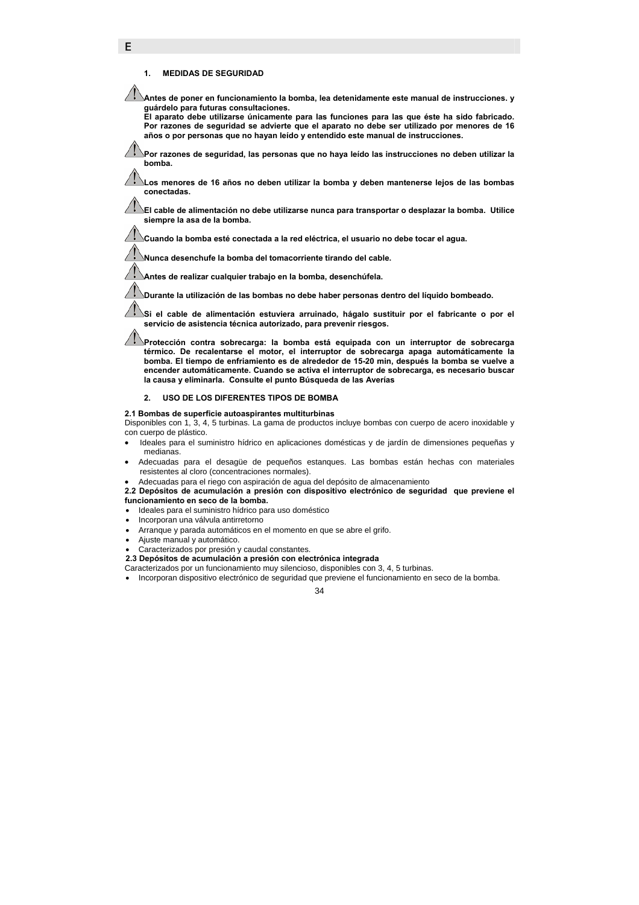### **1. MEDIDAS DE SEGURIDAD**

E

**Antes de poner en funcionamiento la bomba, lea detenidamente este manual de instrucciones. y guárdelo para futuras consultaciones.** 

**El aparato debe utilizarse únicamente para las funciones para las que éste ha sido fabricado. Por razones de seguridad se advierte que el aparato no debe ser utilizado por menores de 16 años o por personas que no hayan leído y entendido este manual de instrucciones.** 

**Por razones de seguridad, las personas que no haya leído las instrucciones no deben utilizar la bomba.** 

**Los menores de 16 años no deben utilizar la bomba y deben mantenerse lejos de las bombas conectadas.** 

**El cable de alimentación no debe utilizarse nunca para transportar o desplazar la bomba. Utilice siempre la asa de la bomba.** 

**Cuando la bomba esté conectada a la red eléctrica, el usuario no debe tocar el agua.** 

**Nunca desenchufe la bomba del tomacorriente tirando del cable.** 

**Antes de realizar cualquier trabajo en la bomba, desenchúfela.** 

**Durante la utilización de las bombas no debe haber personas dentro del líquido bombeado.** 

**Si el cable de alimentación estuviera arruinado, hágalo sustituir por el fabricante o por el servicio de asistencia técnica autorizado, para prevenir riesgos.** 

**Protección contra sobrecarga: la bomba está equipada con un interruptor de sobrecarga térmico. De recalentarse el motor, el interruptor de sobrecarga apaga automáticamente la bomba. El tiempo de enfriamiento es de alrededor de 15-20 min, después la bomba se vuelve a encender automáticamente. Cuando se activa el interruptor de sobrecarga, es necesario buscar la causa y eliminarla. Consulte el punto Búsqueda de las Averías** 

### **2. USO DE LOS DIFERENTES TIPOS DE BOMBA**

**2.1 Bombas de superficie autoaspirantes multiturbinas** 

Disponibles con 1, 3, 4, 5 turbinas. La gama de productos incluye bombas con cuerpo de acero inoxidable y con cuerpo de plástico.

- Ideales para el suministro hídrico en aplicaciones domésticas y de jardín de dimensiones pequeñas y medianas.
- Adecuadas para el desagüe de pequeños estanques. Las bombas están hechas con materiales resistentes al cloro (concentraciones normales).
- Adecuadas para el riego con aspiración de agua del depósito de almacenamiento

**2.2 Depósitos de acumulación a presión con dispositivo electrónico de seguridad que previene el funcionamiento en seco de la bomba.** 

- Ideales para el suministro hídrico para uso doméstico
- Incorporan una válvula antirretorno
- Arranque y parada automáticos en el momento en que se abre el grifo.
- Ajuste manual y automático.
- Caracterizados por presión y caudal constantes.
- **2.3 Depósitos de acumulación a presión con electrónica integrada**

Caracterizados por un funcionamiento muy silencioso, disponibles con 3, 4, 5 turbinas.

• Incorporan dispositivo electrónico de seguridad que previene el funcionamiento en seco de la bomba.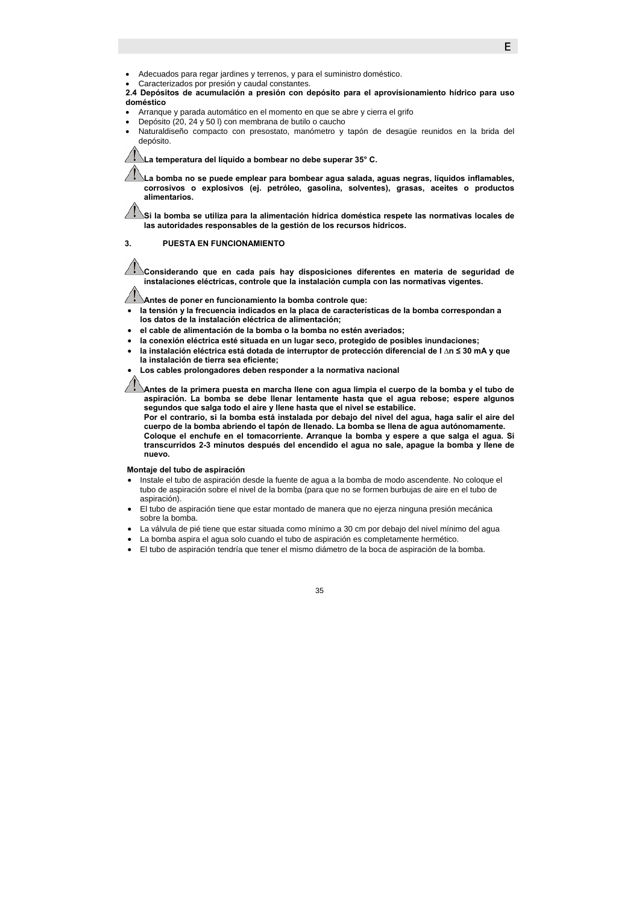- Adecuados para regar jardines y terrenos, y para el suministro doméstico.
- Caracterizados por presión y caudal constantes.

**2.4 Depósitos de acumulación a presión con depósito para el aprovisionamiento hídrico para uso doméstico** 

- Arranque y parada automático en el momento en que se abre y cierra el grifo
- Depósito (20, 24 y 50 l) con membrana de butilo o caucho
- Naturaldiseño compacto con presostato, manómetro y tapón de desagüe reunidos en la brida del depósito.

**La temperatura del líquido a bombear no debe superar 35° C.** 

**La bomba no se puede emplear para bombear agua salada, aguas negras, líquidos inflamables, corrosivos o explosivos (ej. petróleo, gasolina, solventes), grasas, aceites o productos alimentarios.** 

**Si la bomba se utiliza para la alimentación hídrica doméstica respete las normativas locales de las autoridades responsables de la gestión de los recursos hídricos.** 

### **3. PUESTA EN FUNCIONAMIENTO**

**Considerando que en cada país hay disposiciones diferentes en materia de seguridad de instalaciones eléctricas, controle que la instalación cumpla con las normativas vigentes.** 

**Antes de poner en funcionamiento la bomba controle que:**

- **la tensión y la frecuencia indicados en la placa de características de la bomba correspondan a los datos de la instalación eléctrica de alimentación;**
- **el cable de alimentación de la bomba o la bomba no estén averiados;**
- **la conexión eléctrica esté situada en un lugar seco, protegido de posibles inundaciones;**
- **la instalación eléctrica está dotada de interruptor de protección diferencial de I ∆n ≤ 30 mA y que**
- **la instalación de tierra sea eficiente;**

• **Los cables prolongadores deben responder a la normativa nacional** 

**Antes de la primera puesta en marcha llene con agua limpia el cuerpo de la bomba y el tubo de aspiración. La bomba se debe llenar lentamente hasta que el agua rebose; espere algunos segundos que salga todo el aire y llene hasta que el nivel se estabilice.** 

**Por el contrario, si la bomba está instalada por debajo del nivel del agua, haga salir el aire del cuerpo de la bomba abriendo el tapón de llenado. La bomba se llena de agua autónomamente. Coloque el enchufe en el tomacorriente. Arranque la bomba y espere a que salga el agua. Si transcurridos 2-3 minutos después del encendido el agua no sale, apague la bomba y llene de nuevo.** 

#### **Montaje del tubo de aspiración**

- Instale el tubo de aspiración desde la fuente de agua a la bomba de modo ascendente. No coloque el tubo de aspiración sobre el nivel de la bomba (para que no se formen burbujas de aire en el tubo de aspiración).
- El tubo de aspiración tiene que estar montado de manera que no ejerza ninguna presión mecánica sobre la bomba.
- La válvula de pié tiene que estar situada como mínimo a 30 cm por debajo del nivel mínimo del agua
- La bomba aspira el agua solo cuando el tubo de aspiración es completamente hermético.
- El tubo de aspiración tendría que tener el mismo diámetro de la boca de aspiración de la bomba.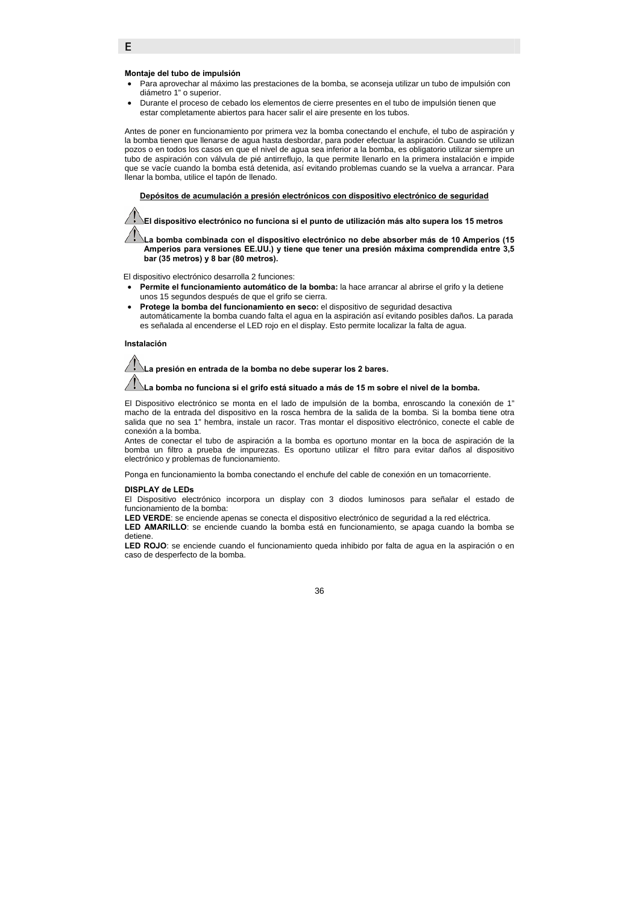### **Montaje del tubo de impulsión**

E

- Para aprovechar al máximo las prestaciones de la bomba, se aconseja utilizar un tubo de impulsión con diámetro 1" o superior.
- Durante el proceso de cebado los elementos de cierre presentes en el tubo de impulsión tienen que estar completamente abiertos para hacer salir el aire presente en los tubos.

Antes de poner en funcionamiento por primera vez la bomba conectando el enchufe, el tubo de aspiración y la bomba tienen que llenarse de agua hasta desbordar, para poder efectuar la aspiración. Cuando se utilizan pozos o en todos los casos en que el nivel de agua sea inferior a la bomba, es obligatorio utilizar siempre un tubo de aspiración con válvula de pié antirreflujo, la que permite llenarlo en la primera instalación e impide que se vacíe cuando la bomba está detenida, así evitando problemas cuando se la vuelva a arrancar. Para llenar la bomba, utilice el tapón de llenado.

f **Depósitos de acumulación a presión electrónicos con dispositivo electrónico de seguridad**

**El dispositivo electrónico no funciona si el punto de utilización más alto supera los 15 metros** 

**La bomba combinada con el dispositivo electrónico no debe absorber más de 10 Amperios (15 Amperios para versiones EE.UU.) y tiene que tener una presión máxima comprendida entre 3,5 bar (35 metros) y 8 bar (80 metros).** 

El dispositivo electrónico desarrolla 2 funciones:

- **Permite el funcionamiento automático de la bomba:** la hace arrancar al abrirse el grifo y la detiene unos 15 segundos después de que el grifo se cierra.
- **Protege la bomba del funcionamiento en seco:** el dispositivo de seguridad desactiva automáticamente la bomba cuando falta el agua en la aspiración así evitando posibles daños. La parada es señalada al encenderse el LED rojo en el display. Esto permite localizar la falta de agua.

#### **Instalación**

**La presión en entrada de la bomba no debe superar los 2 bares. La bomba no funciona si el grifo está situado a más de 15 m sobre el nivel de la bomba.** 

El Dispositivo electrónico se monta en el lado de impulsión de la bomba, enroscando la conexión de 1" macho de la entrada del dispositivo en la rosca hembra de la salida de la bomba. Si la bomba tiene otra salida que no sea 1" hembra, instale un racor. Tras montar el dispositivo electrónico, conecte el cable de conexión a la bomba.

Antes de conectar el tubo de aspiración a la bomba es oportuno montar en la boca de aspiración de la bomba un filtro a prueba de impurezas. Es oportuno utilizar el filtro para evitar daños al dispositivo electrónico y problemas de funcionamiento.

Ponga en funcionamiento la bomba conectando el enchufe del cable de conexión en un tomacorriente.

#### **DISPLAY de LEDs**

El Dispositivo electrónico incorpora un display con 3 diodos luminosos para señalar el estado de funcionamiento de la bomba:

**LED VERDE**: se enciende apenas se conecta el dispositivo electrónico de seguridad a la red eléctrica.

**LED AMARILLO**: se enciende cuando la bomba está en funcionamiento, se apaga cuando la bomba se detiene.

**LED ROJO**: se enciende cuando el funcionamiento queda inhibido por falta de agua en la aspiración o en caso de desperfecto de la bomba.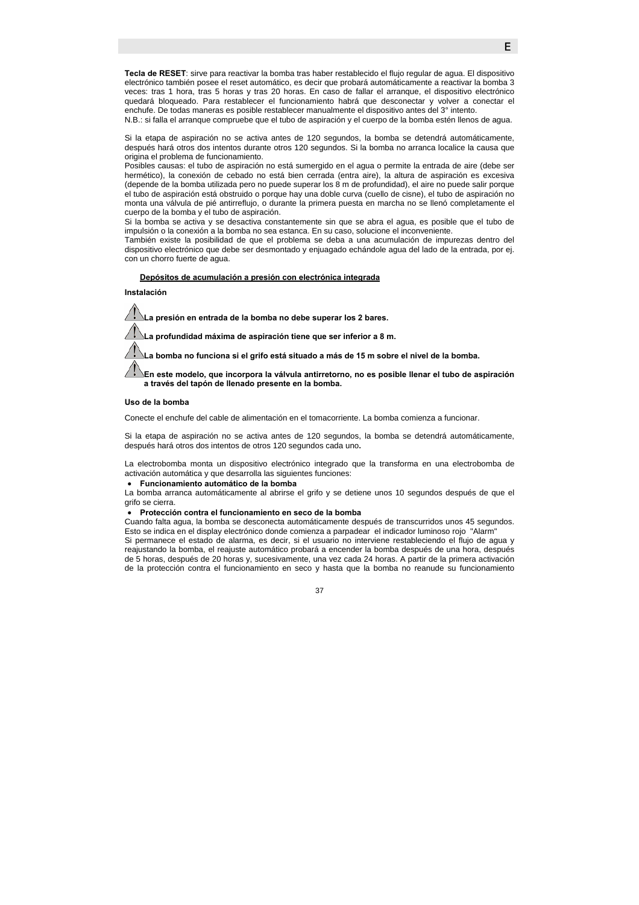**Tecla de RESET**: sirve para reactivar la bomba tras haber restablecido el flujo regular de agua. El dispositivo electrónico también posee el reset automático, es decir que probará automáticamente a reactivar la bomba 3 veces: tras 1 hora, tras 5 horas y tras 20 horas. En caso de fallar el arranque, el dispositivo electrónico quedará bloqueado. Para restablecer el funcionamiento habrá que desconectar y volver a conectar el enchufe. De todas maneras es posible restablecer manualmente el dispositivo antes del 3° intento.

N.B.: si falla el arranque compruebe que el tubo de aspiración y el cuerpo de la bomba estén llenos de agua.

Si la etapa de aspiración no se activa antes de 120 segundos, la bomba se detendrá automáticamente, después hará otros dos intentos durante otros 120 segundos. Si la bomba no arranca localice la causa que origina el problema de funcionamiento.

Posibles causas: el tubo de aspiración no está sumergido en el agua o permite la entrada de aire (debe ser hermético), la conexión de cebado no está bien cerrada (entra aire), la altura de aspiración es excesiva (depende de la bomba utilizada pero no puede superar los 8 m de profundidad), el aire no puede salir porque el tubo de aspiración está obstruido o porque hay una doble curva (cuello de cisne), el tubo de aspiración no monta una válvula de pié antirreflujo, o durante la primera puesta en marcha no se llenó completamente el cuerpo de la bomba y el tubo de aspiración.

Si la bomba se activa y se desactiva constantemente sin que se abra el agua, es posible que el tubo de impulsión o la conexión a la bomba no sea estanca. En su caso, solucione el inconveniente.

También existe la posibilidad de que el problema se deba a una acumulación de impurezas dentro del dispositivo electrónico que debe ser desmontado y enjuagado echándole agua del lado de la entrada, por ej. con un chorro fuerte de agua.

### f **Depósitos de acumulación a presión con electrónica integrada**

**Instalación** 

**La presión en entrada de la bomba no debe superar los 2 bares.** 

**La profundidad máxima de aspiración tiene que ser inferior a 8 m.** 

**La bomba no funciona si el grifo está situado a más de 15 m sobre el nivel de la bomba.** 

**En este modelo, que incorpora la válvula antirretorno, no es posible llenar el tubo de aspiración a través del tapón de llenado presente en la bomba.** 

#### **Uso de la bomba**

Conecte el enchufe del cable de alimentación en el tomacorriente. La bomba comienza a funcionar.

Si la etapa de aspiración no se activa antes de 120 segundos, la bomba se detendrá automáticamente, después hará otros dos intentos de otros 120 segundos cada uno**.** 

La electrobomba monta un dispositivo electrónico integrado que la transforma en una electrobomba de activación automática y que desarrolla las siguientes funciones:

#### • **Funcionamiento automático de la bomba**

La bomba arranca automáticamente al abrirse el grifo y se detiene unos 10 segundos después de que el grifo se cierra.

#### • **Protección contra el funcionamiento en seco de la bomba**

Cuando falta agua, la bomba se desconecta automáticamente después de transcurridos unos 45 segundos. Esto se indica en el display electrónico donde comienza a parpadear el indicador luminoso rojo "Alarm" Si permanece el estado de alarma, es decir, si el usuario no interviene restableciendo el flujo de agua y reajustando la bomba, el reajuste automático probará a encender la bomba después de una hora, después de 5 horas, después de 20 horas y, sucesivamente, una vez cada 24 horas. A partir de la primera activación de la protección contra el funcionamiento en seco y hasta que la bomba no reanude su funcionamiento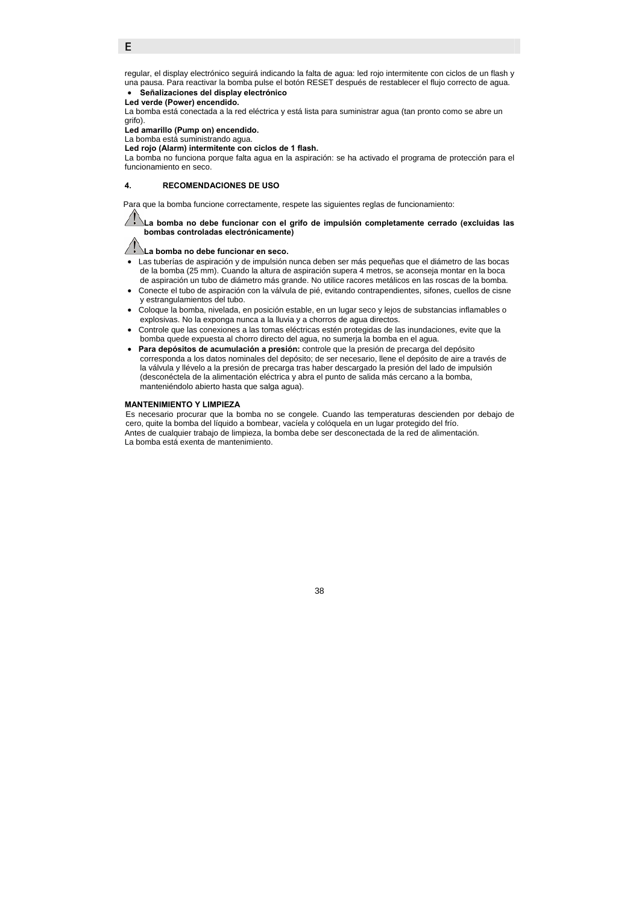### E

regular, el display electrónico seguirá indicando la falta de agua: led rojo intermitente con ciclos de un flash y una pausa. Para reactivar la bomba pulse el botón RESET después de restablecer el flujo correcto de agua.

#### • **Señalizaciones del display electrónico Led verde (Power) encendido.**

La bomba está conectada a la red eléctrica y está lista para suministrar agua (tan pronto como se abre un grifo).

**Led amarillo (Pump on) encendido.** 

La bomba está suministrando agua. **Led rojo (Alarm) intermitente con ciclos de 1 flash.** 

La bomba no funciona porque falta agua en la aspiración: se ha activado el programa de protección para el funcionamiento en seco.

#### **4. RECOMENDACIONES DE USO**

Para que la bomba funcione correctamente, respete las siguientes reglas de funcionamiento:

### **La bomba no debe funcionar con el grifo de impulsión completamente cerrado (excluidas las bombas controladas electrónicamente)**

#### **La bomba no debe funcionar en seco.**

- Las tuberías de aspiración y de impulsión nunca deben ser más pequeñas que el diámetro de las bocas de la bomba (25 mm). Cuando la altura de aspiración supera 4 metros, se aconseja montar en la boca de aspiración un tubo de diámetro más grande. No utilice racores metálicos en las roscas de la bomba.
- Conecte el tubo de aspiración con la válvula de pié, evitando contrapendientes, sifones, cuellos de cisne y estrangulamientos del tubo.
- Coloque la bomba, nivelada, en posición estable, en un lugar seco y lejos de substancias inflamables o explosivas. No la exponga nunca a la lluvia y a chorros de agua directos.
- Controle que las conexiones a las tomas eléctricas estén protegidas de las inundaciones, evite que la bomba quede expuesta al chorro directo del agua, no sumerja la bomba en el agua.
- **Para depósitos de acumulación a presión:** controle que la presión de precarga del depósito corresponda a los datos nominales del depósito; de ser necesario, llene el depósito de aire a través de la válvula y llévelo a la presión de precarga tras haber descargado la presión del lado de impulsión (desconéctela de la alimentación eléctrica y abra el punto de salida más cercano a la bomba, manteniéndolo abierto hasta que salga agua).

### **MANTENIMIENTO Y LIMPIEZA**

Es necesario procurar que la bomba no se congele. Cuando las temperaturas descienden por debajo de cero, quite la bomba del líquido a bombear, vacíela y colóquela en un lugar protegido del frío. Antes de cualquier trabajo de limpieza, la bomba debe ser desconectada de la red de alimentación. La bomba está exenta de mantenimiento.

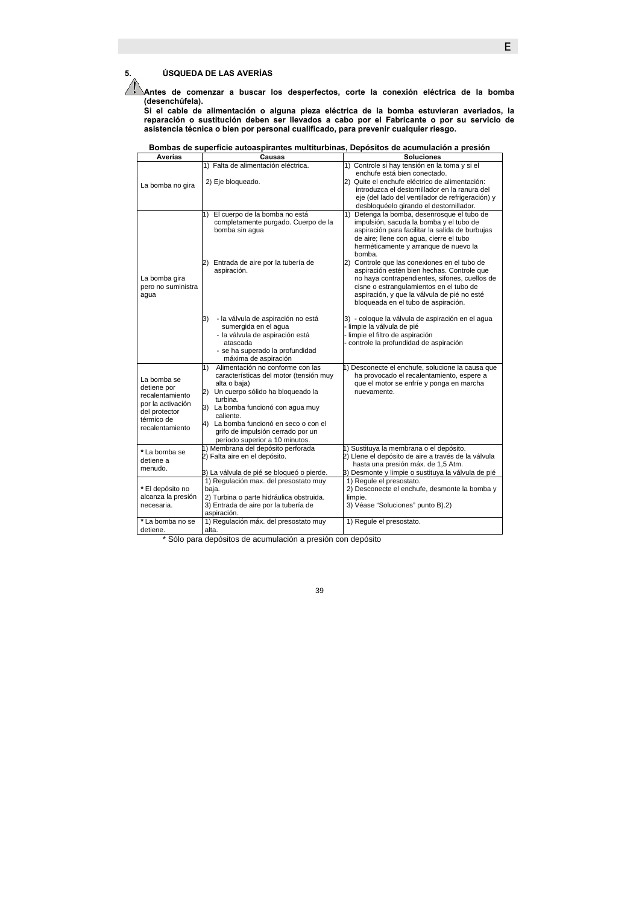**5. ÚSQUEDA DE LAS AVERÍAS** 

**Antes de comenzar a buscar los desperfectos, corte la conexión eléctrica de la bomba (desenchúfela).** 

**Si el cable de alimentación o alguna pieza eléctrica de la bomba estuvieran averiados, la reparación o sustitución deben ser llevados a cabo por el Fabricante o por su servicio de asistencia técnica o bien por personal cualificado, para prevenir cualquier riesgo.** 

| Averías                              | Causas                                                                     | <b>Soluciones</b>                                                                         |
|--------------------------------------|----------------------------------------------------------------------------|-------------------------------------------------------------------------------------------|
|                                      | 1) Falta de alimentación eléctrica.                                        | 1) Controle si hay tensión en la toma y si el<br>enchufe está bien conectado.             |
| La bomba no gira                     | 2) Eje bloqueado.                                                          | 2) Quite el enchufe eléctrico de alimentación:                                            |
|                                      |                                                                            | introduzca el destornillador en la ranura del                                             |
|                                      |                                                                            | eje (del lado del ventilador de refrigeración) y                                          |
|                                      |                                                                            | desbloquéelo girando el destornillador.                                                   |
|                                      | El cuerpo de la bomba no está<br>1)<br>completamente purgado. Cuerpo de la | Detenga la bomba, desenrosque el tubo de<br>1)<br>impulsión, sacuda la bomba y el tubo de |
|                                      | bomba sin aqua                                                             | aspiración para facilitar la salida de burbujas                                           |
|                                      |                                                                            | de aire; llene con agua, cierre el tubo                                                   |
|                                      |                                                                            | herméticamente y arranque de nuevo la<br>bomba.                                           |
|                                      | 2) Entrada de aire por la tubería de                                       | 2) Controle que las conexiones en el tubo de                                              |
|                                      | aspiración.                                                                | aspiración estén bien hechas. Controle que                                                |
| La bomba gira                        |                                                                            | no haya contrapendientes, sifones, cuellos de                                             |
| pero no suministra                   |                                                                            | cisne o estrangulamientos en el tubo de                                                   |
| agua                                 |                                                                            | aspiración, y que la válvula de pié no esté                                               |
|                                      |                                                                            | bloqueada en el tubo de aspiración.                                                       |
|                                      | - la válvula de aspiración no está<br>3)                                   | 3) - coloque la válvula de aspiración en el agua                                          |
|                                      | sumergida en el agua                                                       | - limpie la válvula de pié                                                                |
|                                      | - la válvula de aspiración está                                            | - limpie el filtro de aspiración                                                          |
|                                      | atascada                                                                   | controle la profundidad de aspiración                                                     |
|                                      | - se ha superado la profundidad<br>máxima de aspiración                    |                                                                                           |
|                                      | Alimentación no conforme con las<br>1)                                     | 1) Desconecte el enchufe, solucione la causa que                                          |
|                                      | características del motor (tensión muy                                     | ha provocado el recalentamiento, espere a                                                 |
| La bomba se                          | alta o baja)                                                               | que el motor se enfríe y ponga en marcha                                                  |
| detiene por                          | Un cuerpo sólido ha bloqueado la<br>2)                                     | nuevamente.                                                                               |
| recalentamiento<br>por la activación | turbina.                                                                   |                                                                                           |
| del protector                        | 3) La bomba funcionó con aqua muy                                          |                                                                                           |
| térmico de                           | caliente.                                                                  |                                                                                           |
| recalentamiento                      | 4) La bomba funcionó en seco o con el                                      |                                                                                           |
|                                      | grifo de impulsión cerrado por un<br>período superior a 10 minutos.        |                                                                                           |
|                                      | 1) Membrana del depósito perforada                                         | 1) Sustituya la membrana o el depósito.                                                   |
| *La bomba se                         | 2) Falta aire en el depósito.                                              | 2) Llene el depósito de aire a través de la válvula                                       |
| detiene a                            |                                                                            | hasta una presión máx. de 1,5 Atm.                                                        |
| menudo.                              | 3) La válvula de pié se bloqueó o pierde.                                  | 3) Desmonte y limpie o sustituya la válvula de pié                                        |
|                                      | 1) Regulación max. del presostato muy                                      | 1) Regule el presostato.                                                                  |
| *El depósito no                      | baja.                                                                      | 2) Desconecte el enchufe, desmonte la bomba y                                             |
| alcanza la presión                   | 2) Turbina o parte hidráulica obstruida.                                   | limpie.                                                                                   |
| necesaria.                           | 3) Entrada de aire por la tubería de<br>aspiración.                        | 3) Véase "Soluciones" punto B).2)                                                         |
| *La bomba no se                      | 1) Regulación máx. del presostato muy                                      | 1) Regule el presostato.                                                                  |
| detiene.                             | alta.                                                                      |                                                                                           |

\* Sólo para depósitos de acumulación a presión con depósito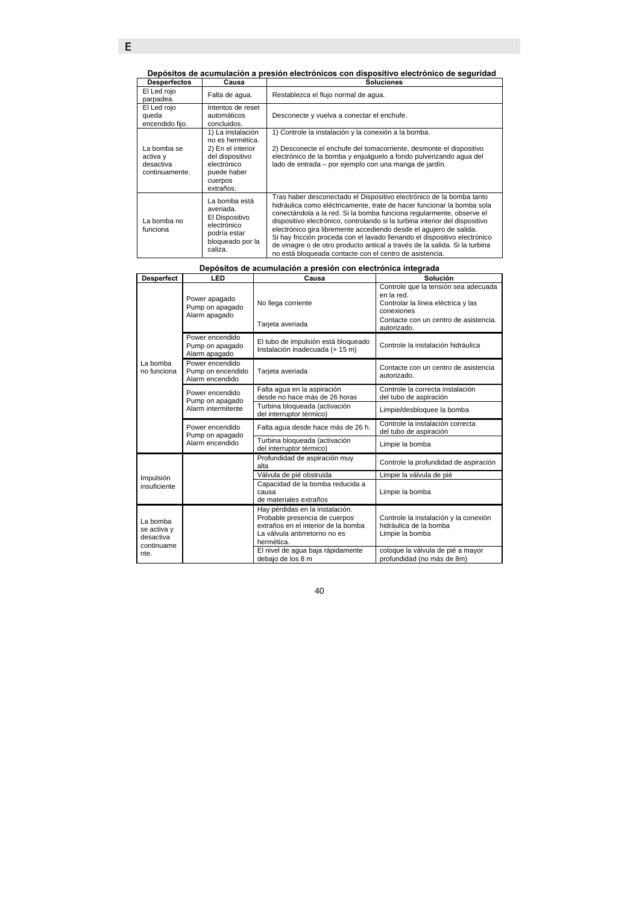**Depósitos de acumulación a presión electrónicos con dispositivo electrónico de seguridad** 

| <b>Desperfectos</b>                                    | Causa                                                                                                                               | <b>Soluciones</b>                                                                                                                                                                                                                                                                                                                                                                                                                                                                                                                                                                                 |
|--------------------------------------------------------|-------------------------------------------------------------------------------------------------------------------------------------|---------------------------------------------------------------------------------------------------------------------------------------------------------------------------------------------------------------------------------------------------------------------------------------------------------------------------------------------------------------------------------------------------------------------------------------------------------------------------------------------------------------------------------------------------------------------------------------------------|
| El Led rojo<br>parpadea.                               | Falta de agua.                                                                                                                      | Restablezca el flujo normal de agua.                                                                                                                                                                                                                                                                                                                                                                                                                                                                                                                                                              |
| El Led rojo<br>queda<br>encendido fijo.                | Intentos de reset<br>automáticos<br>concluidos.                                                                                     | Desconecte y vuelva a conectar el enchufe.                                                                                                                                                                                                                                                                                                                                                                                                                                                                                                                                                        |
| La bomba se<br>activa y<br>desactiva<br>continuamente. | 1) La instalación<br>no es hermética.<br>2) En el interior<br>del dispositivo<br>electrónico<br>puede haber<br>cuerpos<br>extraños. | 1) Controle la instalación y la conexión a la bomba.<br>2) Desconecte el enchufe del tomacorriente, desmonte el dispositivo<br>electrónico de la bomba y enjuáquelo a fondo pulverizando aqua del<br>lado de entrada - por ejemplo con una manga de jardín.                                                                                                                                                                                                                                                                                                                                       |
| La bomba no<br>funciona                                | La bomba está<br>averiada.<br>El Dispositivo<br>electrónico<br>podría estar<br>bloqueado por la<br>caliza.                          | Tras haber desconectado el Dispositivo electrónico de la bomba tanto<br>hidráulica como eléctricamente, trate de hacer funcionar la bomba sola<br>conectándola a la red. Si la bomba funciona regularmente, observe el<br>dispositivo electrónico, controlando si la turbina interior del dispositivo<br>electrónico gira libremente accediendo desde el aquiero de salida.<br>Si hay fricción proceda con el lavado llenando el dispositivo electrónico<br>de vinagre o de otro producto antical a través de la salida. Si la turbina<br>no está bloqueada contacte con el centro de asistencia. |

|  | Depósitos de acumulación a presión con electrónica integrada |  |  |  |
|--|--------------------------------------------------------------|--|--|--|
|  |                                                              |  |  |  |

| <b>Desperfect</b>                                          | LED                                                      | Causa                                                                                                                                                                                       | Solución                                                                                                                |
|------------------------------------------------------------|----------------------------------------------------------|---------------------------------------------------------------------------------------------------------------------------------------------------------------------------------------------|-------------------------------------------------------------------------------------------------------------------------|
| La bomba<br>no funciona                                    | Power apagado<br>Pump on apagado<br>Alarm apagado        | No llega corriente                                                                                                                                                                          | Controle que la tensión sea adecuada<br>en la red.<br>Controlar la línea eléctrica y las<br>conexiones                  |
|                                                            |                                                          | Tarjeta averiada                                                                                                                                                                            | Contacte con un centro de asistencia.<br>autorizado.                                                                    |
|                                                            | Power encendido<br>Pump on apagado<br>Alarm apagado      | El tubo de impulsión está bloqueado<br>Instalación inadecuada (+ 15 m)                                                                                                                      | Controle la instalación hidráulica                                                                                      |
|                                                            | Power encendido<br>Pump on encendido<br>Alarm encendido  | Tarjeta averiada                                                                                                                                                                            | Contacte con un centro de asistencia<br>autorizado.                                                                     |
|                                                            | Power encendido<br>Pump on apagado<br>Alarm intermitente | Falta agua en la aspiración<br>desde no hace más de 26 horas                                                                                                                                | Controle la correcta instalación<br>del tubo de aspiración                                                              |
|                                                            |                                                          | Turbina bloqueada (activación<br>del interruptor térmico)                                                                                                                                   | Limpie/desbloquee la bomba                                                                                              |
|                                                            | Power encendido<br>Pump on apagado<br>Alarm encendido    | Falta agua desde hace más de 26 h.                                                                                                                                                          | Controle la instalación correcta<br>del tubo de aspiración                                                              |
|                                                            |                                                          | Turbina bloqueada (activación<br>del interruptor térmico)                                                                                                                                   | Limpie la bomba                                                                                                         |
|                                                            |                                                          | Profundidad de aspiración muy<br>alta                                                                                                                                                       | Controle la profundidad de aspiración                                                                                   |
| Impulsión                                                  |                                                          | Válvula de pié obstruida                                                                                                                                                                    | Limpie la válvula de pié                                                                                                |
| insuficiente                                               |                                                          | Capacidad de la bomba reducida a<br>causa<br>de materiales extraños                                                                                                                         | Limpie la bomba                                                                                                         |
| La bomba<br>se activa y<br>desactiva<br>continuame<br>nte. |                                                          | Hay pérdidas en la instalación.<br>Probable presencia de cuerpos<br>extraños en el interior de la bomba<br>La válvula antirretorno no es<br>hermética.<br>El nivel de agua baja rápidamente | Controle la instalación y la conexión<br>hidráulica de la bomba<br>Limpie la bomba<br>coloque la válvula de pié a mayor |
|                                                            |                                                          | debaio de los 8 m                                                                                                                                                                           | profundidad (no más de 8m)                                                                                              |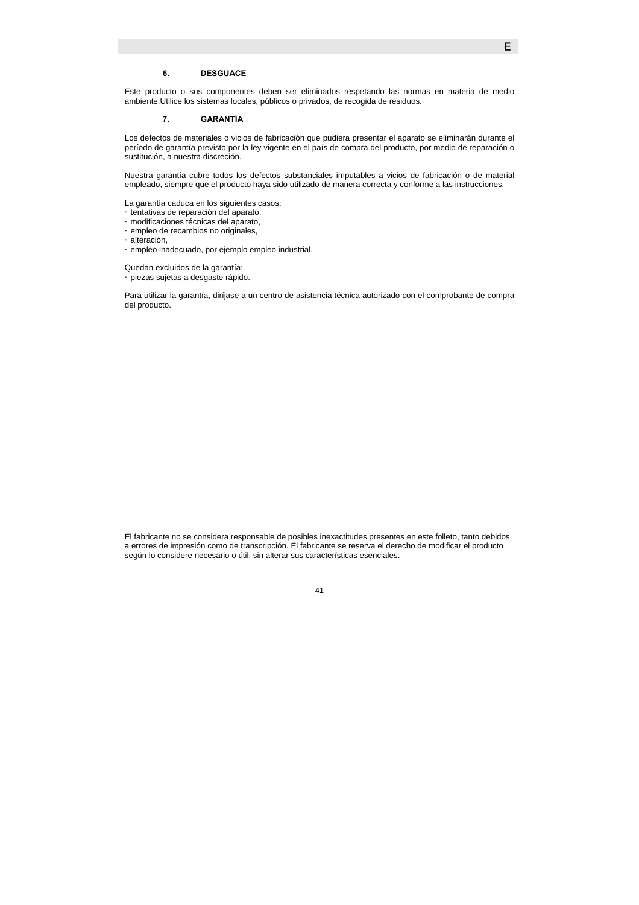### **6. DESGUACE**

Este producto o sus componentes deben ser eliminados respetando las normas en materia de medio ambiente;Utilice los sistemas locales, públicos o privados, de recogida de residuos.

#### **7. GARANTÍA**

Los defectos de materiales o vicios de fabricación que pudiera presentar el aparato se eliminarán durante el período de garantía previsto por la ley vigente en el país de compra del producto, por medio de reparación o sustitución, a nuestra discreción.

Nuestra garantía cubre todos los defectos substanciales imputables a vicios de fabricación o de material empleado, siempre que el producto haya sido utilizado de manera correcta y conforme a las instrucciones.

La garantía caduca en los siguientes casos: **Hentativas de reparación del aparato,** Gmodificaciones técnicas del aparato, Gempleo de recambios no originales, *Calteración,* Œempleo inadecuado, por ejemplo empleo industrial.

Quedan excluidos de la garantía: y piezas sujetas a desgaste rápido.

Para utilizar la garantía, diríjase a un centro de asistencia técnica autorizado con el comprobante de compra del producto.

El fabricante no se considera responsable de posibles inexactitudes presentes en este folleto, tanto debidos a errores de impresión como de transcripción. El fabricante se reserva el derecho de modificar el producto según lo considere necesario o útil, sin alterar sus características esenciales.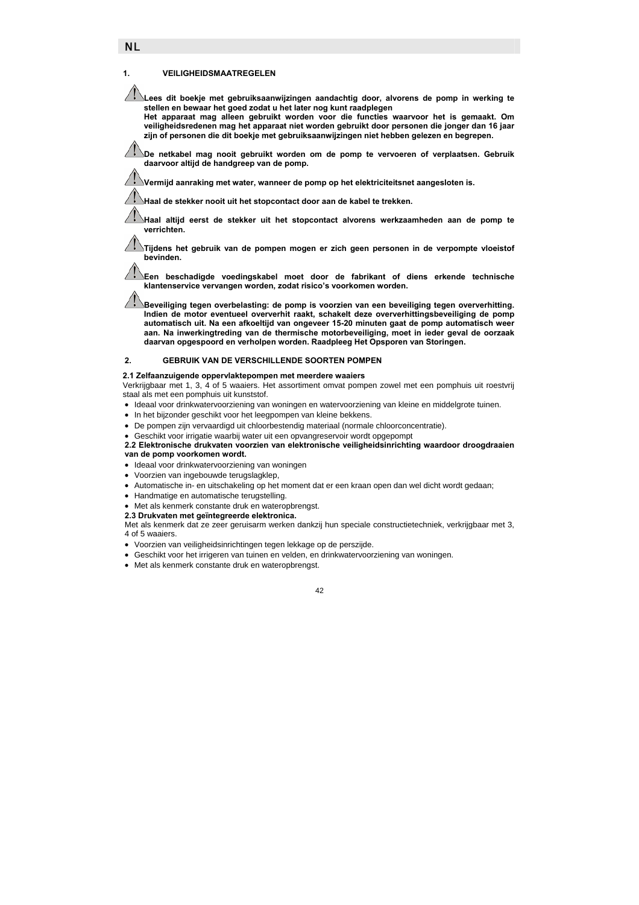#### **1. VEILIGHEIDSMAATREGELEN**

**Lees dit boekje met gebruiksaanwijzingen aandachtig door, alvorens de pomp in werking te stellen en bewaar het goed zodat u het later nog kunt raadplegen** 

**Het apparaat mag alleen gebruikt worden voor die functies waarvoor het is gemaakt. Om veiligheidsredenen mag het apparaat niet worden gebruikt door personen die jonger dan 16 jaar zijn of personen die dit boekje met gebruiksaanwijzingen niet hebben gelezen en begrepen.** 

**De netkabel mag nooit gebruikt worden om de pomp te vervoeren of verplaatsen. Gebruik daarvoor altijd de handgreep van de pomp.** 

**Vermijd aanraking met water, wanneer de pomp op het elektriciteitsnet aangesloten is.** 

**Haal de stekker nooit uit het stopcontact door aan de kabel te trekken.** 

**Haal altijd eerst de stekker uit het stopcontact alvorens werkzaamheden aan de pomp te verrichten.** 

**Tijdens het gebruik van de pompen mogen er zich geen personen in de verpompte vloeistof bevinden.** 

**Een beschadigde voedingskabel moet door de fabrikant of diens erkende technische klantenservice vervangen worden, zodat risico's voorkomen worden.** 

**Beveiliging tegen overbelasting: de pomp is voorzien van een beveiliging tegen oververhitting. Indien de motor eventueel oververhit raakt, schakelt deze oververhittingsbeveiliging de pomp automatisch uit. Na een afkoeltijd van ongeveer 15-20 minuten gaat de pomp automatisch weer aan. Na inwerkingtreding van de thermische motorbeveiliging, moet in ieder geval de oorzaak daarvan opgespoord en verholpen worden. Raadpleeg Het Opsporen van Storingen.** 

### **2. GEBRUIK VAN DE VERSCHILLENDE SOORTEN POMPEN**

#### **2.1 Zelfaanzuigende oppervlaktepompen met meerdere waaiers**

Verkrijgbaar met 1, 3, 4 of 5 waaiers. Het assortiment omvat pompen zowel met een pomphuis uit roestvrij staal als met een pomphuis uit kunststof.

- Ideaal voor drinkwatervoorziening van woningen en watervoorziening van kleine en middelgrote tuinen.
- In het bijzonder geschikt voor het leegpompen van kleine bekkens.
- De pompen zijn vervaardigd uit chloorbestendig materiaal (normale chloorconcentratie).
- Geschikt voor irrigatie waarbij water uit een opvangreservoir wordt opgepompt
- **2.2 Elektronische drukvaten voorzien van elektronische veiligheidsinrichting waardoor droogdraaien van de pomp voorkomen wordt.**
- Ideaal voor drinkwatervoorziening van woningen
- Voorzien van ingebouwde terugslagklep,
- Automatische in- en uitschakeling op het moment dat er een kraan open dan wel dicht wordt gedaan;
- Handmatige en automatische terugstelling.
- Met als kenmerk constante druk en wateropbrengst.

**2.3 Drukvaten met geïntegreerde elektronica.**

Met als kenmerk dat ze zeer geruisarm werken dankzij hun speciale constructietechniek, verkrijgbaar met 3, 4 of 5 waaiers.

- 
- Voorzien van veiligheidsinrichtingen tegen lekkage op de perszijde.
- Geschikt voor het irrigeren van tuinen en velden, en drinkwatervoorziening van woningen.
- Met als kenmerk constante druk en wateropbrengst.

 $\overline{A}2$ 

# NL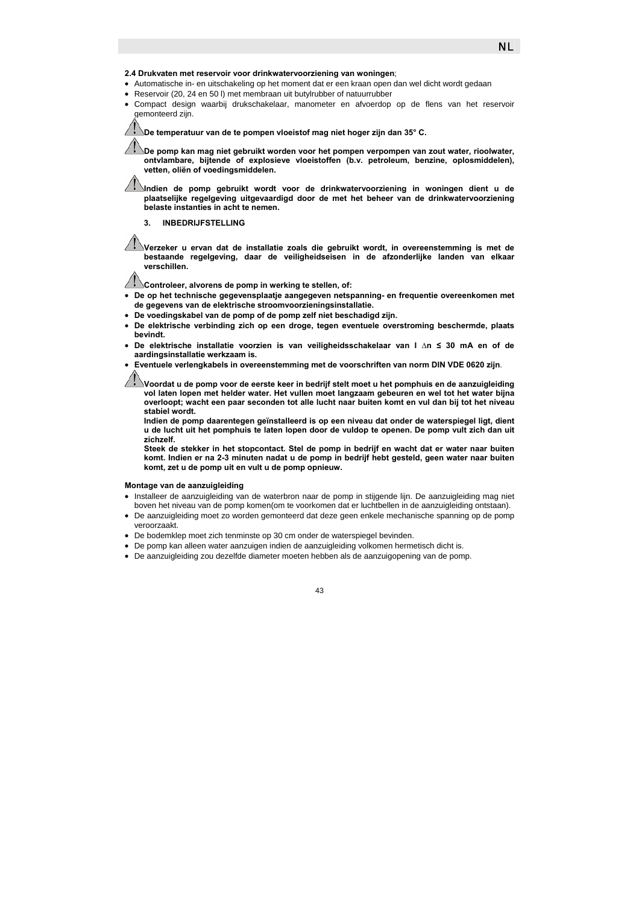

#### **2.4 Drukvaten met reservoir voor drinkwatervoorziening van woningen**;

- Automatische in- en uitschakeling op het moment dat er een kraan open dan wel dicht wordt gedaan
- Reservoir (20, 24 en 50 l) met membraan uit butylrubber of natuurrubber
- Compact design waarbij drukschakelaar, manometer en afvoerdop op de flens van het reservoir gemonteerd zijn.

**De temperatuur van de te pompen vloeistof mag niet hoger zijn dan 35° C.** 

**De pomp kan mag niet gebruikt worden voor het pompen verpompen van zout water, rioolwater, ontvlambare, bijtende of explosieve vloeistoffen (b.v. petroleum, benzine, oplosmiddelen), vetten, oliën of voedingsmiddelen.** 

**Indien de pomp gebruikt wordt voor de drinkwatervoorziening in woningen dient u de plaatselijke regelgeving uitgevaardigd door de met het beheer van de drinkwatervoorziening belaste instanties in acht te nemen.** 

**3. INBEDRIJFSTELLING** 

**Verzeker u ervan dat de installatie zoals die gebruikt wordt, in overeenstemming is met de bestaande regelgeving, daar de veiligheidseisen in de afzonderlijke landen van elkaar verschillen.** 

**Controleer, alvorens de pomp in werking te stellen, of:** 

- **De op het technische gegevensplaatje aangegeven netspanning- en frequentie overeenkomen met de gegevens van de elektrische stroomvoorzieningsinstallatie.**
- **De voedingskabel van de pomp of de pomp zelf niet beschadigd zijn.**
- **De elektrische verbinding zich op een droge, tegen eventuele overstroming beschermde, plaats bevindt.**
- **De elektrische installatie voorzien is van veiligheidsschakelaar van I ∆n ≤ 30 mA en of de aardingsinstallatie werkzaam is.**
- **Eventuele verlengkabels in overeenstemming met de voorschriften van norm DIN VDE 0620 zijn**.

**Voordat u de pomp voor de eerste keer in bedrijf stelt moet u het pomphuis en de aanzuigleiding vol laten lopen met helder water. Het vullen moet langzaam gebeuren en wel tot het water bijna overloopt; wacht een paar seconden tot alle lucht naar buiten komt en vul dan bij tot het niveau stabiel wordt.** 

**Indien de pomp daarentegen geïnstalleerd is op een niveau dat onder de waterspiegel ligt, dient u de lucht uit het pomphuis te laten lopen door de vuldop te openen. De pomp vult zich dan uit zichzelf.**

**Steek de stekker in het stopcontact. Stel de pomp in bedrijf en wacht dat er water naar buiten komt. Indien er na 2-3 minuten nadat u de pomp in bedrijf hebt gesteld, geen water naar buiten komt, zet u de pomp uit en vult u de pomp opnieuw.** 

### **Montage van de aanzuigleiding**

- Installeer de aanzuigleiding van de waterbron naar de pomp in stijgende lijn. De aanzuigleiding mag niet boven het niveau van de pomp komen(om te voorkomen dat er luchtbellen in de aanzuigleiding ontstaan).
- De aanzuigleiding moet zo worden gemonteerd dat deze geen enkele mechanische spanning op de pomp veroorzaakt.
- De bodemklep moet zich tenminste op 30 cm onder de waterspiegel bevinden.
- De pomp kan alleen water aanzuigen indien de aanzuigleiding volkomen hermetisch dicht is.
- De aanzuigleiding zou dezelfde diameter moeten hebben als de aanzuigopening van de pomp.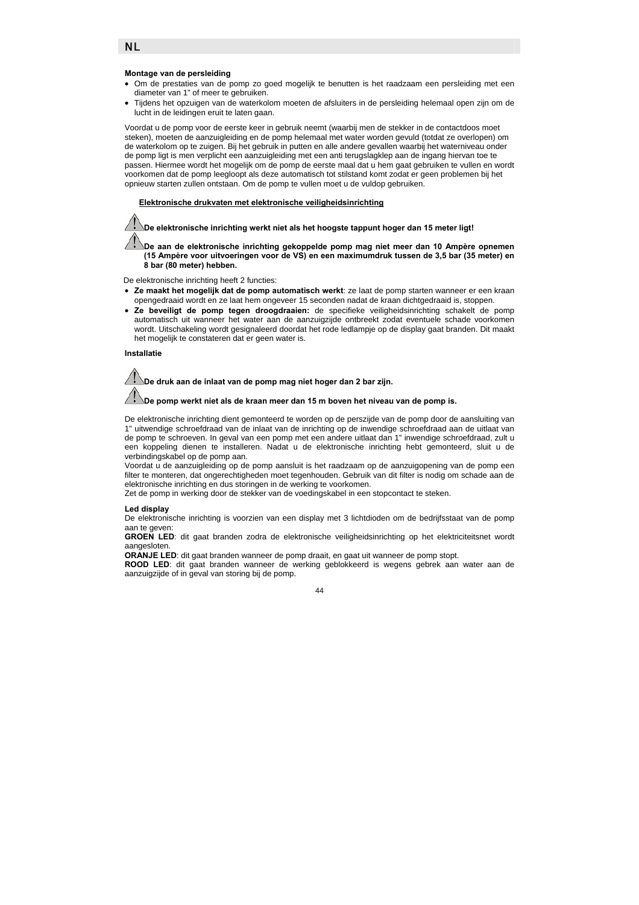NL

### **Montage van de persleiding**

- Om de prestaties van de pomp zo goed mogelijk te benutten is het raadzaam een persleiding met een diameter van 1" of meer te gebruiken.
- Tijdens het opzuigen van de waterkolom moeten de afsluiters in de persleiding helemaal open zijn om de lucht in de leidingen eruit te laten gaan.

Voordat u de pomp voor de eerste keer in gebruik neemt (waarbij men de stekker in de contactdoos moet steken), moeten de aanzuigleiding en de pomp helemaal met water worden gevuld (totdat ze overlopen) om de waterkolom op te zuigen. Bij het gebruik in putten en alle andere gevallen waarbij het waterniveau onder de pomp ligt is men verplicht een aanzuigleiding met een anti terugslagklep aan de ingang hiervan toe te passen. Hiermee wordt het mogelijk om de pomp de eerste maal dat u hem gaat gebruiken te vullen en wordt voorkomen dat de pomp leegloopt als deze automatisch tot stilstand komt zodat er geen problemen bij het opnieuw starten zullen ontstaan. Om de pomp te vullen moet u de vuldop gebruiken.

#### f **Elektronische drukvaten met elektronische veiligheidsinrichting**

**De elektronische inrichting werkt niet als het hoogste tappunt hoger dan 15 meter ligt!** 

**De aan de elektronische inrichting gekoppelde pomp mag niet meer dan 10 Ampère opnemen (15 Ampère voor uitvoeringen voor de VS) en een maximumdruk tussen de 3,5 bar (35 meter) en 8 bar (80 meter) hebben.** 

De elektronische inrichting heeft 2 functies:

- **Ze maakt het mogelijk dat de pomp automatisch werkt**: ze laat de pomp starten wanneer er een kraan opengedraaid wordt en ze laat hem ongeveer 15 seconden nadat de kraan dichtgedraaid is, stoppen.
- **Ze beveiligt de pomp tegen droogdraaien:** de specifieke veiligheidsinrichting schakelt de pomp automatisch uit wanneer het water aan de aanzuigzijde ontbreekt zodat eventuele schade voorkomen wordt. Uitschakeling wordt gesignaleerd doordat het rode ledlampje op de display gaat branden. Dit maakt het mogelijk te constateren dat er geen water is.

#### **Installatie**

**De druk aan de inlaat van de pomp mag niet hoger dan 2 bar zijn.** 

### **De pomp werkt niet als de kraan meer dan 15 m boven het niveau van de pomp is.**

De elektronische inrichting dient gemonteerd te worden op de perszijde van de pomp door de aansluiting van 1" uitwendige schroefdraad van de inlaat van de inrichting op de inwendige schroefdraad aan de uitlaat van de pomp te schroeven. In geval van een pomp met een andere uitlaat dan 1" inwendige schroefdraad, zult u een koppeling dienen te installeren. Nadat u de elektronische inrichting hebt gemonteerd, sluit u de verbindingskabel op de pomp aan.

Voordat u de aanzuigleiding op de pomp aansluit is het raadzaam op de aanzuigopening van de pomp een filter te monteren, dat ongerechtigheden moet tegenhouden. Gebruik van dit filter is nodig om schade aan de elektronische inrichting en dus storingen in de werking te voorkomen.

Zet de pomp in werking door de stekker van de voedingskabel in een stopcontact te steken.

#### **Led display**

De elektronische inrichting is voorzien van een display met 3 lichtdioden om de bedrijfsstaat van de pomp aan te geven:

GROEN LED: dit gaat branden zodra de elektronische veiligheidsinrichting op het elektriciteitsnet wordt aangesloten.

**ORANJE LED**: dit gaat branden wanneer de pomp draait, en gaat uit wanneer de pomp stopt.

**ROOD LED**: dit gaat branden wanneer de werking geblokkeerd is wegens gebrek aan water aan de aanzuigzijde of in geval van storing bij de pomp.

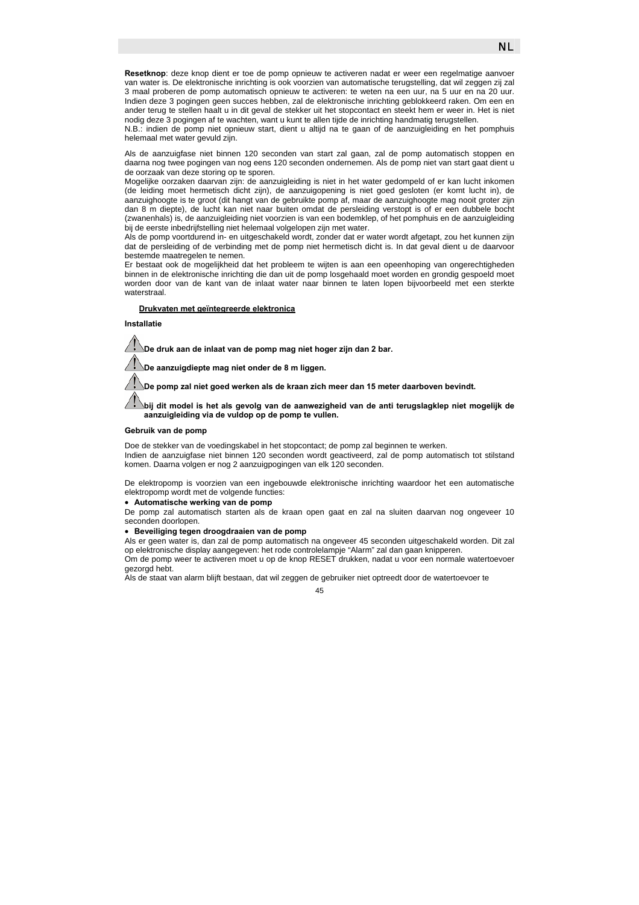**Resetknop**: deze knop dient er toe de pomp opnieuw te activeren nadat er weer een regelmatige aanvoer van water is. De elektronische inrichting is ook voorzien van automatische terugstelling, dat wil zeggen zij zal 3 maal proberen de pomp automatisch opnieuw te activeren: te weten na een uur, na 5 uur en na 20 uur. Indien deze 3 pogingen geen succes hebben, zal de elektronische inrichting geblokkeerd raken. Om een en ander terug te stellen haalt u in dit geval de stekker uit het stopcontact en steekt hem er weer in. Het is niet nodig deze 3 pogingen af te wachten, want u kunt te allen tijde de inrichting handmatig terugstellen.

N.B.: indien de pomp niet opnieuw start, dient u altijd na te gaan of de aanzuigleiding en het pomphuis helemaal met water gevuld zijn.

Als de aanzuigfase niet binnen 120 seconden van start zal gaan, zal de pomp automatisch stoppen en daarna nog twee pogingen van nog eens 120 seconden ondernemen. Als de pomp niet van start gaat dient u de oorzaak van deze storing op te sporen.

Mogelijke oorzaken daarvan zijn: de aanzuigleiding is niet in het water gedompeld of er kan lucht inkomen (de leiding moet hermetisch dicht zijn), de aanzuigopening is niet goed gesloten (er komt lucht in), de aanzuighoogte is te groot (dit hangt van de gebruikte pomp af, maar de aanzuighoogte mag nooit groter zijn dan 8 m diepte), de lucht kan niet naar buiten omdat de persleiding verstopt is of er een dubbele bocht (zwanenhals) is, de aanzuigleiding niet voorzien is van een bodemklep, of het pomphuis en de aanzuigleiding bij de eerste inbedrijfstelling niet helemaal volgelopen zijn met water.

Als de pomp voortdurend in- en uitgeschakeld wordt, zonder dat er water wordt afgetapt, zou het kunnen zijn dat de persleiding of de verbinding met de pomp niet hermetisch dicht is. In dat geval dient u de daarvoor bestemde maatregelen te nemen.

Er bestaat ook de mogelijkheid dat het probleem te wijten is aan een opeenhoping van ongerechtigheden binnen in de elektronische inrichting die dan uit de pomp losgehaald moet worden en grondig gespoeld moet worden door van de kant van de inlaat water naar binnen te laten lopen bijvoorbeeld met een sterkte waterstraal.

#### f **Drukvaten met geïntegreerde elektronica**

### **Installatie**

**De druk aan de inlaat van de pomp mag niet hoger zijn dan 2 bar.** 

**De aanzuigdiepte mag niet onder de 8 m liggen.** 

**De pomp zal niet goed werken als de kraan zich meer dan 15 meter daarboven bevindt.** 

**bij dit model is het als gevolg van de aanwezigheid van de anti terugslagklep niet mogelijk de aanzuigleiding via de vuldop op de pomp te vullen.** 

#### **Gebruik van de pomp**

Doe de stekker van de voedingskabel in het stopcontact; de pomp zal beginnen te werken.

Indien de aanzuigfase niet binnen 120 seconden wordt geactiveerd, zal de pomp automatisch tot stilstand komen. Daarna volgen er nog 2 aanzuigpogingen van elk 120 seconden.

De elektropomp is voorzien van een ingebouwde elektronische inrichting waardoor het een automatische elektropomp wordt met de volgende functies:

#### • **Automatische werking van de pomp**

De pomp zal automatisch starten als de kraan open gaat en zal na sluiten daarvan nog ongeveer 10 seconden doorlopen.

#### • **Beveiliging tegen droogdraaien van de pomp**

Als er geen water is, dan zal de pomp automatisch na ongeveer 45 seconden uitgeschakeld worden. Dit zal op elektronische display aangegeven: het rode controlelampje "Alarm" zal dan gaan knipperen.

Om de pomp weer te activeren moet u op de knop RESET drukken, nadat u voor een normale watertoevoer gezorgd hebt.

Als de staat van alarm blijft bestaan, dat wil zeggen de gebruiker niet optreedt door de watertoevoer te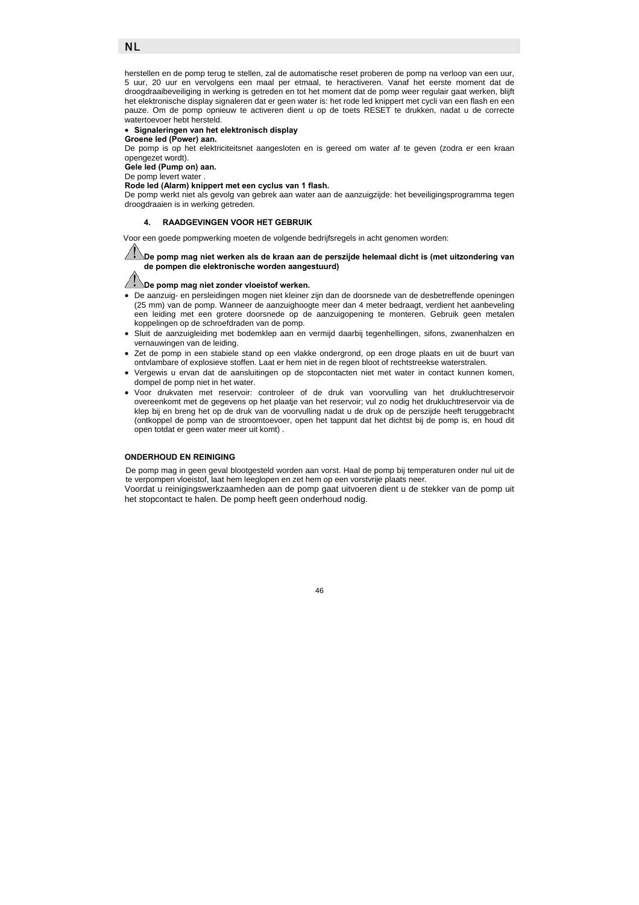herstellen en de pomp terug te stellen, zal de automatische reset proberen de pomp na verloop van een uur, 5 uur, 20 uur en vervolgens een maal per etmaal, te heractiveren. Vanaf het eerste moment dat de droogdraaibeveiliging in werking is getreden en tot het moment dat de pomp weer regulair gaat werken, blijft het elektronische display signaleren dat er geen water is: het rode led knippert met cycli van een flash en een pauze. Om de pomp opnieuw te activeren dient u op de toets RESET te drukken, nadat u de correcte watertoevoer hebt hersteld.

# • **Signaleringen van het elektronisch display**

**Groene led (Power) aan.** 

De pomp is op het elektriciteitsnet aangesloten en is gereed om water af te geven (zodra er een kraan opengezet wordt).

**Gele led (Pump on) aan.**  De pomp levert water

NL

**Rode led (Alarm) knippert met een cyclus van 1 flash.** 

De pomp werkt niet als gevolg van gebrek aan water aan de aanzuigzijde: het beveiligingsprogramma tegen droogdraaien is in werking getreden.

#### **4. RAADGEVINGEN VOOR HET GEBRUIK**

Voor een goede pompwerking moeten de volgende bedrijfsregels in acht genomen worden:

**De pomp mag niet werken als de kraan aan de perszijde helemaal dicht is (met uitzondering van de pompen die elektronische worden aangestuurd)** 

# **b**e pomp mag niet zonder vloeistof werken.

- De aanzuig- en persleidingen mogen niet kleiner zijn dan de doorsnede van de desbetreffende openingen (25 mm) van de pomp. Wanneer de aanzuighoogte meer dan 4 meter bedraagt, verdient het aanbeveling een leiding met een grotere doorsnede op de aanzuigopening te monteren. Gebruik geen metalen koppelingen op de schroefdraden van de pomp.
- Sluit de aanzuigleiding met bodemklep aan en vermijd daarbij tegenhellingen, sifons, zwanenhalzen en vernauwingen van de leiding.
- Zet de pomp in een stabiele stand op een vlakke ondergrond, op een droge plaats en uit de buurt van ontvlambare of explosieve stoffen. Laat er hem niet in de regen bloot of rechtstreekse waterstralen.
- Vergewis u ervan dat de aansluitingen op de stopcontacten niet met water in contact kunnen komen, dompel de pomp niet in het water.
- Voor drukvaten met reservoir: controleer of de druk van voorvulling van het drukluchtreservoir overeenkomt met de gegevens op het plaatje van het reservoir; vul zo nodig het drukluchtreservoir via de klep bij en breng het op de druk van de voorvulling nadat u de druk op de perszijde heeft teruggebracht (ontkoppel de pomp van de stroomtoevoer, open het tappunt dat het dichtst bij de pomp is, en houd dit open totdat er geen water meer uit komt) .

#### **ONDERHOUD EN REINIGING**

De pomp mag in geen geval blootgesteld worden aan vorst. Haal de pomp bij temperaturen onder nul uit de te verpompen vloeistof, laat hem leeglopen en zet hem op een vorstvrije plaats neer. Voordat u reinigingswerkzaamheden aan de pomp gaat uitvoeren dient u de stekker van de pomp uit het stopcontact te halen. De pomp heeft geen onderhoud nodig.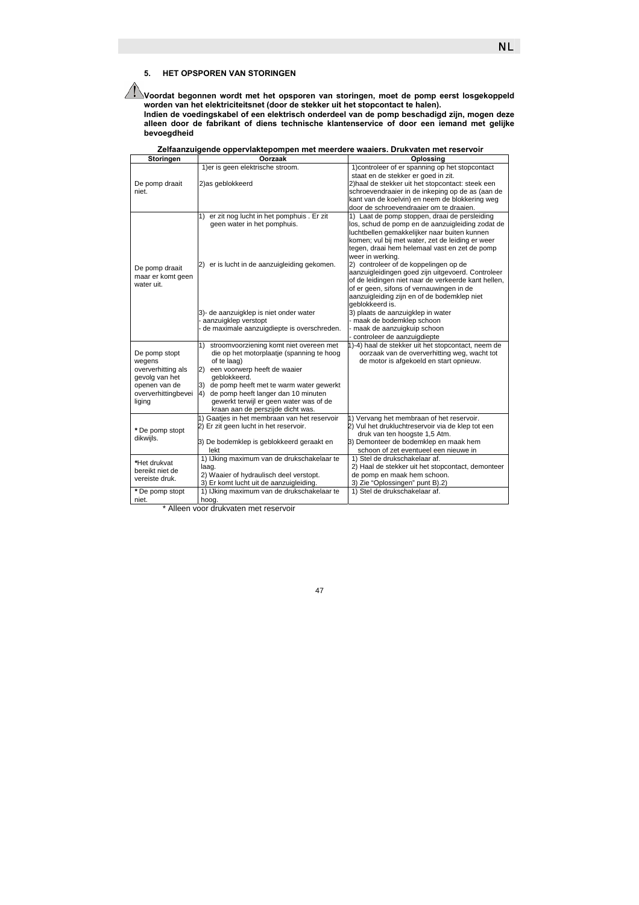# **5. HET OPSPOREN VAN STORINGEN**

**Voordat begonnen wordt met het opsporen van storingen, moet de pomp eerst losgekoppeld worden van het elektriciteitsnet (door de stekker uit het stopcontact te halen).** 

**Indien de voedingskabel of een elektrisch onderdeel van de pomp beschadigd zijn, mogen deze alleen door de fabrikant of diens technische klantenservice of door een iemand met gelijke bevoegdheid** 

| Storingen                     | Londanzuigondo opportramopompon mot moordor<br>Oorzaak                                    | Oplossing                                           |
|-------------------------------|-------------------------------------------------------------------------------------------|-----------------------------------------------------|
|                               | 1) er is geen elektrische stroom.                                                         | 1) controleer of er spanning op het stopcontact     |
|                               |                                                                                           | staat en de stekker er goed in zit.                 |
|                               | 2) as geblokkeerd                                                                         | 2) haal de stekker uit het stopcontact: steek een   |
| De pomp draait<br>niet.       |                                                                                           | schroevendraaier in de inkeping op de as (aan de    |
|                               |                                                                                           |                                                     |
|                               |                                                                                           | kant van de koelvin) en neem de blokkering weg      |
|                               |                                                                                           | door de schroevendraaier om te draaien.             |
|                               | er zit nog lucht in het pomphuis. Er zit<br>1)                                            | 1) Laat de pomp stoppen, draai de persleiding       |
|                               | geen water in het pomphuis.                                                               | los, schud de pomp en de aanzuigleiding zodat de    |
|                               |                                                                                           | luchtbellen gemakkelijker naar buiten kunnen        |
|                               |                                                                                           | komen; vul bij met water, zet de leiding er weer    |
|                               |                                                                                           | tegen, draai hem helemaal vast en zet de pomp       |
|                               |                                                                                           | weer in werking.                                    |
| De pomp draait                | 2) er is lucht in de aanzuigleiding gekomen.                                              | 2) controleer of de koppelingen op de               |
| maar er komt geen             |                                                                                           | aanzuigleidingen goed zijn uitgevoerd. Controleer   |
| water uit.                    |                                                                                           | of de leidingen niet naar de verkeerde kant hellen, |
|                               |                                                                                           | of er geen, sifons of vernauwingen in de            |
|                               |                                                                                           | aanzuigleiding zijn en of de bodemklep niet         |
|                               |                                                                                           | geblokkeerd is.                                     |
|                               | 3)- de aanzuigklep is niet onder water                                                    | 3) plaats de aanzuigklep in water                   |
|                               | aanzuigklep verstopt                                                                      | - maak de bodemklep schoon                          |
|                               | de maximale aanzuigdiepte is overschreden.                                                | maak de aanzuigkuip schoon                          |
|                               |                                                                                           | controleer de aanzuigdiepte                         |
|                               | stroomvoorziening komt niet overeen met<br>$\left( \begin{matrix} 1 \end{matrix} \right)$ | 1)-4) haal de stekker uit het stopcontact, neem de  |
| De pomp stopt                 | die op het motorplaatje (spanning te hoog                                                 | oorzaak van de oververhitting weg, wacht tot        |
| wegens                        | of te laag)                                                                               | de motor is afgekoeld en start opnieuw.             |
| oververhitting als            | een voorwerp heeft de waaier<br>2)                                                        |                                                     |
| gevolg van het                | geblokkeerd.                                                                              |                                                     |
| openen van de                 | de pomp heeft met te warm water gewerkt<br>3)                                             |                                                     |
| oververhittingbevei<br>liging | de pomp heeft langer dan 10 minuten<br>4)                                                 |                                                     |
|                               | gewerkt terwijl er geen water was of de                                                   |                                                     |
|                               | kraan aan de perszijde dicht was.                                                         |                                                     |
|                               | 1) Gaaties in het membraan van het reservoir                                              | 1) Vervang het membraan of het reservoir.           |
|                               | 2) Er zit geen lucht in het reservoir.                                                    | 2) Vul het drukluchtreservoir via de klep tot een   |
| *De pomp stopt                |                                                                                           | druk van ten hoogste 1,5 Atm.                       |
| dikwijls.                     | 3) De bodemklep is geblokkeerd geraakt en                                                 | 3) Demonteer de bodemklep en maak hem               |
|                               | lekt                                                                                      | schoon of zet eventueel een nieuwe in               |
| *Het drukvat                  | 1) IJking maximum van de drukschakelaar te                                                | 1) Stel de drukschakelaar af.                       |
|                               | laaq.                                                                                     | 2) Haal de stekker uit het stopcontact, demonteer   |
| bereikt niet de               | 2) Waaier of hydraulisch deel verstopt.                                                   | de pomp en maak hem schoon.                         |
| vereiste druk.                | 3) Er komt lucht uit de aanzuigleiding.                                                   | 3) Zie "Oplossingen" punt B).2)                     |
| *De pomp stopt                | 1) IJking maximum van de drukschakelaar te                                                | 1) Stel de drukschakelaar af.                       |
| niet.                         | hoog.                                                                                     |                                                     |

**Zelfaanzuigende oppervlaktepompen met meerdere waaiers. Drukvaten met reservoir**

\* Alleen voor drukvaten met reservoir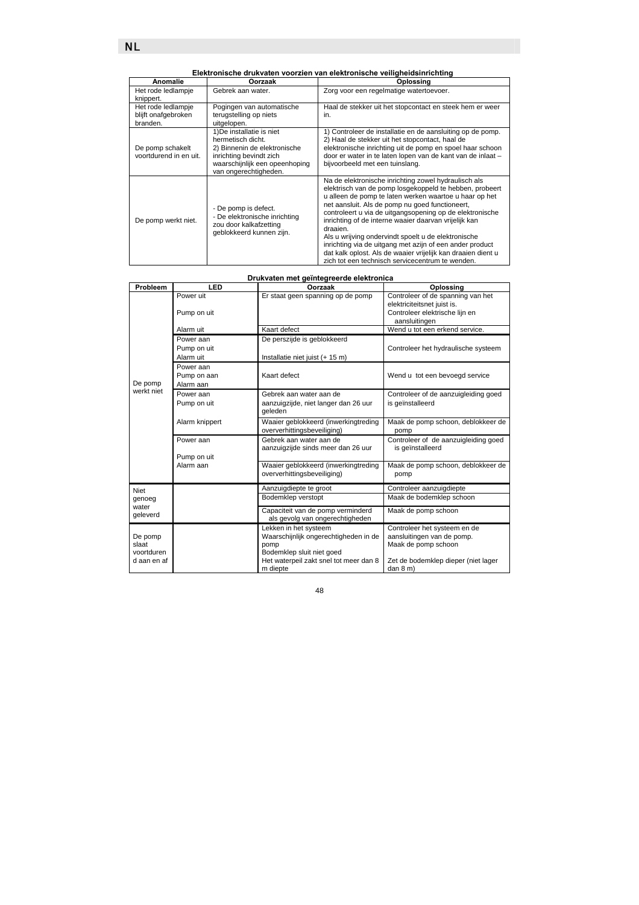**Elektronische drukvaten voorzien van elektronische veiligheidsinrichting** 

| Anomalie                                              | Oorzaak                                                                                                                                                              | Oplossing                                                                                                                                                                                                                                                                                                                                                                                                                                                                                                                                                                                            |
|-------------------------------------------------------|----------------------------------------------------------------------------------------------------------------------------------------------------------------------|------------------------------------------------------------------------------------------------------------------------------------------------------------------------------------------------------------------------------------------------------------------------------------------------------------------------------------------------------------------------------------------------------------------------------------------------------------------------------------------------------------------------------------------------------------------------------------------------------|
| Het rode ledlampje<br>knippert.                       | Gebrek aan water.                                                                                                                                                    | Zorg voor een regelmatige watertoevoer.                                                                                                                                                                                                                                                                                                                                                                                                                                                                                                                                                              |
| Het rode ledlampje<br>blijft onafgebroken<br>branden. | Pogingen van automatische<br>terugstelling op niets<br>uitgelopen.                                                                                                   | Haal de stekker uit het stopcontact en steek hem er weer<br>in.                                                                                                                                                                                                                                                                                                                                                                                                                                                                                                                                      |
| De pomp schakelt<br>voortdurend in en uit.            | 1) De installatie is niet<br>hermetisch dicht.<br>2) Binnenin de elektronische<br>inrichting bevindt zich<br>waarschijnlijk een opeenhoping<br>van ongerechtigheden. | 1) Controleer de installatie en de aansluiting op de pomp.<br>2) Haal de stekker uit het stopcontact, haal de<br>elektronische inrichting uit de pomp en spoel haar schoon<br>door er water in te laten lopen van de kant van de inlaat -<br>bijvoorbeeld met een tuinslang.                                                                                                                                                                                                                                                                                                                         |
| De pomp werkt niet.                                   | - De pomp is defect.<br>- De elektronische inrichting<br>zou door kalkafzetting<br>geblokkeerd kunnen zijn.                                                          | Na de elektronische inrichting zowel hydraulisch als<br>elektrisch van de pomp losgekoppeld te hebben, probeert<br>u alleen de pomp te laten werken waartoe u haar op het<br>net aansluit. Als de pomp nu goed functioneert,<br>controleert u via de uitgangsopening op de elektronische<br>inrichting of de interne waaier daarvan vrijelijk kan<br>draaien.<br>Als u wrijving ondervindt spoelt u de elektronische<br>inrichting via de uitgang met azijn of een ander product<br>dat kalk oplost. Als de waaier vrijelijk kan draaien dient u<br>zich tot een technisch servicecentrum te wenden. |

# **Drukvaten met geïntegreerde elektronica**

| Probleem                                      | LED                                   | Oorzaak                                                                                                                                                   | Oplossing                                                                                                                           |
|-----------------------------------------------|---------------------------------------|-----------------------------------------------------------------------------------------------------------------------------------------------------------|-------------------------------------------------------------------------------------------------------------------------------------|
|                                               | Power uit<br>Pump on uit              | Er staat geen spanning op de pomp                                                                                                                         | Controleer of de spanning van het<br>elektriciteitsnet juist is.<br>Controleer elektrische lijn en<br>aansluitingen                 |
|                                               | Alarm uit                             | Kaart defect                                                                                                                                              | Wend u tot een erkend service.                                                                                                      |
|                                               | Power aan<br>Pump on uit<br>Alarm uit | De perszijde is geblokkeerd<br>Installatie niet juist (+ 15 m)                                                                                            | Controleer het hydraulische systeem                                                                                                 |
| De pomp                                       | Power aan<br>Pump on aan<br>Alarm aan | Kaart defect                                                                                                                                              | Wend u tot een bevoegd service                                                                                                      |
| werkt niet                                    | Power aan<br>Pump on uit              | Gebrek aan water aan de<br>aanzuigzijde, niet langer dan 26 uur<br>geleden                                                                                | Controleer of de aanzuigleiding goed<br>is geïnstalleerd                                                                            |
|                                               | Alarm knippert                        | Waaier geblokkeerd (inwerkingtreding<br>oververhittingsbeveiliging)                                                                                       | Maak de pomp schoon, deblokkeer de<br>pomp                                                                                          |
|                                               | Power aan<br>Pump on uit              | Gebrek aan water aan de<br>aanzuigzijde sinds meer dan 26 uur                                                                                             | Controleer of de aanzuigleiding goed<br>is geïnstalleerd                                                                            |
|                                               | Alarm aan                             | Waaier geblokkeerd (inwerkingtreding<br>oververhittingsbeveiliging)                                                                                       | Maak de pomp schoon, deblokkeer de<br>pomp                                                                                          |
| Niet                                          |                                       | Aanzuigdiepte te groot                                                                                                                                    | Controleer aanzuigdiepte                                                                                                            |
| genoeg<br>water<br>geleverd                   |                                       | Bodemklep verstopt                                                                                                                                        | Maak de bodemklep schoon                                                                                                            |
|                                               |                                       | Capaciteit van de pomp verminderd<br>als gevolg van ongerechtigheden                                                                                      | Maak de pomp schoon                                                                                                                 |
| De pomp<br>slaat<br>voortduren<br>d aan en af |                                       | Lekken in het systeem<br>Waarschijnlijk ongerechtigheden in de<br>pomp<br>Bodemklep sluit niet goed<br>Het waterpeil zakt snel tot meer dan 8<br>m diepte | Controleer het systeem en de<br>aansluitingen van de pomp.<br>Maak de pomp schoon<br>Zet de bodemklep dieper (niet lager<br>dan 8 m |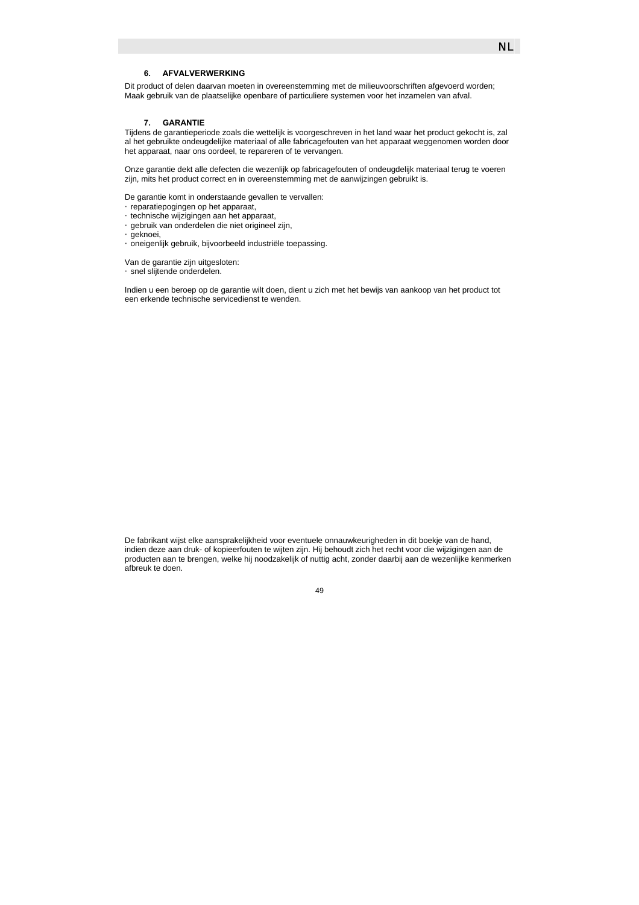Dit product of delen daarvan moeten in overeenstemming met de milieuvoorschriften afgevoerd worden; Maak gebruik van de plaatselijke openbare of particuliere systemen voor het inzamelen van afval.

#### **7. GARANTIE**

Tijdens de garantieperiode zoals die wettelijk is voorgeschreven in het land waar het product gekocht is, zal al het gebruikte ondeugdelijke materiaal of alle fabricagefouten van het apparaat weggenomen worden door het apparaat, naar ons oordeel, te repareren of te vervangen.

Onze garantie dekt alle defecten die wezenlijk op fabricagefouten of ondeugdelijk materiaal terug te voeren zijn, mits het product correct en in overeenstemming met de aanwijzingen gebruikt is.

De garantie komt in onderstaande gevallen te vervallen: y reparatiepogingen op het apparaat, y technische wijzigingen aan het apparaat, y gebruik van onderdelen die niet origineel zijn, Ggeknoei, y oneigenlijk gebruik, bijvoorbeeld industriële toepassing.

Van de garantie zijn uitgesloten: **Esnel slijtende onderdelen.** 

Indien u een beroep op de garantie wilt doen, dient u zich met het bewijs van aankoop van het product tot een erkende technische servicedienst te wenden.

De fabrikant wijst elke aansprakelijkheid voor eventuele onnauwkeurigheden in dit boekje van de hand, indien deze aan druk- of kopieerfouten te wijten zijn. Hij behoudt zich het recht voor die wijzigingen aan de producten aan te brengen, welke hij noodzakelijk of nuttig acht, zonder daarbij aan de wezenlijke kenmerken afbreuk te doen.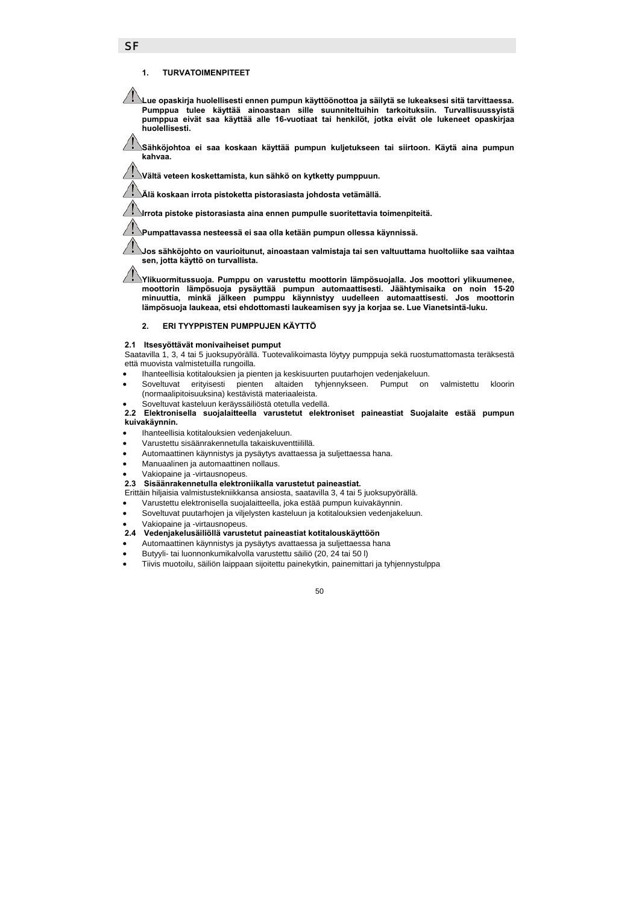### **1. TURVATOIMENPITEET**

**Lue opaskirja huolellisesti ennen pumpun käyttöönottoa ja säilytä se lukeaksesi sitä tarvittaessa. Pumppua tulee käyttää ainoastaan sille suunniteltuihin tarkoituksiin. Turvallisuussyistä pumppua eivät saa käyttää alle 16-vuotiaat tai henkilöt, jotka eivät ole lukeneet opaskirjaa huolellisesti.** 

**Sähköjohtoa ei saa koskaan käyttää pumpun kuljetukseen tai siirtoon. Käytä aina pumpun kahvaa.** 

**Vältä veteen koskettamista, kun sähkö on kytketty pumppuun.** 

**Älä koskaan irrota pistoketta pistorasiasta johdosta vetämällä.** 

**Irrota pistoke pistorasiasta aina ennen pumpulle suoritettavia toimenpiteitä.** 

**Pumpattavassa nesteessä ei saa olla ketään pumpun ollessa käynnissä.** 

**Jos sähköjohto on vaurioitunut, ainoastaan valmistaja tai sen valtuuttama huoltoliike saa vaihtaa sen, jotta käyttö on turvallista.** 

**Ylikuormitussuoja. Pumppu on varustettu moottorin lämpösuojalla. Jos moottori ylikuumenee, moottorin lämpösuoja pysäyttää pumpun automaattisesti. Jäähtymisaika on noin 15-20 minuuttia, minkä jälkeen pumppu käynnistyy uudelleen automaattisesti. Jos moottorin lämpösuoja laukeaa, etsi ehdottomasti laukeamisen syy ja korjaa se. Lue Vianetsintä-luku.** 

### **2. ERI TYYPPISTEN PUMPPUJEN KÄYTTÖ**

#### **2.1 Itsesyöttävät monivaiheiset pumput**

Saatavilla 1, 3, 4 tai 5 juoksupyörällä. Tuotevalikoimasta löytyy pumppuja sekä ruostumattomasta teräksestä että muovista valmistetuilla rungoilla.

- Ihanteellisia kotitalouksien ja pienten ja keskisuurten puutarhojen vedenjakeluun.
- Soveltuvat erityisesti pienten altaiden tyhjennykseen. Pumput on valmistettu kloorin (normaalipitoisuuksina) kestävistä materiaaleista.
- Soveltuvat kasteluun keräyssäiliöstä otetulla vedellä.

### **2.2 Elektronisella suojalaitteella varustetut elektroniset paineastiat Suojalaite estää pumpun kuivakäynnin.**

- Ihanteellisia kotitalouksien vedenjakeluun.
- Varustettu sisäänrakennetulla takaiskuventtiilillä.
- Automaattinen käynnistys ja pysäytys avattaessa ja suljettaessa hana.
- Manuaalinen ja automaattinen nollaus.
- Vakiopaine ja -virtausnopeus.

#### **2.3 Sisäänrakennetulla elektroniikalla varustetut paineastiat.**

Erittäin hiljaisia valmistustekniikkansa ansiosta, saatavilla 3, 4 tai 5 juoksupyörällä.

• Varustettu elektronisella suojalaitteella, joka estää pumpun kuivakäynnin.

- Soveltuvat puutarhojen ja viljelysten kasteluun ja kotitalouksien vedenjakeluun.
- Vakiopaine ja -virtausnopeus.

### **2.4 Vedenjakelusäiliöllä varustetut paineastiat kotitalouskäyttöön**

- Automaattinen käynnistys ja pysäytys avattaessa ja suljettaessa hana
- Butyyli- tai luonnonkumikalvolla varustettu säiliö (20, 24 tai 50 l)
- Tiivis muotoilu, säiliön laippaan sijoitettu painekytkin, painemittari ja tyhjennystulppa

50

#### **SF**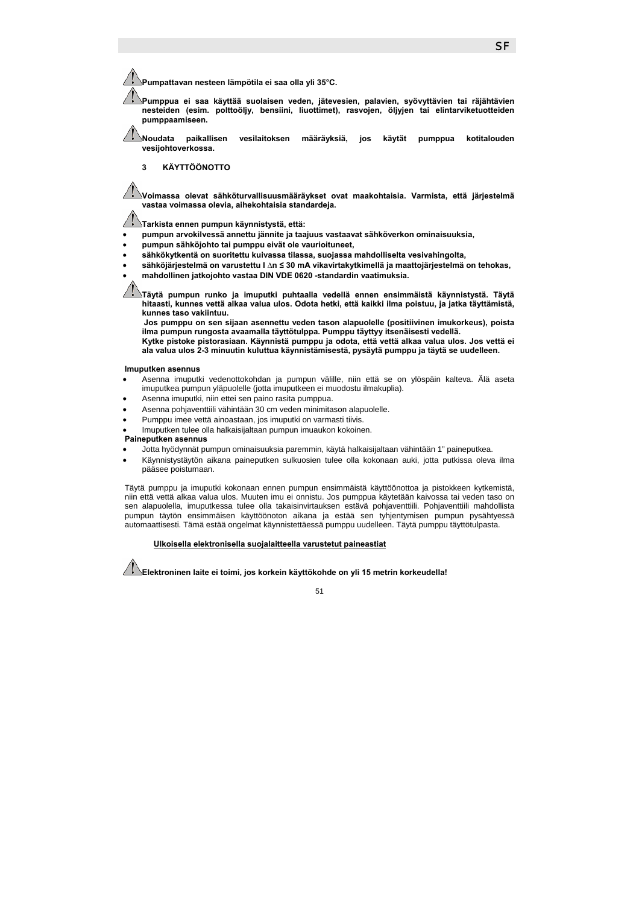**Pumpattavan nesteen lämpötila ei saa olla yli 35°C.** 

**Pumppua ei saa käyttää suolaisen veden, jätevesien, palavien, syövyttävien tai räjähtävien nesteiden (esim. polttoöljy, bensiini, liuottimet), rasvojen, öljyjen tai elintarviketuotteiden pumppaamiseen.** 

**Noudata paikallisen vesilaitoksen määräyksiä, jos käytät pumppua kotitalouden vesijohtoverkossa.** 

#### **3 KÄYTTÖÖNOTTO**

**Voimassa olevat sähköturvallisuusmääräykset ovat maakohtaisia. Varmista, että järjestelmä vastaa voimassa olevia, aihekohtaisia standardeja.** 

**Tarkista ennen pumpun käynnistystä, että:** 

- **pumpun arvokilvessä annettu jännite ja taajuus vastaavat sähköverkon ominaisuuksia,**
- **pumpun sähköjohto tai pumppu eivät ole vaurioituneet,**
- **sähkökytkentä on suoritettu kuivassa tilassa, suojassa mahdolliselta vesivahingolta,**
- **sähköjärjestelmä on varustettu I ∆n ≤ 30 mA vikavirtakytkimellä ja maattojärjestelmä on tehokas,**
- **mahdollinen jatkojohto vastaa DIN VDE 0620 -standardin vaatimuksia.**

**Täytä pumpun runko ja imuputki puhtaalla vedellä ennen ensimmäistä käynnistystä. Täytä hitaasti, kunnes vettä alkaa valua ulos. Odota hetki, että kaikki ilma poistuu, ja jatka täyttämistä, kunnes taso vakiintuu.** 

**Jos pumppu on sen sijaan asennettu veden tason alapuolelle (positiivinen imukorkeus), poista ilma pumpun rungosta avaamalla täyttötulppa. Pumppu täyttyy itsenäisesti vedellä.**

**Kytke pistoke pistorasiaan. Käynnistä pumppu ja odota, että vettä alkaa valua ulos. Jos vettä ei ala valua ulos 2-3 minuutin kuluttua käynnistämisestä, pysäytä pumppu ja täytä se uudelleen.** 

#### **Imuputken asennus**

- Asenna imuputki vedenottokohdan ja pumpun välille, niin että se on ylöspäin kalteva. Älä aseta imuputkea pumpun yläpuolelle (jotta imuputkeen ei muodostu ilmakuplia).
- Asenna imuputki, niin ettei sen paino rasita pumppua.
- Asenna pohjaventtiili vähintään 30 cm veden minimitason alapuolelle.
- Pumppu imee vettä ainoastaan, jos imuputki on varmasti tiivis.
- Imuputken tulee olla halkaisijaltaan pumpun imuaukon kokoinen.

### **Paineputken asennus**

- Jotta hyödynnät pumpun ominaisuuksia paremmin, käytä halkaisijaltaan vähintään 1" paineputkea.
- Käynnistystäytön aikana paineputken sulkuosien tulee olla kokonaan auki, jotta putkissa oleva ilma pääsee poistumaan.

Täytä pumppu ja imuputki kokonaan ennen pumpun ensimmäistä käyttöönottoa ja pistokkeen kytkemistä, niin että vettä alkaa valua ulos. Muuten imu ei onnistu. Jos pumppua käytetään kaivossa tai veden taso on sen alapuolella, imuputkessa tulee olla takaisinvirtauksen estävä pohjaventtiili. Pohjaventtiili mahdollista pumpun täytön ensimmäisen käyttöönoton aikana ja estää sen tyhjentymisen pumpun pysähtyessä automaattisesti. Tämä estää ongelmat käynnistettäessä pumppu uudelleen. Täytä pumppu täyttötulpasta.

#### f **Ulkoisella elektronisella suojalaitteella varustetut paineastiat**

**Elektroninen laite ei toimi, jos korkein käyttökohde on yli 15 metrin korkeudella!**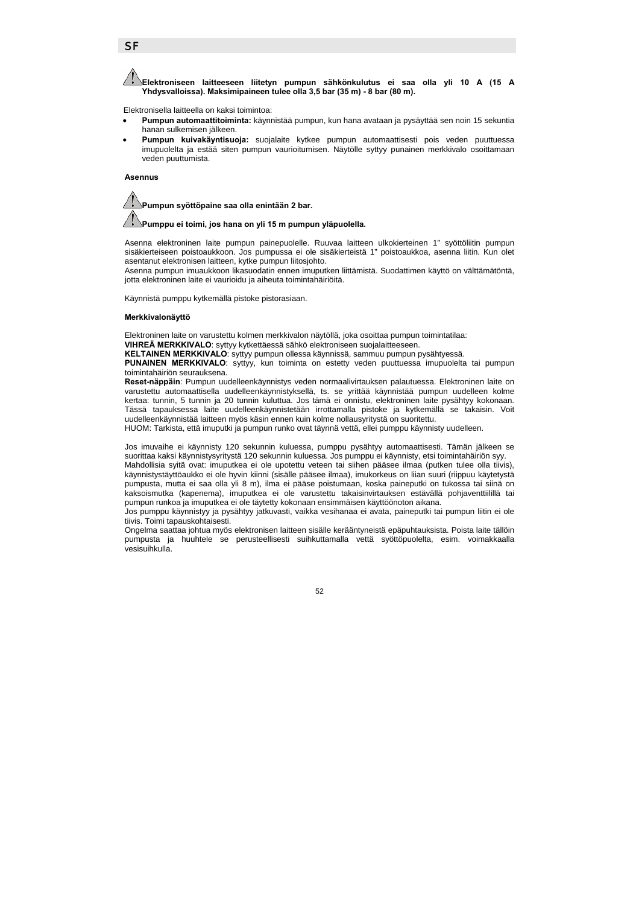### **SF**

**Elektroniseen laitteeseen liitetyn pumpun sähkönkulutus ei saa olla yli 10 A (15 A Yhdysvalloissa). Maksimipaineen tulee olla 3,5 bar (35 m) - 8 bar (80 m).** 

Elektronisella laitteella on kaksi toimintoa:

- **Pumpun automaattitoiminta:** käynnistää pumpun, kun hana avataan ja pysäyttää sen noin 15 sekuntia hanan sulkemisen jälkeen.
- **Pumpun kuivakäyntisuoja:** suojalaite kytkee pumpun automaattisesti pois veden puuttuessa imupuolelta ja estää siten pumpun vaurioitumisen. Näytölle syttyy punainen merkkivalo osoittamaan veden puuttumista.

**Asennus** 



#### **Pumppu ei toimi, jos hana on yli 15 m pumpun yläpuolella.**

Asenna elektroninen laite pumpun painepuolelle. Ruuvaa laitteen ulkokierteinen 1" syöttöliitin pumpun sisäkierteiseen poistoaukkoon. Jos pumpussa ei ole sisäkierteistä 1" poistoaukkoa, asenna liitin. Kun olet asentanut elektronisen laitteen, kytke pumpun liitosjohto.

Asenna pumpun imuaukkoon likasuodatin ennen imuputken liittämistä. Suodattimen käyttö on välttämätöntä, jotta elektroninen laite ei vaurioidu ja aiheuta toimintahäiriöitä.

Käynnistä pumppu kytkemällä pistoke pistorasiaan.

#### **Merkkivalonäyttö**

Elektroninen laite on varustettu kolmen merkkivalon näytöllä, joka osoittaa pumpun toimintatilaa: **VIHREÄ MERKKIVALO**: syttyy kytkettäessä sähkö elektroniseen suojalaitteeseen.

**KELTAINEN MERKKIVALO**: syttyy pumpun ollessa käynnissä, sammuu pumpun pysähtyessä.

**PUNAINEN MERKKIVALO**: syttyy, kun toiminta on estetty veden puuttuessa imupuolelta tai pumpun toimintahäiriön seurauksena.

**Reset-näppäin**: Pumpun uudelleenkäynnistys veden normaalivirtauksen palautuessa. Elektroninen laite on varustettu automaattisella uudelleenkäynnistyksellä, ts. se yrittää käynnistää pumpun uudelleen kolme kertaa: tunnin, 5 tunnin ja 20 tunnin kuluttua. Jos tämä ei onnistu, elektroninen laite pysähtyy kokonaan. Tässä tapauksessa laite uudelleenkäynnistetään irrottamalla pistoke ja kytkemällä se takaisin. Voit uudelleenkäynnistää laitteen myös käsin ennen kuin kolme nollausyritystä on suoritettu.

HUOM: Tarkista, että imuputki ja pumpun runko ovat täynnä vettä, ellei pumppu käynnisty uudelleen.

Jos imuvaihe ei käynnisty 120 sekunnin kuluessa, pumppu pysähtyy automaattisesti. Tämän jälkeen se suorittaa kaksi käynnistysyritystä 120 sekunnin kuluessa. Jos pumppu ei käynnisty, etsi toimintahäiriön syy.

Mahdollisia syitä ovat: imuputkea ei ole upotettu veteen tai siihen pääsee ilmaa (putken tulee olla tiivis), käynnistystäyttöaukko ei ole hyvin kiinni (sisälle pääsee ilmaa), imukorkeus on liian suuri (riippuu käytetystä pumpusta, mutta ei saa olla yli 8 m), ilma ei pääse poistumaan, koska paineputki on tukossa tai siinä on kaksoismutka (kapenema), imuputkea ei ole varustettu takaisinvirtauksen estävällä pohjaventtiilillä tai pumpun runkoa ja imuputkea ei ole täytetty kokonaan ensimmäisen käyttöönoton aikana.

Jos pumppu käynnistyy ja pysähtyy jatkuvasti, vaikka vesihanaa ei avata, paineputki tai pumpun liitin ei ole tiivis. Toimi tapauskohtaisesti.

Ongelma saattaa johtua myös elektronisen laitteen sisälle kerääntyneistä epäpuhtauksista. Poista laite tällöin pumpusta ja huuhtele se perusteellisesti suihkuttamalla vettä syöttöpuolelta, esim. voimakkaalla vesisuihkulla.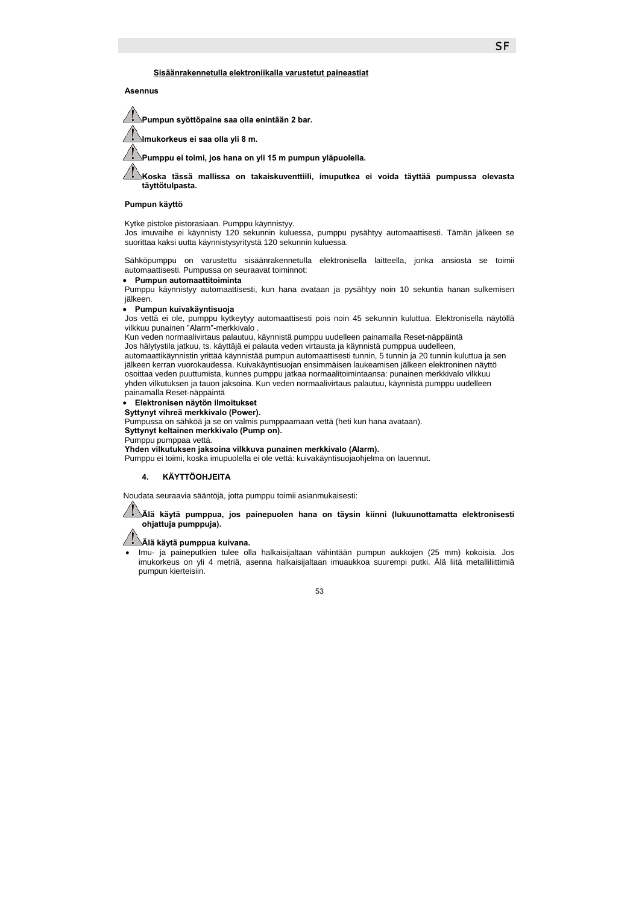f **Sisäänrakennetulla elektroniikalla varustetut paineastiat**

**Asennus** 

7 **Pumpun syöttöpaine saa olla enintään 2 bar. Imukorkeus ei saa olla yli 8 m. Pumppu ei toimi, jos hana on yli 15 m pumpun yläpuolella. Koska tässä mallissa on takaiskuventtiili, imuputkea ei voida täyttää pumpussa olevasta täyttötulpasta.** 

### **Pumpun käyttö**

Kytke pistoke pistorasiaan. Pumppu käynnistyy.

Jos imuvaihe ei käynnisty 120 sekunnin kuluessa, pumppu pysähtyy automaattisesti. Tämän jälkeen se suorittaa kaksi uutta käynnistysyritystä 120 sekunnin kuluessa.

Sähköpumppu on varustettu sisäänrakennetulla elektronisella laitteella, jonka ansiosta se toimii automaattisesti. Pumpussa on seuraavat toiminnot:

• **Pumpun automaattitoiminta** 

Pumppu käynnistyy automaattisesti, kun hana avataan ja pysähtyy noin 10 sekuntia hanan sulkemisen iälkeen.

#### • **Pumpun kuivakäyntisuoja**

Jos vettä ei ole, pumppu kytkeytyy automaattisesti pois noin 45 sekunnin kuluttua. Elektronisella näytöllä vilkkuu punainen "Alarm"-merkkivalo .

Kun veden normaalivirtaus palautuu, käynnistä pumppu uudelleen painamalla Reset-näppäintä

Jos hälytystila jatkuu, ts. käyttäjä ei palauta veden virtausta ja käynnistä pumppua uudelleen, automaattikäynnistin yrittää käynnistää pumpun automaattisesti tunnin, 5 tunnin ja 20 tunnin kuluttua ja sen jälkeen kerran vuorokaudessa. Kuivakäyntisuojan ensimmäisen laukeamisen jälkeen elektroninen näyttö osoittaa veden puuttumista, kunnes pumppu jatkaa normaalitoimintaansa: punainen merkkivalo vilkkuu yhden vilkutuksen ja tauon jaksoina. Kun veden normaalivirtaus palautuu, käynnistä pumppu uudelleen painamalla Reset-näppäintä

### • **Elektronisen näytön ilmoitukset**

**Syttynyt vihreä merkkivalo (Power).** 

Pumpussa on sähköä ja se on valmis pumppaamaan vettä (heti kun hana avataan).

**Syttynyt keltainen merkkivalo (Pump on).** 

Pumppu pumppaa vettä.

**Yhden vilkutuksen jaksoina vilkkuva punainen merkkivalo (Alarm).** 

Pumppu ei toimi, koska imupuolella ei ole vettä: kuivakäyntisuojaohjelma on lauennut.

### **4. KÄYTTÖOHJEITA**

Noudata seuraavia sääntöjä, jotta pumppu toimii asianmukaisesti:

**Älä käytä pumppua, jos painepuolen hana on täysin kiinni (lukuunottamatta elektronisesti ohjattuja pumppuja).** 

**Älä käytä pumppua kuivana.** 

• Imu- ja paineputkien tulee olla halkaisijaltaan vähintään pumpun aukkojen (25 mm) kokoisia. Jos imukorkeus on yli 4 metriä, asenna halkaisijaltaan imuaukkoa suurempi putki. Älä liitä metalliliittimiä pumpun kierteisiin.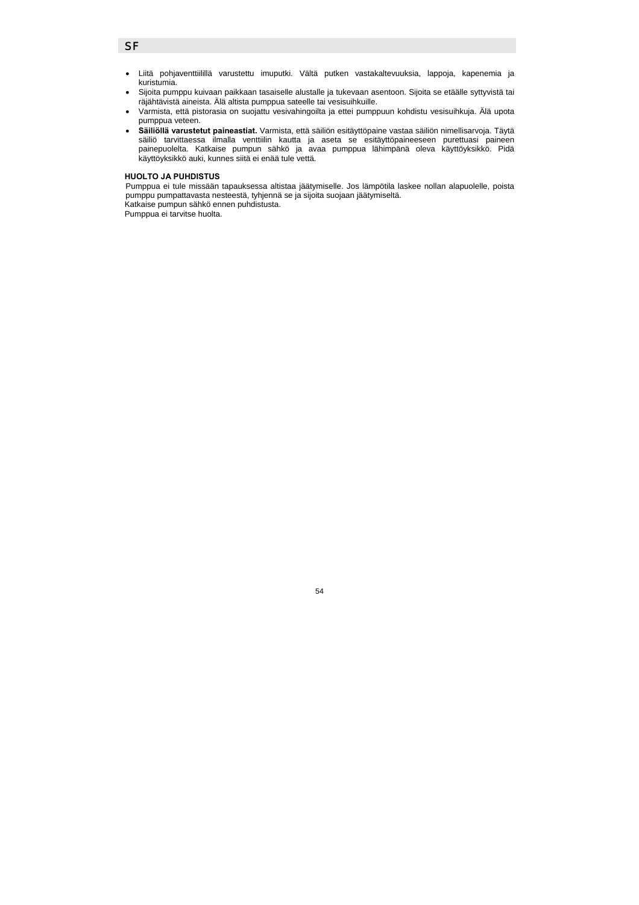## **SF**

- Liitä pohjaventtiilillä varustettu imuputki. Vältä putken vastakaltevuuksia, lappoja, kapenemia ja kuristumia.
- Sijoita pumppu kuivaan paikkaan tasaiselle alustalle ja tukevaan asentoon. Sijoita se etäälle syttyvistä tai räjähtävistä aineista. Älä altista pumppua sateelle tai vesisuihkuille.
- Varmista, että pistorasia on suojattu vesivahingoilta ja ettei pumppuun kohdistu vesisuihkuja. Älä upota pumppua veteen.
- **Säiliöllä varustetut paineastiat.** Varmista, että säiliön esitäyttöpaine vastaa säiliön nimellisarvoja. Täytä säiliö tarvittaessa ilmalla venttiilin kautta ja aseta se esitäyttöpaineeseen purettuasi paineen painepuolelta. Katkaise pumpun sähkö ja avaa pumppua lähimpänä oleva käyttöyksikkö. Pidä käyttöyksikkö auki, kunnes siitä ei enää tule vettä.

### **HUOLTO JA PUHDISTUS**

Pumppua ei tule missään tapauksessa altistaa jäätymiselle. Jos lämpötila laskee nollan alapuolelle, poista pumppu pumpattavasta nesteestä, tyhjennä se ja sijoita suojaan jäätymiseltä.

54

Katkaise pumpun sähkö ennen puhdistusta.

Pumppua ei tarvitse huolta.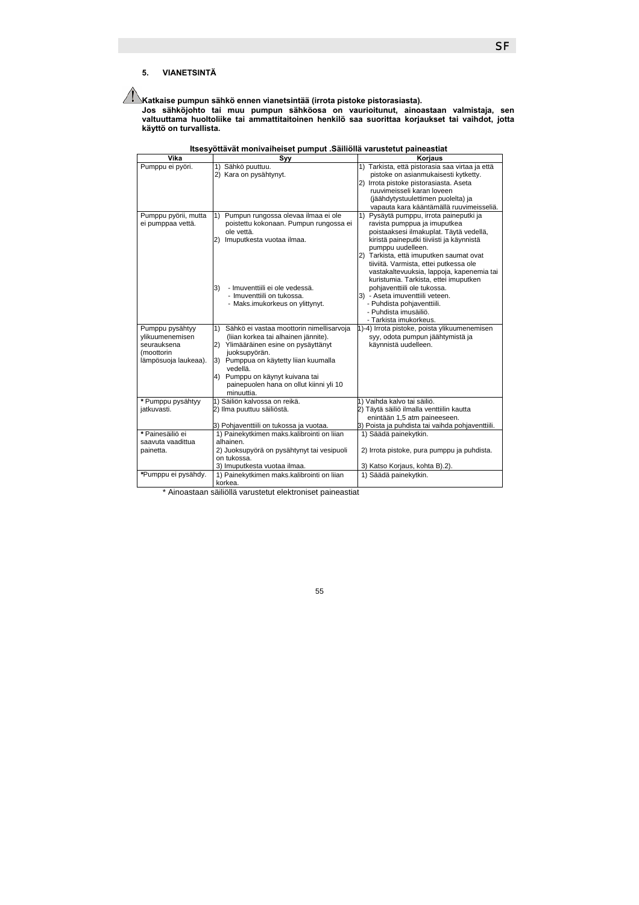# **5. VIANETSINTÄ**

**Katkaise pumpun sähkö ennen vianetsintää (irrota pistoke pistorasiasta).** 

**Jos sähköjohto tai muu pumpun sähköosa on vaurioitunut, ainoastaan valmistaja, sen valtuuttama huoltoliike tai ammattitaitoinen henkilö saa suorittaa korjaukset tai vaihdot, jotta käyttö on turvallista.** 

| Vika                 | Svv                                                                | Korjaus                                             |
|----------------------|--------------------------------------------------------------------|-----------------------------------------------------|
| Pumppu ei pyöri.     | 1) Sähkö puuttuu.                                                  | 1) Tarkista, että pistorasia saa virtaa ja että     |
|                      | 2) Kara on pysähtynyt.                                             | pistoke on asianmukaisesti kytketty.                |
|                      |                                                                    | 2) Irrota pistoke pistorasiasta. Aseta              |
|                      |                                                                    | ruuvimeisseli karan loveen                          |
|                      |                                                                    | (jäähdytystuulettimen puolelta) ja                  |
|                      |                                                                    | vapauta kara kääntämällä ruuvimeisseliä.            |
| Pumppu pyörii, mutta | 1) Pumpun rungossa olevaa ilmaa ei ole                             | 1) Pysäytä pumppu, irrota paineputki ja             |
| ei pumppaa vettä.    | poistettu kokonaan. Pumpun rungossa ei                             | ravista pumppua ja imuputkea                        |
|                      | ole vettä.                                                         | poistaaksesi ilmakuplat. Täytä vedellä,             |
|                      | Imuputkesta vuotaa ilmaa.<br>$\mathbf{2}$                          | kiristä paineputki tiiviisti ja käynnistä           |
|                      |                                                                    | pumppu uudelleen.                                   |
|                      |                                                                    | 2) Tarkista, että imuputken saumat ovat             |
|                      |                                                                    | tiiviitä. Varmista, ettei putkessa ole              |
|                      |                                                                    | vastakaltevuuksia, lappoja, kapenemia tai           |
|                      |                                                                    | kuristumia. Tarkista, ettei imuputken               |
|                      | - Imuventtiili ei ole vedessä.<br>3)<br>- Imuventtiili on tukossa. | pohjaventtiili ole tukossa.                         |
|                      |                                                                    | 3) - Aseta imuventtiili veteen.                     |
|                      | - Maks.imukorkeus on ylittynyt.                                    | - Puhdista pohjaventtiili.<br>- Puhdista imusäiliö. |
|                      |                                                                    | - Tarkista imukorkeus.                              |
| Pumppu pysähtyy      | 1)<br>Sähkö ei vastaa moottorin nimellisarvoja                     | 1)-4) Irrota pistoke, poista ylikuumenemisen        |
| ylikuumenemisen      | (liian korkea tai alhainen jännite).                               | syy, odota pumpun jäähtymistä ja                    |
| seurauksena          | (2)<br>Ylimääräinen esine on pysäyttänyt                           | käynnistä uudelleen.                                |
| (moottorin           | juoksupyörän.                                                      |                                                     |
| lämpösuoja laukeaa). | 3) Pumppua on käytetty liian kuumalla                              |                                                     |
|                      | vedellä.                                                           |                                                     |
|                      | 4) Pumppu on käynyt kuivana tai                                    |                                                     |
|                      | painepuolen hana on ollut kiinni yli 10                            |                                                     |
|                      | minuuttia.                                                         |                                                     |
| * Pumppu pysähtyy    | 1) Säiliön kalvossa on reikä.                                      | 1) Vaihda kalvo tai säiliö.                         |
| jatkuvasti.          | 2) Ilma puuttuu säiliöstä.                                         | 2) Täytä säiliö ilmalla venttiilin kautta           |
|                      |                                                                    | enintään 1,5 atm paineeseen.                        |
|                      | 3) Pohjaventtiili on tukossa ja vuotaa.                            | 3) Poista ja puhdista tai vaihda pohjaventtiili.    |
| * Painesäiliö ei     | 1) Painekytkimen maks.kalibrointi on liian                         | 1) Säädä painekytkin.                               |
| saavuta vaadittua    | alhainen.                                                          |                                                     |
| painetta.            | 2) Juoksupyörä on pysähtynyt tai vesipuoli                         | 2) Irrota pistoke, pura pumppu ja puhdista.         |
|                      | on tukossa.                                                        |                                                     |
|                      | 3) Imuputkesta vuotaa ilmaa.                                       | 3) Katso Korjaus, kohta B).2).                      |
| *Pumppu ei pysähdy.  | 1) Painekytkimen maks.kalibrointi on liian                         | 1) Säädä painekytkin.                               |
|                      | korkea.                                                            |                                                     |

| Itsesyöttävät monivaiheiset pumput .Säiliöllä varustetut paineastiat |
|----------------------------------------------------------------------|
|----------------------------------------------------------------------|

\* Ainoastaan säiliöllä varustetut elektroniset paineastiat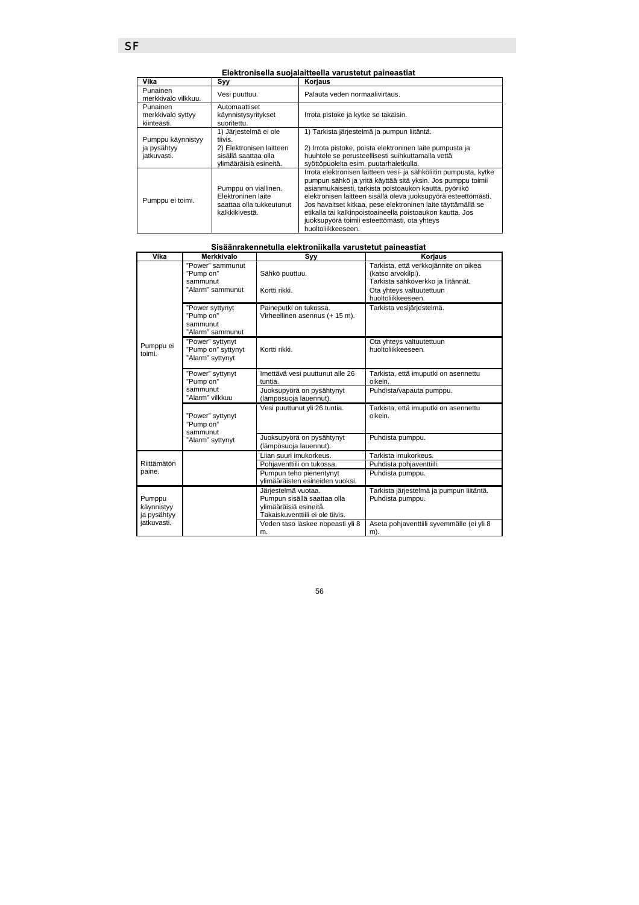# **Elektronisella suojalaitteella varustetut paineastiat**

| Vika                                            | Syy                                                                                                            | Korjaus                                                                                                                                                                                                                                                                                                                                                                                                                                                         |
|-------------------------------------------------|----------------------------------------------------------------------------------------------------------------|-----------------------------------------------------------------------------------------------------------------------------------------------------------------------------------------------------------------------------------------------------------------------------------------------------------------------------------------------------------------------------------------------------------------------------------------------------------------|
| Punainen<br>merkkivalo vilkkuu.                 | Vesi puuttuu.                                                                                                  | Palauta veden normaalivirtaus.                                                                                                                                                                                                                                                                                                                                                                                                                                  |
| Punainen<br>merkkivalo syttyy<br>kiinteästi.    | Automaattiset<br>käynnistysyritykset<br>suoritettu.                                                            | Irrota pistoke ja kytke se takaisin.                                                                                                                                                                                                                                                                                                                                                                                                                            |
| Pumppu käynnistyy<br>ja pysähtyy<br>jatkuvasti. | 1) Järjestelmä ei ole<br>tiivis.<br>2) Elektronisen laitteen<br>sisällä saattaa olla<br>vlimääräisiä esineitä. | 1) Tarkista järjestelmä ja pumpun liitäntä.<br>2) Irrota pistoke, poista elektroninen laite pumpusta ja<br>huuhtele se perusteellisesti suihkuttamalla vettä<br>syöttöpuolelta esim. puutarhaletkulla.                                                                                                                                                                                                                                                          |
| Pumppu ei toimi.                                | Pumppu on viallinen.<br>Elektroninen laite<br>saattaa olla tukkeutunut<br>kalkkikivestä.                       | Irrota elektronisen laitteen vesi- ja sähköliitin pumpusta, kytke<br>pumpun sähkö ja yritä käyttää sitä yksin. Jos pumppu toimii<br>asianmukaisesti, tarkista poistoaukon kautta, pyöriikö<br>elektronisen laitteen sisällä oleva juoksupyörä esteettömästi.<br>Jos havaitset kitkaa, pese elektroninen laite täyttämällä se<br>etikalla tai kalkinpoistoaineella poistoaukon kautta. Jos<br>juoksupyörä toimii esteettömästi, ota yhteys<br>huoltoliikkeeseen. |

| Vika                                | Merkkivalo                                                    | Syy                                                                                                              | Korjaus                                                                                                                                             |
|-------------------------------------|---------------------------------------------------------------|------------------------------------------------------------------------------------------------------------------|-----------------------------------------------------------------------------------------------------------------------------------------------------|
| Pumppu ei<br>toimi.                 | "Power" sammunut<br>"Pump on"<br>sammunut<br>"Alarm" sammunut | Sähkö puuttuu.<br>Kortti rikki.                                                                                  | Tarkista, että verkkojännite on oikea<br>(katso arvokilpi).<br>Tarkista sähköverkko ja liitännät.<br>Ota yhteys valtuutettuun<br>huoltoliikkeeseen. |
|                                     | "Power syttynyt<br>"Pump on"<br>sammunut<br>"Alarm" sammunut  | Paineputki on tukossa.<br>Virheellinen asennus (+ 15 m).                                                         | Tarkista vesijärjestelmä.                                                                                                                           |
|                                     | "Power" syttynyt<br>"Pump on" syttynyt<br>"Alarm" syttynyt    | Kortti rikki                                                                                                     | Ota yhteys valtuutettuun<br>huoltoliikkeeseen.                                                                                                      |
|                                     | "Power" syttynyt<br>"Pump on"<br>sammunut<br>"Alarm" vilkkuu  | Imettävä vesi puuttunut alle 26<br>tuntia.                                                                       | Tarkista, että imuputki on asennettu<br>oikein.                                                                                                     |
|                                     |                                                               | Juoksupyörä on pysähtynyt<br>(lämpösuoja lauennut).                                                              | Puhdista/vapauta pumppu.                                                                                                                            |
|                                     | "Power" syttynyt<br>"Pump on"<br>sammunut<br>"Alarm" syttynyt | Vesi puuttunut yli 26 tuntia.                                                                                    | Tarkista, että imuputki on asennettu<br>oikein                                                                                                      |
|                                     |                                                               | Juoksupyörä on pysähtynyt<br>(lämpösuoja lauennut).                                                              | Puhdista pumppu.                                                                                                                                    |
| Riittämätön<br>paine.               |                                                               | Lijan suuri imukorkeus.                                                                                          | Tarkista imukorkeus.                                                                                                                                |
|                                     |                                                               | Pohjaventtiili on tukossa.                                                                                       | Puhdista pohjaventtiili.                                                                                                                            |
|                                     |                                                               | Pumpun teho pienentynyt<br>ylimääräisten esineiden vuoksi.                                                       | Puhdista pumppu.                                                                                                                                    |
| Pumppu<br>käynnistyy<br>ja pysähtyy |                                                               | Järjestelmä vuotaa.<br>Pumpun sisällä saattaa olla<br>ylimääräisiä esineitä.<br>Takaiskuventtiili ei ole tiivis. | Tarkista järjestelmä ja pumpun liitäntä.<br>Puhdista pumppu.                                                                                        |
| jatkuvasti.                         |                                                               | Veden taso laskee nopeasti yli 8<br>m.                                                                           | Aseta pohjaventtiili syvemmälle (ei yli 8<br>m).                                                                                                    |

56

## **Sisäänrakennetulla elektroniikalla varustetut paineastiat**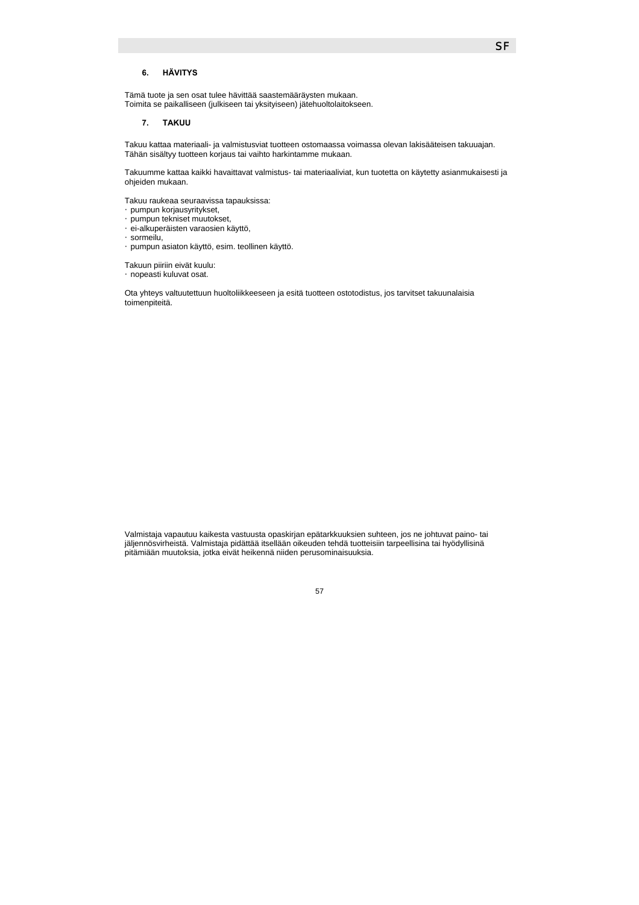### **6. HÄVITYS**

Tämä tuote ja sen osat tulee hävittää saastemääräysten mukaan. Toimita se paikalliseen (julkiseen tai yksityiseen) jätehuoltolaitokseen.

### **7. TAKUU**

Takuu kattaa materiaali- ja valmistusviat tuotteen ostomaassa voimassa olevan lakisääteisen takuuajan. Tähän sisältyy tuotteen korjaus tai vaihto harkintamme mukaan.

Takuumme kattaa kaikki havaittavat valmistus- tai materiaaliviat, kun tuotetta on käytetty asianmukaisesti ja ohjeiden mukaan.

Takuu raukeaa seuraavissa tapauksissa: y pumpun korjausyritykset, y pumpun tekniset muutokset, y ei-alkuperäisten varaosien käyttö, **Œsormeilu**, y pumpun asiaton käyttö, esim. teollinen käyttö.

Takuun piiriin eivät kuulu: Gnopeasti kuluvat osat.

Ota yhteys valtuutettuun huoltoliikkeeseen ja esitä tuotteen ostotodistus, jos tarvitset takuunalaisia toimenpiteitä.

Valmistaja vapautuu kaikesta vastuusta opaskirjan epätarkkuuksien suhteen, jos ne johtuvat paino- tai jäljennösvirheistä. Valmistaja pidättää itsellään oikeuden tehdä tuotteisiin tarpeellisina tai hyödyllisinä pitämiään muutoksia, jotka eivät heikennä niiden perusominaisuuksia.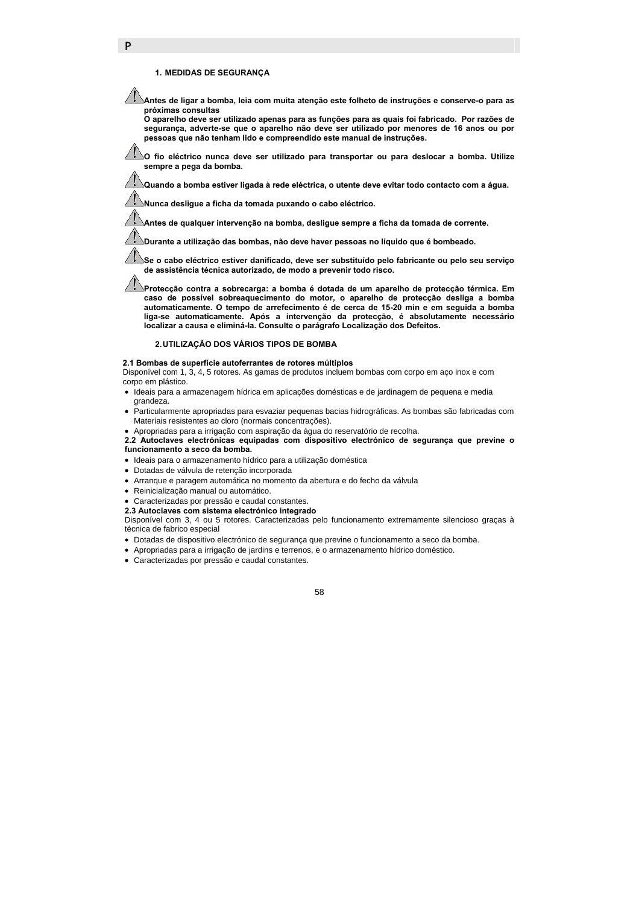### **1. MEDIDAS DE SEGURANÇA**

P

**Antes de ligar a bomba, leia com muita atenção este folheto de instruções e conserve-o para as próximas consultas** 

**O aparelho deve ser utilizado apenas para as funções para as quais foi fabricado. Por razões de segurança, adverte-se que o aparelho não deve ser utilizado por menores de 16 anos ou por pessoas que não tenham lido e compreendido este manual de instruções.** 

**O fio eléctrico nunca deve ser utilizado para transportar ou para deslocar a bomba. Utilize sempre a pega da bomba.** 

**Quando a bomba estiver ligada à rede eléctrica, o utente deve evitar todo contacto com a água.** 

**Nunca desligue a ficha da tomada puxando o cabo eléctrico.** 

**Antes de qualquer intervenção na bomba, desligue sempre a ficha da tomada de corrente.** 

**Durante a utilização das bombas, não deve haver pessoas no líquido que é bombeado.** 

**Se o cabo eléctrico estiver danificado, deve ser substituído pelo fabricante ou pelo seu serviço de assistência técnica autorizado, de modo a prevenir todo risco.** 

**Protecção contra a sobrecarga: a bomba é dotada de um aparelho de protecção térmica. Em caso de possível sobreaquecimento do motor, o aparelho de protecção desliga a bomba automaticamente. O tempo de arrefecimento é de cerca de 15-20 min e em seguida a bomba liga-se automaticamente. Após a intervenção da protecção, é absolutamente necessário localizar a causa e eliminá-la. Consulte o parágrafo Localização dos Defeitos.** 

### **2. UTILIZAÇÃO DOS VÁRIOS TIPOS DE BOMBA**

#### **2.1 Bombas de superfície autoferrantes de rotores múltiplos**

Disponível com 1, 3, 4, 5 rotores. As gamas de produtos incluem bombas com corpo em aço inox e com corpo em plástico.

- Ideais para a armazenagem hídrica em aplicações domésticas e de jardinagem de pequena e media grandeza.
- Particularmente apropriadas para esvaziar pequenas bacias hidrográficas. As bombas são fabricadas com Materiais resistentes ao cloro (normais concentrações).

#### • Apropriadas para a irrigação com aspiração da água do reservatório de recolha.

**2.2 Autoclaves electrónicas equipadas com dispositivo electrónico de segurança que previne o funcionamento a seco da bomba.** 

- Ideais para o armazenamento hídrico para a utilização doméstica
- Dotadas de válvula de retenção incorporada
- Arranque e paragem automática no momento da abertura e do fecho da válvula
- Reinicialização manual ou automático.
- Caracterizadas por pressão e caudal constantes.
- **2.3 Autoclaves com sistema electrónico integrado**

Disponível com 3, 4 ou 5 rotores. Caracterizadas pelo funcionamento extremamente silencioso graças à técnica de fabrico especial

- Dotadas de dispositivo electrónico de segurança que previne o funcionamento a seco da bomba.
- Apropriadas para a irrigação de jardins e terrenos, e o armazenamento hídrico doméstico.
- Caracterizadas por pressão e caudal constantes.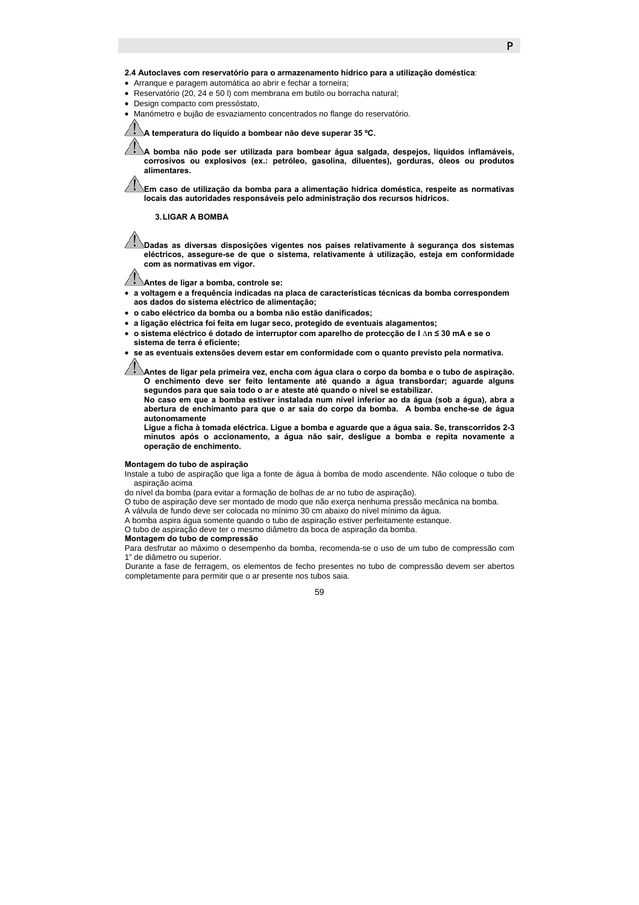**2.4 Autoclaves com reservatório para o armazenamento hídrico para a utilização doméstica**:

- Arranque e paragem automática ao abrir e fechar a torneira;
- Reservatório (20, 24 e 50 l) com membrana em butilo ou borracha natural;
- Design compacto com pressóstato,
- Manómetro e bujão de esvaziamento concentrados no flange do reservatório.

**A temperatura do líquido a bombear não deve superar 35 ºC.** 

**A bomba não pode ser utilizada para bombear água salgada, despejos, líquidos inflamáveis, corrosivos ou explosivos (ex.: petróleo, gasolina, diluentes), gorduras, óleos ou produtos alimentares.** 

**Em caso de utilização da bomba para a alimentação hídrica doméstica, respeite as normativas locais das autoridades responsáveis pelo administração dos recursos hídricos.** 

#### **3. LIGAR A BOMBA**

**Dadas as diversas disposições vigentes nos países relativamente à segurança dos sistemas eléctricos, assegure-se de que o sistema, relativamente à utilização, esteja em conformidade com as normativas em vigor.** 

**Antes de ligar a bomba, controle se:** 

- **a voltagem e a frequência indicadas na placa de características técnicas da bomba correspondem aos dados do sistema eléctrico de alimentação;**
- **o cabo eléctrico da bomba ou a bomba não estão danificados;**
- **a ligação eléctrica foi feita em lugar seco, protegido de eventuais alagamentos;**
- **o sistema eléctrico é dotado de interruptor com aparelho de protecção de I ∆n ≤ 30 mA e se o sistema de terra é eficiente;**
- **se as eventuais extensões devem estar em conformidade com o quanto previsto pela normativa.**

**Antes de ligar pela primeira vez, encha com água clara o corpo da bomba e o tubo de aspiração. O enchimento deve ser feito lentamente até quando a água transbordar; aguarde alguns segundos para que saia todo o ar e ateste até quando o nível se estabilizar.** 

**No caso em que a bomba estiver instalada num nível inferior ao da água (sob a água), abra a abertura de enchimanto para que o ar saia do corpo da bomba. A bomba enche-se de água autonomamente** 

**Ligue a ficha à tomada eléctrica. Ligue a bomba e aguarde que a água saia. Se, transcorridos 2-3 minutos após o accionamento, a água não sair, desligue a bomba e repita novamente a operação de enchimento.** 

#### **Montagem do tubo de aspiração**

Instale a tubo de aspiração que liga a fonte de água à bomba de modo ascendente. Não coloque o tubo de aspiração acima

do nível da bomba (para evitar a formação de bolhas de ar no tubo de aspiração).

O tubo de aspiração deve ser montado de modo que não exerça nenhuma pressão mecânica na bomba.

A válvula de fundo deve ser colocada no mínimo 30 cm abaixo do nível mínimo da água.

A bomba aspira água somente quando o tubo de aspiração estiver perfeitamente estanque.

O tubo de aspiração deve ter o mesmo diâmetro da boca de aspiração da bomba.

#### **Montagem do tubo de compressão**

Para desfrutar ao máximo o desempenho da bomba, recomenda-se o uso de um tubo de compressão com 1" de diâmetro ou superior.

Durante a fase de ferragem, os elementos de fecho presentes no tubo de compressão devem ser abertos completamente para permitir que o ar presente nos tubos saia.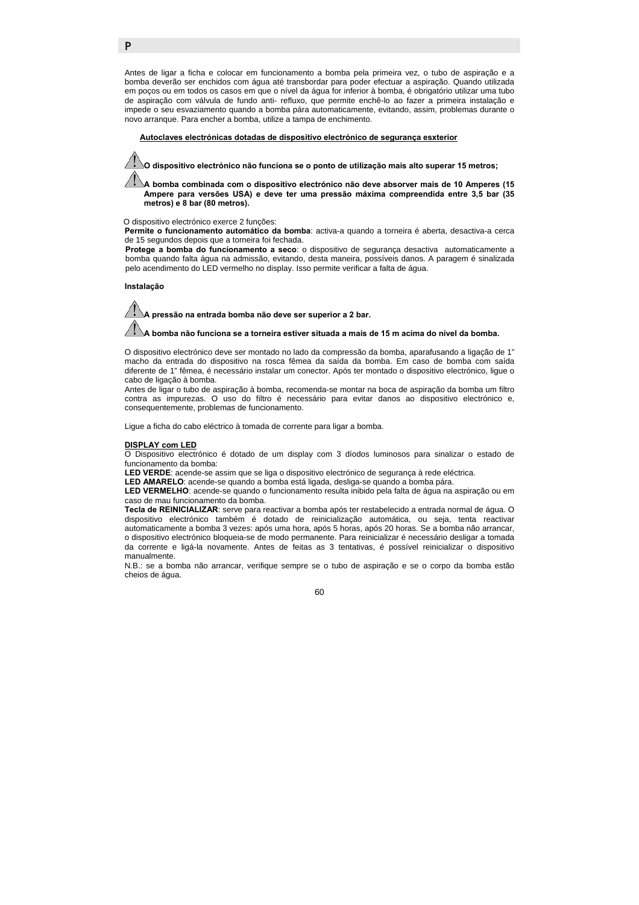Antes de ligar a ficha e colocar em funcionamento a bomba pela primeira vez, o tubo de aspiração e a bomba deverão ser enchidos com água até transbordar para poder efectuar a aspiração. Quando utilizada em poços ou em todos os casos em que o nível da água for inferior à bomba, é obrigatório utilizar uma tubo de aspiração com válvula de fundo anti- refluxo, que permite enchê-lo ao fazer a primeira instalação e impede o seu esvaziamento quando a bomba pára automaticamente, evitando, assim, problemas durante o novo arranque. Para encher a bomba, utilize a tampa de enchimento.

### f **Autoclaves electrónicas dotadas de dispositivo electrónico de segurança esxterior**

**O dispositivo electrónico não funciona se o ponto de utilização mais alto superar 15 metros;** 

**A bomba combinada com o dispositivo electrónico não deve absorver mais de 10 Amperes (15 Ampere para versões USA) e deve ter uma pressão máxima compreendida entre 3,5 bar (35 metros) e 8 bar (80 metros).** 

#### O dispositivo electrónico exerce 2 funções:

**Permite o funcionamento automático da bomba**: activa-a quando a torneira é aberta, desactiva-a cerca de 15 segundos depois que a torneira foi fechada.

**Protege a bomba do funcionamento a seco**: o dispositivo de segurança desactiva automaticamente a bomba quando falta água na admissão, evitando, desta maneira, possíveis danos. A paragem é sinalizada pelo acendimento do LED vermelho no display. Isso permite verificar a falta de água.

#### **Instalação**

P

**A pressão na entrada bomba não deve ser superior a 2 bar.** 

**A bomba não funciona se a torneira estiver situada a mais de 15 m acima do nível da bomba.** 

O dispositivo electrónico deve ser montado no lado da compressão da bomba, aparafusando a ligação de 1" macho da entrada do dispositivo na rosca fêmea da saída da bomba. Em caso de bomba com saída diferente de 1" fêmea, é necessário instalar um conector. Após ter montado o dispositivo electrónico, ligue o cabo de ligação à bomba.

Antes de ligar o tubo de aspiração à bomba, recomenda-se montar na boca de aspiração da bomba um filtro contra as impurezas. O uso do filtro é necessário para evitar danos ao dispositivo electrónico e, consequentemente, problemas de funcionamento.

Ligue a ficha do cabo eléctrico à tomada de corrente para ligar a bomba.

#### **DISPLAY com LED**

O Dispositivo electrónico é dotado de um display com 3 díodos luminosos para sinalizar o estado de funcionamento da bomba:

**LED VERDE**: acende-se assim que se liga o dispositivo electrónico de segurança à rede eléctrica.

**LED AMARELO**: acende-se quando a bomba está ligada, desliga-se quando a bomba pára.

**LED VERMELHO**: acende-se quando o funcionamento resulta inibido pela falta de água na aspiração ou em caso de mau funcionamento da bomba.

**Tecla de REINICIALIZAR**: serve para reactivar a bomba após ter restabelecido a entrada normal de água. O dispositivo electrónico também é dotado de reinicialização automática, ou seja, tenta reactivar automaticamente a bomba 3 vezes: após uma hora, após 5 horas, após 20 horas. Se a bomba não arrancar, o dispositivo electrónico bloqueia-se de modo permanente. Para reinicializar é necessário desligar a tomada da corrente e ligá-la novamente. Antes de feitas as 3 tentativas, é possível reinicializar o dispositivo manualmente.

N.B.: se a bomba não arrancar, verifique sempre se o tubo de aspiração e se o corpo da bomba estão cheios de água.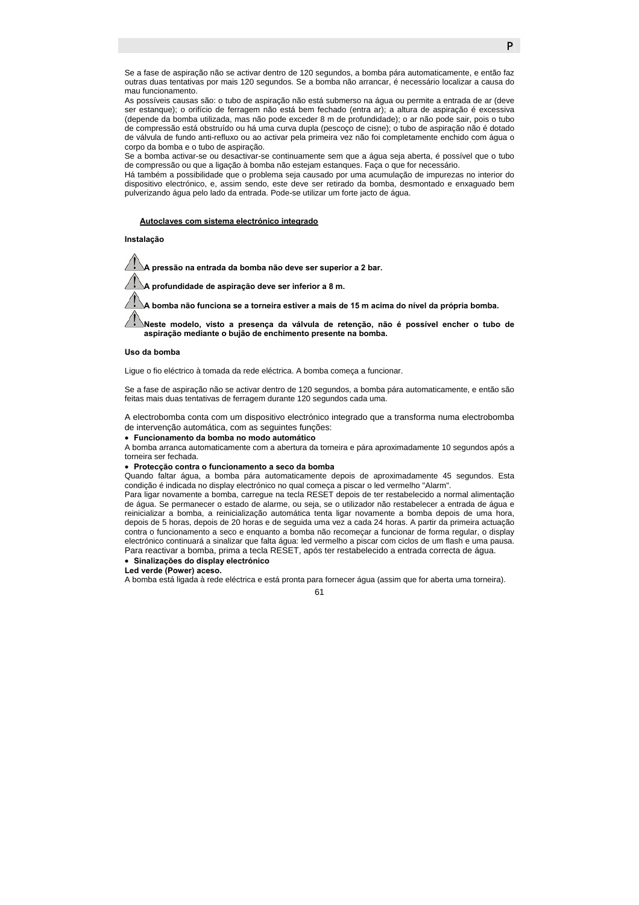Se a fase de aspiração não se activar dentro de 120 segundos, a bomba pára automaticamente, e então faz outras duas tentativas por mais 120 segundos. Se a bomba não arrancar, é necessário localizar a causa do mau funcionamento.

As possíveis causas são: o tubo de aspiração não está submerso na água ou permite a entrada de ar (deve ser estanque); o orifício de ferragem não está bem fechado (entra ar); a altura de aspiração é excessiva (depende da bomba utilizada, mas não pode exceder 8 m de profundidade); o ar não pode sair, pois o tubo de compressão está obstruído ou há uma curva dupla (pescoço de cisne); o tubo de aspiração não é dotado de válvula de fundo anti-refluxo ou ao activar pela primeira vez não foi completamente enchido com água o corpo da bomba e o tubo de aspiração.

Se a bomba activar-se ou desactivar-se continuamente sem que a água seja aberta, é possível que o tubo de compressão ou que a ligação à bomba não estejam estanques. Faça o que for necessário.

Há também a possibilidade que o problema seja causado por uma acumulação de impurezas no interior do dispositivo electrónico, e, assim sendo, este deve ser retirado da bomba, desmontado e enxaguado bem pulverizando água pelo lado da entrada. Pode-se utilizar um forte jacto de água.

#### f **Autoclaves com sistema electrónico integrado**

#### **Instalação**

**A pressão na entrada da bomba não deve ser superior a 2 bar.** 

**A profundidade de aspiração deve ser inferior a 8 m.** 

**A bomba não funciona se a torneira estiver a mais de 15 m acima do nível da própria bomba.** 

**Neste modelo, visto a presença da válvula de retenção, não é possível encher o tubo de aspiração mediante o bujão de enchimento presente na bomba.** 

#### **Uso da bomba**

Ligue o fio eléctrico à tomada da rede eléctrica. A bomba começa a funcionar.

Se a fase de aspiração não se activar dentro de 120 segundos, a bomba pára automaticamente, e então são feitas mais duas tentativas de ferragem durante 120 segundos cada uma.

A electrobomba conta com um dispositivo electrónico integrado que a transforma numa electrobomba de intervenção automática, com as seguintes funções:

• **Funcionamento da bomba no modo automático** 

A bomba arranca automaticamente com a abertura da torneira e pára aproximadamente 10 segundos após a torneira ser fechada.

### • **Protecção contra o funcionamento a seco da bomba**

Quando faltar água, a bomba pára automaticamente depois de aproximadamente 45 segundos. Esta condição é indicada no display electrónico no qual começa a piscar o led vermelho "Alarm".

Para ligar novamente a bomba, carregue na tecla RESET depois de ter restabelecido a normal alimentação de água. Se permanecer o estado de alarme, ou seja, se o utilizador não restabelecer a entrada de água e reinicializar a bomba, a reinicialização automática tenta ligar novamente a bomba depois de uma hora, depois de 5 horas, depois de 20 horas e de seguida uma vez a cada 24 horas. A partir da primeira actuação contra o funcionamento a seco e enquanto a bomba não recomeçar a funcionar de forma regular, o display electrónico continuará a sinalizar que falta água: led vermelho a piscar com ciclos de um flash e uma pausa. Para reactivar a bomba, prima a tecla RESET, após ter restabelecido a entrada correcta de água.

#### • **Sinalizações do display electrónico**

### **Led verde (Power) aceso.**

A bomba está ligada à rede eléctrica e está pronta para fornecer água (assim que for aberta uma torneira).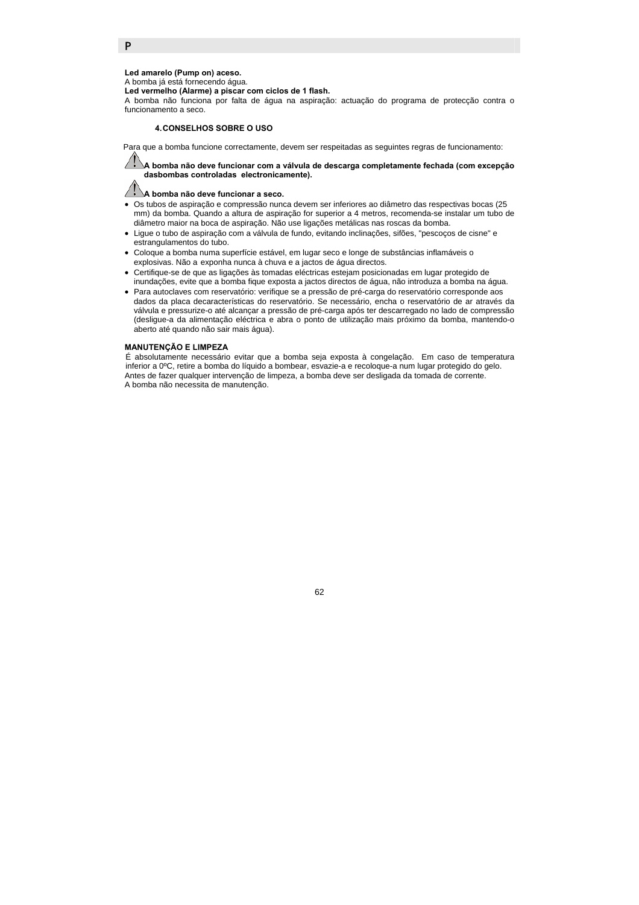### **Led amarelo (Pump on) aceso.**

A bomba já está fornecendo água.

**Led vermelho (Alarme) a piscar com ciclos de 1 flash.** 

A bomba não funciona por falta de água na aspiração: actuação do programa de protecção contra o funcionamento a seco.

#### **4. CONSELHOS SOBRE O USO**

Para que a bomba funcione correctamente, devem ser respeitadas as seguintes regras de funcionamento:

**A bomba não deve funcionar com a válvula de descarga completamente fechada (com excepção dasbombas controladas electronicamente).** 

#### Z **A bomba não deve funcionar a seco.**

- Os tubos de aspiração e compressão nunca devem ser inferiores ao diâmetro das respectivas bocas (25 mm) da bomba. Quando a altura de aspiração for superior a 4 metros, recomenda-se instalar um tubo de diâmetro maior na boca de aspiração. Não use ligações metálicas nas roscas da bomba.
- Ligue o tubo de aspiração com a válvula de fundo, evitando inclinações, sifões, "pescoços de cisne" e estrangulamentos do tubo.
- Coloque a bomba numa superfície estável, em lugar seco e longe de substâncias inflamáveis o explosivas. Não a exponha nunca à chuva e a jactos de água directos.
- Certifique-se de que as ligações às tomadas eléctricas estejam posicionadas em lugar protegido de inundações, evite que a bomba fique exposta a jactos directos de água, não introduza a bomba na água.
- Para autoclaves com reservatório: verifique se a pressão de pré-carga do reservatório corresponde aos dados da placa decaracterísticas do reservatório. Se necessário, encha o reservatório de ar através da válvula e pressurize-o até alcançar a pressão de pré-carga após ter descarregado no lado de compressão (desligue-a da alimentação eléctrica e abra o ponto de utilização mais próximo da bomba, mantendo-o aberto até quando não sair mais água).

### **MANUTENÇÃO E LIMPEZA**

É absolutamente necessário evitar que a bomba seja exposta à congelação. Em caso de temperatura inferior a 0ºC, retire a bomba do líquido a bombear, esvazie-a e recoloque-a num lugar protegido do gelo. Antes de fazer qualquer intervenção de limpeza, a bomba deve ser desligada da tomada de corrente. A bomba não necessita de manutenção.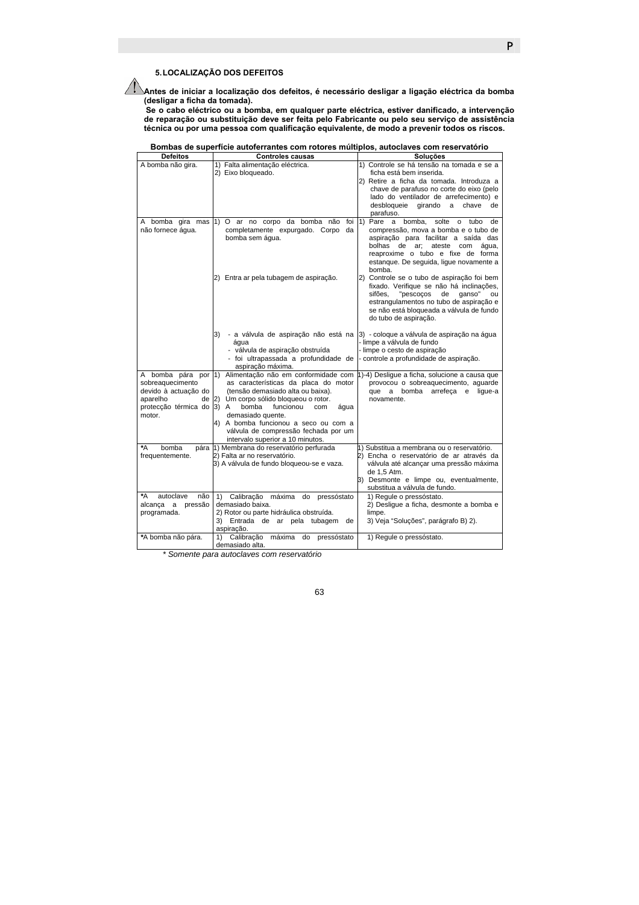# **5. LOCALIZAÇÃO DOS DEFEITOS**

**Antes de iniciar a localização dos defeitos, é necessário desligar a ligação eléctrica da bomba (desligar a ficha da tomada).** 

**Se o cabo eléctrico ou a bomba, em qualquer parte eléctrica, estiver danificado, a intervenção de reparação ou substituição deve ser feita pelo Fabricante ou pelo seu serviço de assistência técnica ou por uma pessoa com qualificação equivalente, de modo a prevenir todos os riscos.** 

| Bombas de superfície autoferrantes com rotores múltiplos, autoclaves com reservatório |  |  |  |  |  |  |  |
|---------------------------------------------------------------------------------------|--|--|--|--|--|--|--|
|---------------------------------------------------------------------------------------|--|--|--|--|--|--|--|

| <b>Defeitos</b>           | <b>Controles causas</b>                                                      | Soluções                                                                     |
|---------------------------|------------------------------------------------------------------------------|------------------------------------------------------------------------------|
| A bomba não gira.         | 1) Falta alimentação eléctrica.                                              | 1) Controle se há tensão na tomada e se a                                    |
|                           | 2) Eixo bloqueado.                                                           | ficha está bem inserida.                                                     |
|                           |                                                                              | 2) Retire a ficha da tomada. Introduza a                                     |
|                           |                                                                              | chave de parafuso no corte do eixo (pelo                                     |
|                           |                                                                              | lado do ventilador de arrefecimento) e                                       |
|                           |                                                                              | desbloqueie<br>girando<br>chave<br>de<br>a                                   |
|                           |                                                                              | parafuso.                                                                    |
| A bomba gira mas          | 1) O ar no corpo da bomba não foi 1) Pare a bomba,                           | solte o tubo<br>de                                                           |
| não fornece água.         | completamente expurgado. Corpo da                                            | compressão, mova a bomba e o tubo de<br>aspiração para facilitar a saída das |
|                           | bomba sem água.                                                              | bolhas de ar: ateste com<br>água.                                            |
|                           |                                                                              | reaproxime o tubo e fixe de forma                                            |
|                           |                                                                              | estanque. De seguida, ligue novamente a                                      |
|                           |                                                                              | bomba.                                                                       |
|                           | 2) Entra ar pela tubagem de aspiração.                                       | 2) Controle se o tubo de aspiração foi bem                                   |
|                           |                                                                              | fixado. Verifique se não há inclinações,                                     |
|                           |                                                                              | sifões,<br>"pescocos<br>ganso"<br>de<br>ou                                   |
|                           |                                                                              | estrangulamentos no tubo de aspiração e                                      |
|                           |                                                                              | se não está bloqueada a válvula de fundo                                     |
|                           |                                                                              | do tubo de aspiração.                                                        |
|                           |                                                                              |                                                                              |
|                           | - a válvula de aspiração não está na<br>3)<br>água                           | 3) - coloque a válvula de aspiração na água<br>- limpe a válvula de fundo    |
|                           | - válvula de aspiração obstruída                                             | - limpe o cesto de aspiração                                                 |
|                           | - foi ultrapassada a profundidade de                                         | controle a profundidade de aspiração.                                        |
|                           | aspiração máxima.                                                            |                                                                              |
| A bomba pára por 1)       | Alimentação não em conformidade com                                          | 1)-4) Desligue a ficha, solucione a causa que                                |
| sobreaquecimento          | as características da placa do motor                                         | provocou o sobreaquecimento, aguarde                                         |
| devido à actuação do      | (tensão demasiado alta ou baixa).                                            | que a bomba arrefeca e<br>lique-a                                            |
| aparelho<br>de            | (2)<br>Um corpo sólido bloqueou o rotor.                                     | novamente.                                                                   |
| protecção térmica do 3) A | bomba<br>funcionou<br>com<br>água                                            |                                                                              |
| motor.                    | demasiado quente.                                                            |                                                                              |
|                           | 4) A bomba funcionou a seco ou com a<br>válvula de compressão fechada por um |                                                                              |
|                           | intervalo superior a 10 minutos.                                             |                                                                              |
| *A<br>bomba               | pára 1) Membrana do reservatório perfurada                                   | 1) Substitua a membrana ou o reservatório.                                   |
| frequentemente.           | 2) Falta ar no reservatório.                                                 | 2) Encha o reservatório de ar através da                                     |
|                           | 3) A válvula de fundo bloqueou-se e vaza.                                    | válvula até alcançar uma pressão máxima                                      |
|                           |                                                                              | de 1,5 Atm.                                                                  |
|                           |                                                                              | 3) Desmonte e limpe ou, eventualmente,                                       |
|                           |                                                                              | substitua a válvula de fundo.                                                |
| *A<br>autoclave<br>não    | 1) Calibração máxima do pressóstato                                          | 1) Regule o pressóstato.                                                     |
| alcança a pressão         | demasiado baixa.                                                             | 2) Desligue a ficha, desmonte a bomba e                                      |
| programada.               | 2) Rotor ou parte hidráulica obstruída.                                      | limpe.                                                                       |
|                           | 3) Entrada de ar pela tubagem<br>de                                          | 3) Veja "Soluções", parágrafo B) 2).                                         |
|                           | aspiração.<br>1) Calibração                                                  |                                                                              |
| *A bomba não pára.        | máxima do pressóstato<br>demasiado alta.                                     | 1) Regule o pressóstato.                                                     |
|                           |                                                                              |                                                                              |

*\* Somente para autoclaves com reservatório*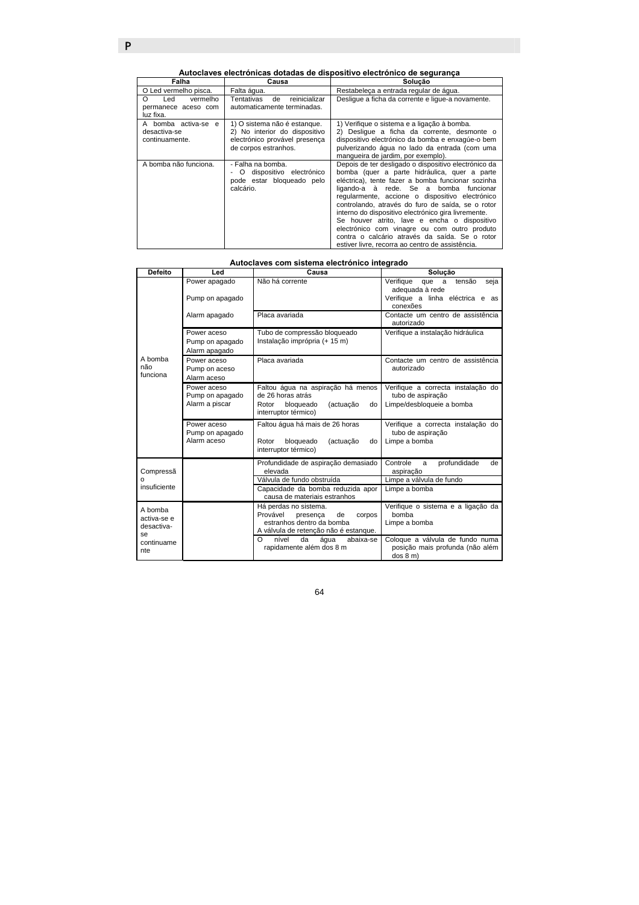**Autoclaves electrónicas dotadas de dispositivo electrónico de segurança** 

| Falha                                                 | Causa                                                                                                                  | Solução                                                                                                                                                                                                                                                                                                                                                                                                                                                                                                                                                                  |  |
|-------------------------------------------------------|------------------------------------------------------------------------------------------------------------------------|--------------------------------------------------------------------------------------------------------------------------------------------------------------------------------------------------------------------------------------------------------------------------------------------------------------------------------------------------------------------------------------------------------------------------------------------------------------------------------------------------------------------------------------------------------------------------|--|
| O Led vermelho pisca.                                 | Falta água.                                                                                                            | Restabeleca a entrada regular de água.                                                                                                                                                                                                                                                                                                                                                                                                                                                                                                                                   |  |
| Led<br>vermelho<br>permanece aceso com<br>luz fixa.   | Tentativas<br>reinicializar<br>de<br>automaticamente terminadas.                                                       | Deslique a ficha da corrente e lique-a novamente.                                                                                                                                                                                                                                                                                                                                                                                                                                                                                                                        |  |
| A bomba activa-se e<br>desactiva-se<br>continuamente. | 1) O sistema não é estangue.<br>2) No interior do dispositivo<br>electrónico provável presenca<br>de corpos estranhos. | 1) Verifique o sistema e a ligação à bomba.<br>2) Deslique a ficha da corrente, desmonte o<br>dispositivo electrónico da bomba e enxagúe-o bem<br>pulverizando água no lado da entrada (com uma<br>mangueira de jardim, por exemplo).                                                                                                                                                                                                                                                                                                                                    |  |
| A bomba não funciona.                                 | - Falha na bomba.<br>dispositivo electrónico<br>$\circ$<br>pode estar bloqueado pelo<br>calcário.                      | Depois de ter desligado o dispositivo electrónico da<br>bomba (quer a parte hidráulica, quer a parte<br>eléctrica), tente fazer a bomba funcionar sozinha<br>ligando-a à rede. Se a bomba funcionar<br>regularmente, accione o dispositivo electrónico<br>controlando, através do furo de saída, se o rotor<br>interno do dispositivo electrónico gira livremente.<br>Se houver atrito, lave e encha o dispositivo<br>electrónico com vinagre ou com outro produto<br>contra o calcário através da saída. Se o rotor<br>estiver livre, recorra ao centro de assistência. |  |

### **Autoclaves com sistema electrónico integrado**

| <b>Defeito</b>                                                  | Led                                              | Causa                                                                                                                               | Solução                                                                              |
|-----------------------------------------------------------------|--------------------------------------------------|-------------------------------------------------------------------------------------------------------------------------------------|--------------------------------------------------------------------------------------|
| A bomba<br>não<br>funciona                                      | Power apagado                                    | Não há corrente                                                                                                                     | Verifique<br>tensão<br>que a<br>seja<br>adequada à rede                              |
|                                                                 | Pump on apagado                                  |                                                                                                                                     | Verifique a linha eléctrica e as<br>conexões                                         |
|                                                                 | Alarm apagado                                    | Placa avariada                                                                                                                      | Contacte um centro de assistência<br>autorizado                                      |
|                                                                 | Power aceso<br>Pump on apagado<br>Alarm apagado  | Tubo de compressão bloqueado<br>Instalação imprópria (+ 15 m)                                                                       | Verifique a instalação hidráulica                                                    |
|                                                                 | Power aceso<br>Pump on aceso<br>Alarm aceso      | Placa avariada                                                                                                                      | Contacte um centro de assistência<br>autorizado                                      |
|                                                                 | Power aceso<br>Pump on apagado<br>Alarm a piscar | Faltou água na aspiração há menos<br>de 26 horas atrás<br>(actuação<br>Rotor<br>bloqueado<br>do<br>interruptor térmico)             | Verifique a correcta instalação do<br>tubo de aspiração<br>Limpe/desbloqueie a bomba |
|                                                                 | Power aceso<br>Pump on apagado<br>Alarm aceso    | Faltou água há mais de 26 horas<br>bloqueado<br>Rotor<br>(actuação<br>do<br>interruptor térmico)                                    | Verifique a correcta instalação do<br>tubo de aspiração<br>Limpe a bomba             |
| Compressã                                                       |                                                  | Profundidade de aspiração demasiado<br>elevada                                                                                      | profundidade<br>Controle<br>de<br>a<br>aspiração                                     |
| Ω<br>insuficiente                                               |                                                  | Válvula de fundo obstruída                                                                                                          | Limpe a válvula de fundo                                                             |
|                                                                 |                                                  | Capacidade da bomba reduzida apor<br>causa de materiais estranhos                                                                   | Limpe a bomba                                                                        |
| A bomba<br>activa-se e<br>desactiva-<br>se<br>continuame<br>nte |                                                  | Há perdas no sistema.<br>Provável<br>de<br>corpos<br>presenca<br>estranhos dentro da bomba<br>A válvula de retenção não é estanque. | Verifique o sistema e a ligação da<br>bomba<br>Limpe a bomba                         |
|                                                                 |                                                  | O<br>nível<br>da<br>áqua<br>abaixa-se<br>rapidamente além dos 8 m                                                                   | Coloque a válvula de fundo numa<br>posição mais profunda (não além<br>dos 8 m)       |